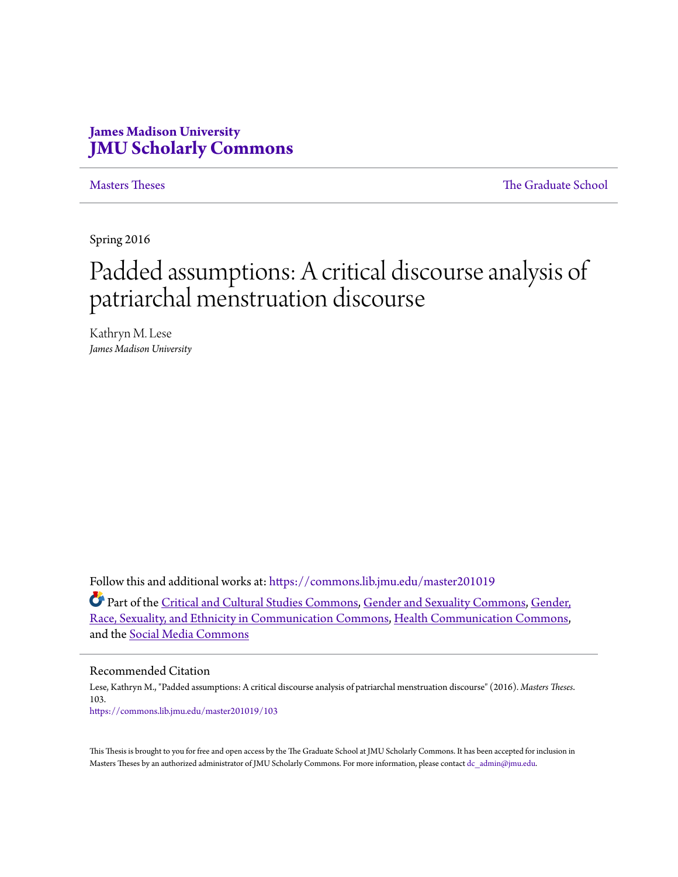# **James Madison University [JMU Scholarly Commons](https://commons.lib.jmu.edu/?utm_source=commons.lib.jmu.edu%2Fmaster201019%2F103&utm_medium=PDF&utm_campaign=PDFCoverPages)**

[Masters Theses](https://commons.lib.jmu.edu/master201019?utm_source=commons.lib.jmu.edu%2Fmaster201019%2F103&utm_medium=PDF&utm_campaign=PDFCoverPages) [The Graduate School](https://commons.lib.jmu.edu/grad?utm_source=commons.lib.jmu.edu%2Fmaster201019%2F103&utm_medium=PDF&utm_campaign=PDFCoverPages)

Spring 2016

# Padded assumptions: A critical discourse analysis of patriarchal menstruation discourse

Kathryn M. Lese *James Madison University*

Follow this and additional works at: [https://commons.lib.jmu.edu/master201019](https://commons.lib.jmu.edu/master201019?utm_source=commons.lib.jmu.edu%2Fmaster201019%2F103&utm_medium=PDF&utm_campaign=PDFCoverPages)

Part of the [Critical and Cultural Studies Commons](http://network.bepress.com/hgg/discipline/328?utm_source=commons.lib.jmu.edu%2Fmaster201019%2F103&utm_medium=PDF&utm_campaign=PDFCoverPages), [Gender and Sexuality Commons,](http://network.bepress.com/hgg/discipline/420?utm_source=commons.lib.jmu.edu%2Fmaster201019%2F103&utm_medium=PDF&utm_campaign=PDFCoverPages) [Gender,](http://network.bepress.com/hgg/discipline/329?utm_source=commons.lib.jmu.edu%2Fmaster201019%2F103&utm_medium=PDF&utm_campaign=PDFCoverPages) [Race, Sexuality, and Ethnicity in Communication Commons](http://network.bepress.com/hgg/discipline/329?utm_source=commons.lib.jmu.edu%2Fmaster201019%2F103&utm_medium=PDF&utm_campaign=PDFCoverPages), [Health Communication Commons](http://network.bepress.com/hgg/discipline/330?utm_source=commons.lib.jmu.edu%2Fmaster201019%2F103&utm_medium=PDF&utm_campaign=PDFCoverPages), and the [Social Media Commons](http://network.bepress.com/hgg/discipline/1249?utm_source=commons.lib.jmu.edu%2Fmaster201019%2F103&utm_medium=PDF&utm_campaign=PDFCoverPages)

#### Recommended Citation

Lese, Kathryn M., "Padded assumptions: A critical discourse analysis of patriarchal menstruation discourse" (2016). *Masters Theses*. 103. [https://commons.lib.jmu.edu/master201019/103](https://commons.lib.jmu.edu/master201019/103?utm_source=commons.lib.jmu.edu%2Fmaster201019%2F103&utm_medium=PDF&utm_campaign=PDFCoverPages)

This Thesis is brought to you for free and open access by the The Graduate School at JMU Scholarly Commons. It has been accepted for inclusion in Masters Theses by an authorized administrator of JMU Scholarly Commons. For more information, please contact [dc\\_admin@jmu.edu.](mailto:dc_admin@jmu.edu)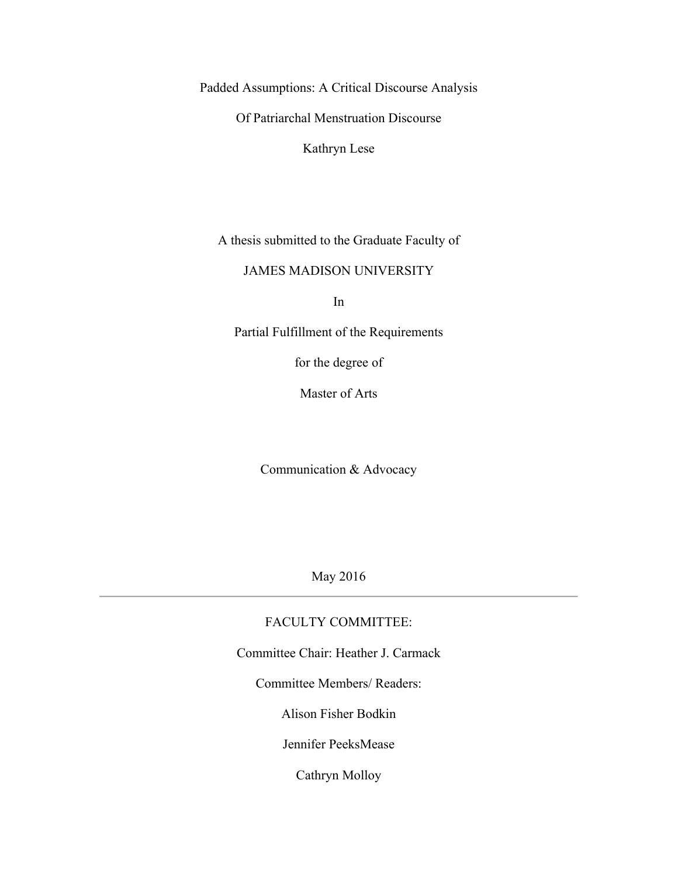Padded Assumptions: A Critical Discourse Analysis

Of Patriarchal Menstruation Discourse

Kathryn Lese

A thesis submitted to the Graduate Faculty of

#### JAMES MADISON UNIVERSITY

In

Partial Fulfillment of the Requirements

for the degree of

Master of Arts

Communication & Advocacy

May 2016

### FACULTY COMMITTEE:

Committee Chair: Heather J. Carmack

Committee Members/ Readers:

Alison Fisher Bodkin

Jennifer PeeksMease

Cathryn Molloy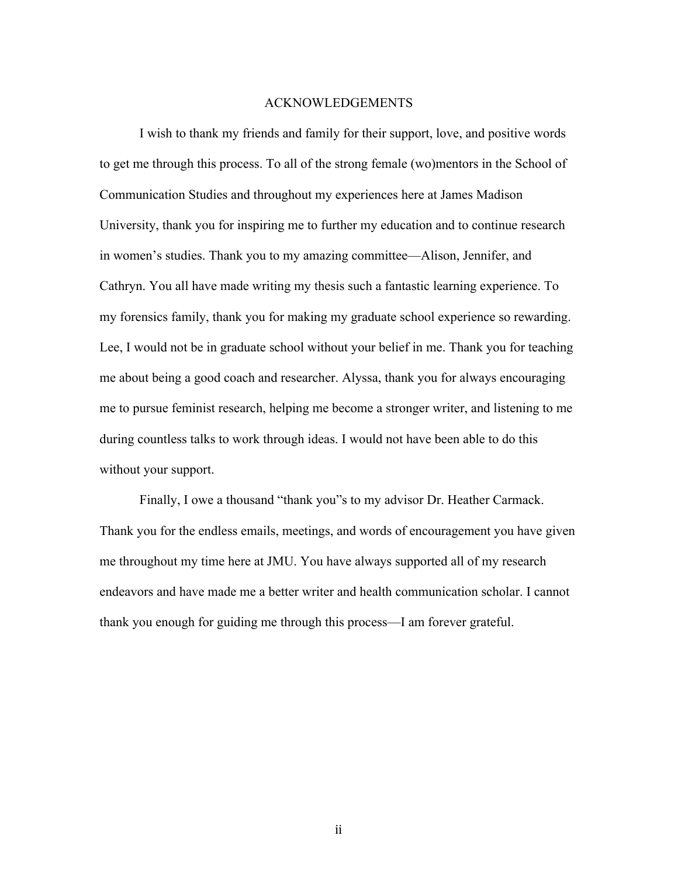#### ACKNOWLEDGEMENTS

I wish to thank my friends and family for their support, love, and positive words to get me through this process. To all of the strong female (wo)mentors in the School of Communication Studies and throughout my experiences here at James Madison University, thank you for inspiring me to further my education and to continue research in women's studies. Thank you to my amazing committee—Alison, Jennifer, and Cathryn. You all have made writing my thesis such a fantastic learning experience. To my forensics family, thank you for making my graduate school experience so rewarding. Lee, I would not be in graduate school without your belief in me. Thank you for teaching me about being a good coach and researcher. Alyssa, thank you for always encouraging me to pursue feminist research, helping me become a stronger writer, and listening to me during countless talks to work through ideas. I would not have been able to do this without your support.

Finally, I owe a thousand "thank you"s to my advisor Dr. Heather Carmack. Thank you for the endless emails, meetings, and words of encouragement you have given me throughout my time here at JMU. You have always supported all of my research endeavors and have made me a better writer and health communication scholar. I cannot thank you enough for guiding me through this process—I am forever grateful.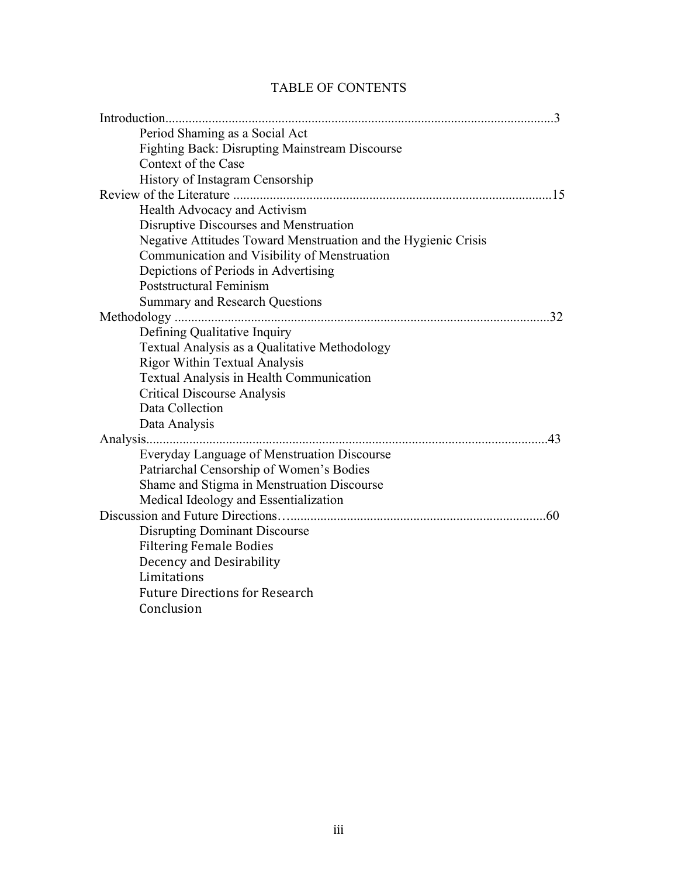## TABLE OF CONTENTS

|                                                                | 3   |
|----------------------------------------------------------------|-----|
| Period Shaming as a Social Act                                 |     |
| <b>Fighting Back: Disrupting Mainstream Discourse</b>          |     |
| Context of the Case                                            |     |
| History of Instagram Censorship                                |     |
|                                                                | 15  |
| Health Advocacy and Activism                                   |     |
| Disruptive Discourses and Menstruation                         |     |
| Negative Attitudes Toward Menstruation and the Hygienic Crisis |     |
| Communication and Visibility of Menstruation                   |     |
| Depictions of Periods in Advertising                           |     |
| Poststructural Feminism                                        |     |
| <b>Summary and Research Questions</b>                          |     |
|                                                                | 32  |
| Defining Qualitative Inquiry                                   |     |
| Textual Analysis as a Qualitative Methodology                  |     |
| <b>Rigor Within Textual Analysis</b>                           |     |
| Textual Analysis in Health Communication                       |     |
| <b>Critical Discourse Analysis</b>                             |     |
| Data Collection                                                |     |
| Data Analysis                                                  |     |
| Analysis                                                       | 43  |
| Everyday Language of Menstruation Discourse                    |     |
| Patriarchal Censorship of Women's Bodies                       |     |
| Shame and Stigma in Menstruation Discourse                     |     |
| Medical Ideology and Essentialization                          |     |
|                                                                | .60 |
| <b>Disrupting Dominant Discourse</b>                           |     |
| <b>Filtering Female Bodies</b>                                 |     |
| Decency and Desirability                                       |     |
| Limitations                                                    |     |
| <b>Future Directions for Research</b>                          |     |
| Conclusion                                                     |     |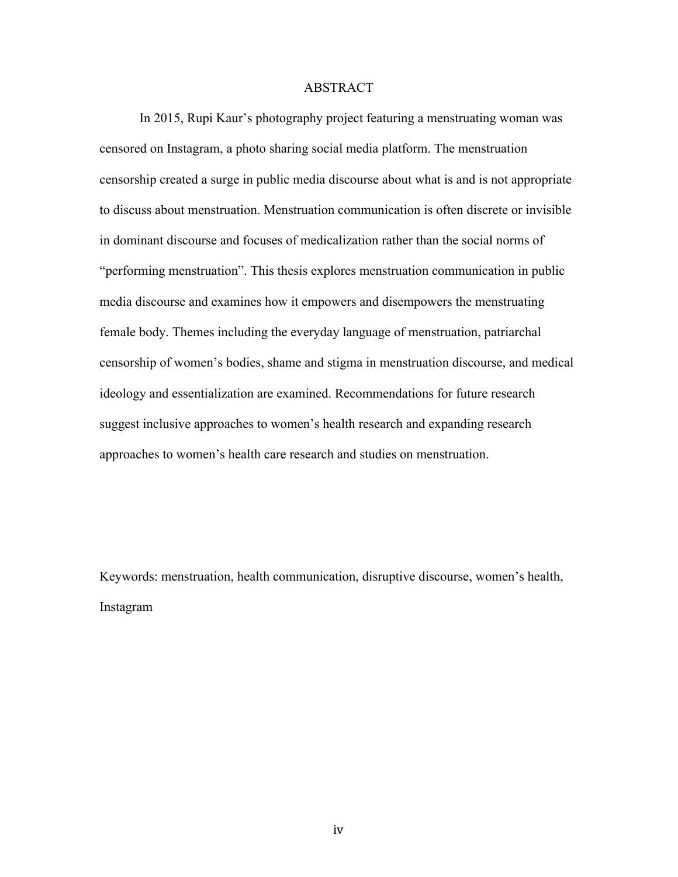#### ABSTRACT

In 2015, Rupi Kaur's photography project featuring a menstruating woman was censored on Instagram, a photo sharing social media platform. The menstruation censorship created a surge in public media discourse about what is and is not appropriate to discuss about menstruation. Menstruation communication is often discrete or invisible in dominant discourse and focuses of medicalization rather than the social norms of "performing menstruation". This thesis explores menstruation communication in public media discourse and examines how it empowers and disempowers the menstruating female body. Themes including the everyday language of menstruation, patriarchal censorship of women's bodies, shame and stigma in menstruation discourse, and medical ideology and essentialization are examined. Recommendations for future research suggest inclusive approaches to women's health research and expanding research approaches to women's health care research and studies on menstruation.

Keywords: menstruation, health communication, disruptive discourse, women's health, Instagram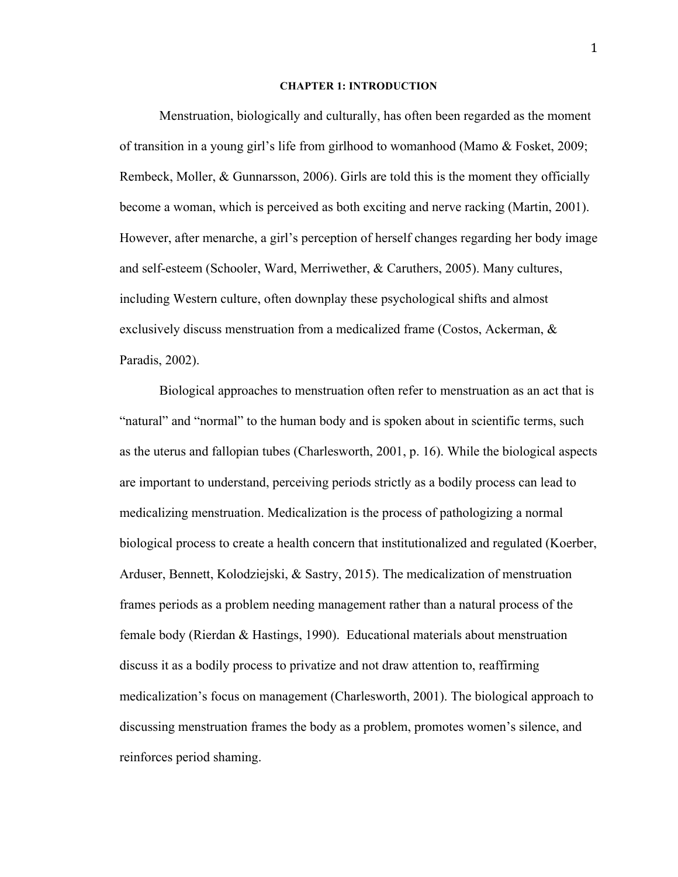#### **CHAPTER 1: INTRODUCTION**

Menstruation, biologically and culturally, has often been regarded as the moment of transition in a young girl's life from girlhood to womanhood (Mamo & Fosket, 2009; Rembeck, Moller, & Gunnarsson, 2006). Girls are told this is the moment they officially become a woman, which is perceived as both exciting and nerve racking (Martin, 2001). However, after menarche, a girl's perception of herself changes regarding her body image and self-esteem (Schooler, Ward, Merriwether, & Caruthers, 2005). Many cultures, including Western culture, often downplay these psychological shifts and almost exclusively discuss menstruation from a medicalized frame (Costos, Ackerman, & Paradis, 2002).

Biological approaches to menstruation often refer to menstruation as an act that is "natural" and "normal" to the human body and is spoken about in scientific terms, such as the uterus and fallopian tubes (Charlesworth, 2001, p. 16). While the biological aspects are important to understand, perceiving periods strictly as a bodily process can lead to medicalizing menstruation. Medicalization is the process of pathologizing a normal biological process to create a health concern that institutionalized and regulated (Koerber, Arduser, Bennett, Kolodziejski, & Sastry, 2015). The medicalization of menstruation frames periods as a problem needing management rather than a natural process of the female body (Rierdan & Hastings, 1990). Educational materials about menstruation discuss it as a bodily process to privatize and not draw attention to, reaffirming medicalization's focus on management (Charlesworth, 2001). The biological approach to discussing menstruation frames the body as a problem, promotes women's silence, and reinforces period shaming.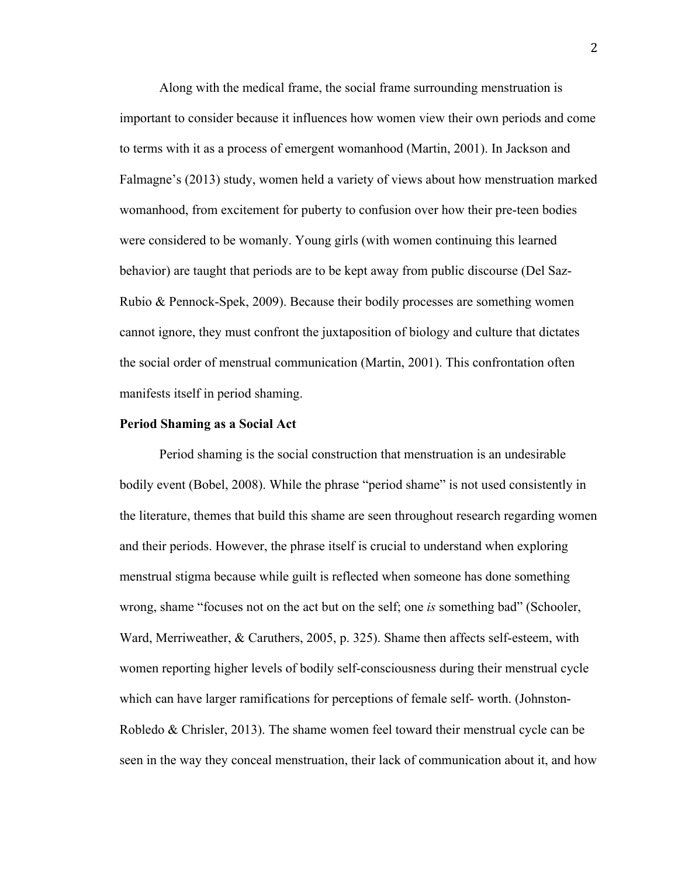Along with the medical frame, the social frame surrounding menstruation is important to consider because it influences how women view their own periods and come to terms with it as a process of emergent womanhood (Martin, 2001). In Jackson and Falmagne's (2013) study, women held a variety of views about how menstruation marked womanhood, from excitement for puberty to confusion over how their pre-teen bodies were considered to be womanly. Young girls (with women continuing this learned behavior) are taught that periods are to be kept away from public discourse (Del Saz-Rubio & Pennock-Spek, 2009). Because their bodily processes are something women cannot ignore, they must confront the juxtaposition of biology and culture that dictates the social order of menstrual communication (Martin, 2001). This confrontation often manifests itself in period shaming.

#### **Period Shaming as a Social Act**

Period shaming is the social construction that menstruation is an undesirable bodily event (Bobel, 2008). While the phrase "period shame" is not used consistently in the literature, themes that build this shame are seen throughout research regarding women and their periods. However, the phrase itself is crucial to understand when exploring menstrual stigma because while guilt is reflected when someone has done something wrong, shame "focuses not on the act but on the self; one *is* something bad" (Schooler, Ward, Merriweather, & Caruthers, 2005, p. 325). Shame then affects self-esteem, with women reporting higher levels of bodily self-consciousness during their menstrual cycle which can have larger ramifications for perceptions of female self- worth. (Johnston-Robledo & Chrisler, 2013). The shame women feel toward their menstrual cycle can be seen in the way they conceal menstruation, their lack of communication about it, and how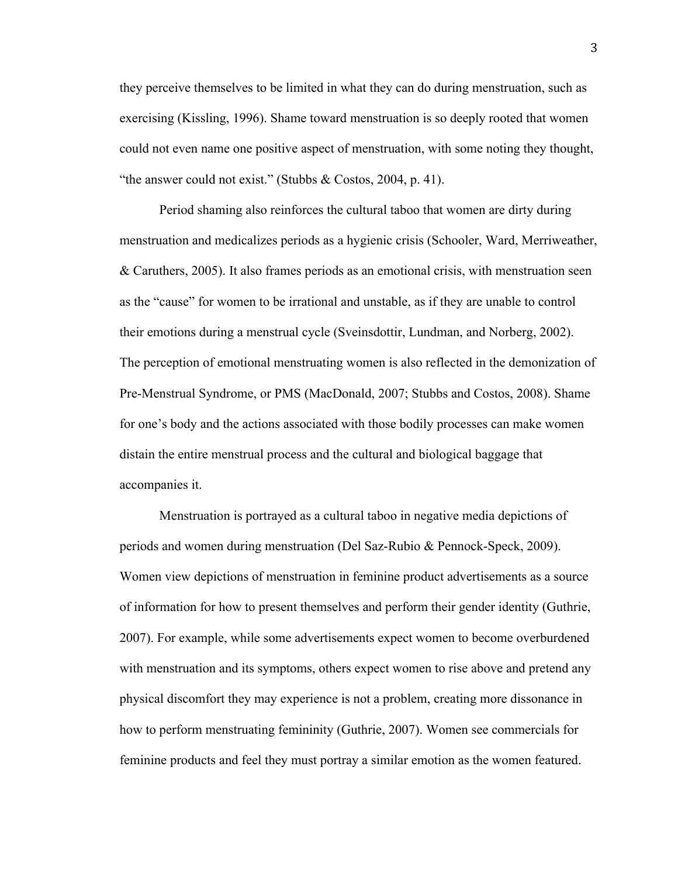they perceive themselves to be limited in what they can do during menstruation, such as exercising (Kissling, 1996). Shame toward menstruation is so deeply rooted that women could not even name one positive aspect of menstruation, with some noting they thought, "the answer could not exist." (Stubbs  $& \text{Costos}, 2004, p. 41$ ).

Period shaming also reinforces the cultural taboo that women are dirty during menstruation and medicalizes periods as a hygienic crisis (Schooler, Ward, Merriweather, & Caruthers, 2005). It also frames periods as an emotional crisis, with menstruation seen as the "cause" for women to be irrational and unstable, as if they are unable to control their emotions during a menstrual cycle (Sveinsdottir, Lundman, and Norberg, 2002). The perception of emotional menstruating women is also reflected in the demonization of Pre-Menstrual Syndrome, or PMS (MacDonald, 2007; Stubbs and Costos, 2008). Shame for one's body and the actions associated with those bodily processes can make women distain the entire menstrual process and the cultural and biological baggage that accompanies it.

Menstruation is portrayed as a cultural taboo in negative media depictions of periods and women during menstruation (Del Saz-Rubio & Pennock-Speck, 2009). Women view depictions of menstruation in feminine product advertisements as a source of information for how to present themselves and perform their gender identity (Guthrie, 2007). For example, while some advertisements expect women to become overburdened with menstruation and its symptoms, others expect women to rise above and pretend any physical discomfort they may experience is not a problem, creating more dissonance in how to perform menstruating femininity (Guthrie, 2007). Women see commercials for feminine products and feel they must portray a similar emotion as the women featured.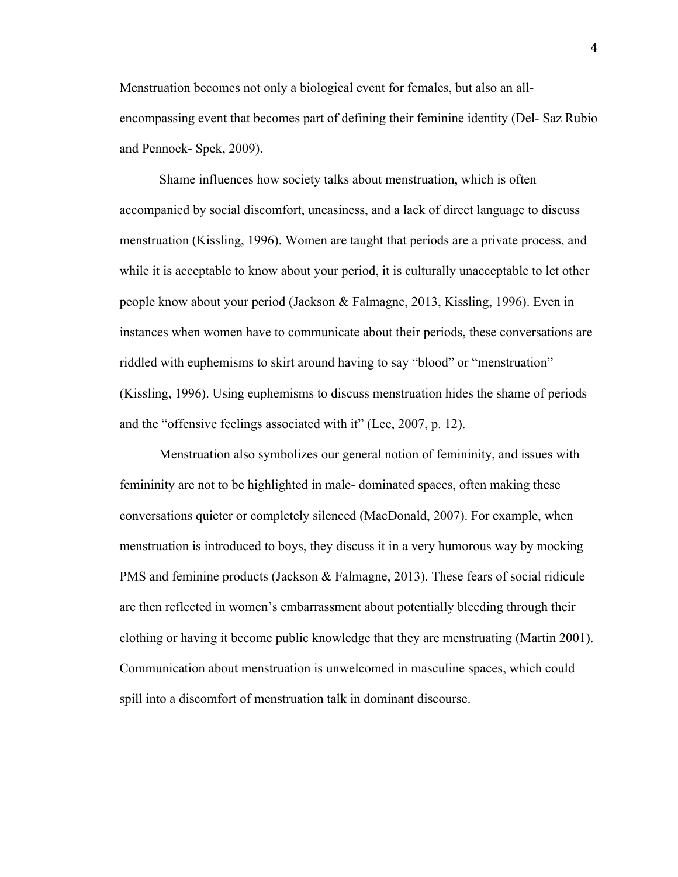Menstruation becomes not only a biological event for females, but also an allencompassing event that becomes part of defining their feminine identity (Del- Saz Rubio and Pennock- Spek, 2009).

Shame influences how society talks about menstruation, which is often accompanied by social discomfort, uneasiness, and a lack of direct language to discuss menstruation (Kissling, 1996). Women are taught that periods are a private process, and while it is acceptable to know about your period, it is culturally unacceptable to let other people know about your period (Jackson & Falmagne, 2013, Kissling, 1996). Even in instances when women have to communicate about their periods, these conversations are riddled with euphemisms to skirt around having to say "blood" or "menstruation" (Kissling, 1996). Using euphemisms to discuss menstruation hides the shame of periods and the "offensive feelings associated with it" (Lee, 2007, p. 12).

Menstruation also symbolizes our general notion of femininity, and issues with femininity are not to be highlighted in male- dominated spaces, often making these conversations quieter or completely silenced (MacDonald, 2007). For example, when menstruation is introduced to boys, they discuss it in a very humorous way by mocking PMS and feminine products (Jackson & Falmagne, 2013). These fears of social ridicule are then reflected in women's embarrassment about potentially bleeding through their clothing or having it become public knowledge that they are menstruating (Martin 2001). Communication about menstruation is unwelcomed in masculine spaces, which could spill into a discomfort of menstruation talk in dominant discourse.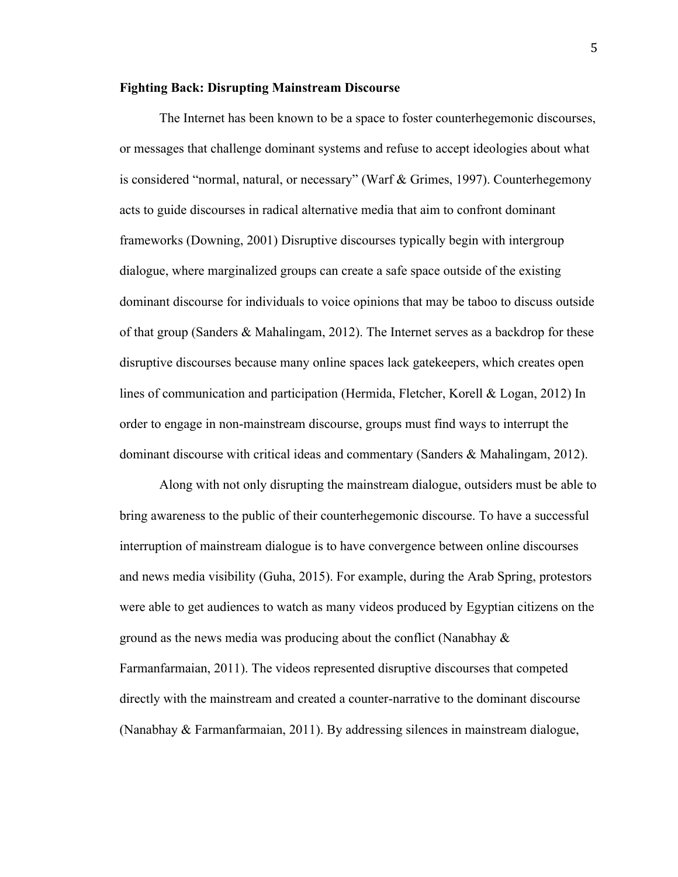#### **Fighting Back: Disrupting Mainstream Discourse**

The Internet has been known to be a space to foster counterhegemonic discourses, or messages that challenge dominant systems and refuse to accept ideologies about what is considered "normal, natural, or necessary" (Warf & Grimes, 1997). Counterhegemony acts to guide discourses in radical alternative media that aim to confront dominant frameworks (Downing, 2001) Disruptive discourses typically begin with intergroup dialogue, where marginalized groups can create a safe space outside of the existing dominant discourse for individuals to voice opinions that may be taboo to discuss outside of that group (Sanders & Mahalingam, 2012). The Internet serves as a backdrop for these disruptive discourses because many online spaces lack gatekeepers, which creates open lines of communication and participation (Hermida, Fletcher, Korell & Logan, 2012) In order to engage in non-mainstream discourse, groups must find ways to interrupt the dominant discourse with critical ideas and commentary (Sanders & Mahalingam, 2012).

Along with not only disrupting the mainstream dialogue, outsiders must be able to bring awareness to the public of their counterhegemonic discourse. To have a successful interruption of mainstream dialogue is to have convergence between online discourses and news media visibility (Guha, 2015). For example, during the Arab Spring, protestors were able to get audiences to watch as many videos produced by Egyptian citizens on the ground as the news media was producing about the conflict (Nanabhay  $\&$ Farmanfarmaian, 2011). The videos represented disruptive discourses that competed directly with the mainstream and created a counter-narrative to the dominant discourse (Nanabhay & Farmanfarmaian, 2011). By addressing silences in mainstream dialogue,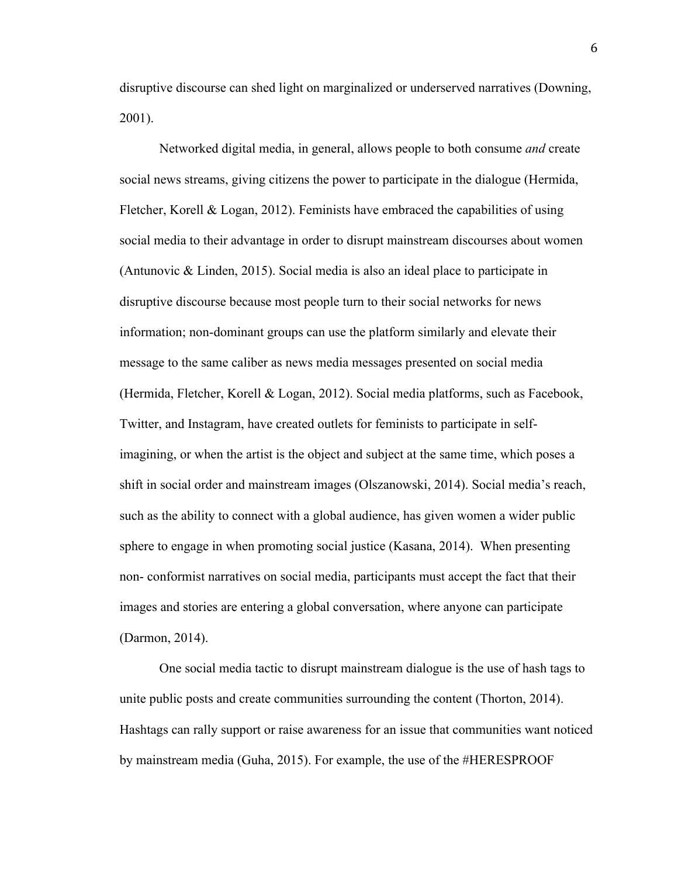disruptive discourse can shed light on marginalized or underserved narratives (Downing, 2001).

Networked digital media, in general, allows people to both consume *and* create social news streams, giving citizens the power to participate in the dialogue (Hermida, Fletcher, Korell & Logan, 2012). Feminists have embraced the capabilities of using social media to their advantage in order to disrupt mainstream discourses about women (Antunovic & Linden, 2015). Social media is also an ideal place to participate in disruptive discourse because most people turn to their social networks for news information; non-dominant groups can use the platform similarly and elevate their message to the same caliber as news media messages presented on social media (Hermida, Fletcher, Korell & Logan, 2012). Social media platforms, such as Facebook, Twitter, and Instagram, have created outlets for feminists to participate in selfimagining, or when the artist is the object and subject at the same time, which poses a shift in social order and mainstream images (Olszanowski, 2014). Social media's reach, such as the ability to connect with a global audience, has given women a wider public sphere to engage in when promoting social justice (Kasana, 2014). When presenting non- conformist narratives on social media, participants must accept the fact that their images and stories are entering a global conversation, where anyone can participate (Darmon, 2014).

One social media tactic to disrupt mainstream dialogue is the use of hash tags to unite public posts and create communities surrounding the content (Thorton, 2014). Hashtags can rally support or raise awareness for an issue that communities want noticed by mainstream media (Guha, 2015). For example, the use of the #HERESPROOF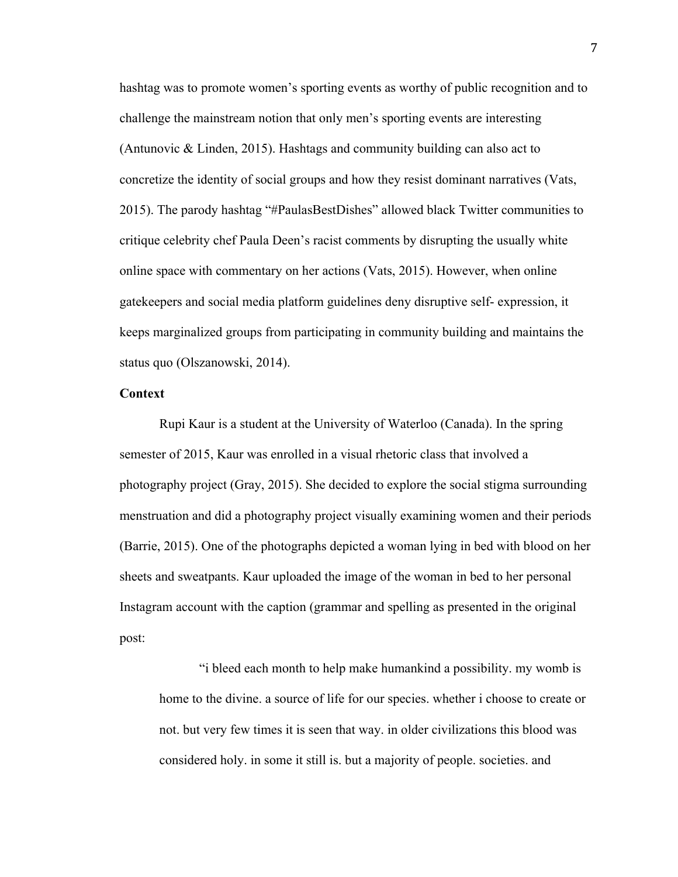hashtag was to promote women's sporting events as worthy of public recognition and to challenge the mainstream notion that only men's sporting events are interesting (Antunovic & Linden, 2015). Hashtags and community building can also act to concretize the identity of social groups and how they resist dominant narratives (Vats, 2015). The parody hashtag "#PaulasBestDishes" allowed black Twitter communities to critique celebrity chef Paula Deen's racist comments by disrupting the usually white online space with commentary on her actions (Vats, 2015). However, when online gatekeepers and social media platform guidelines deny disruptive self- expression, it keeps marginalized groups from participating in community building and maintains the status quo (Olszanowski, 2014).

#### **Context**

Rupi Kaur is a student at the University of Waterloo (Canada). In the spring semester of 2015, Kaur was enrolled in a visual rhetoric class that involved a photography project (Gray, 2015). She decided to explore the social stigma surrounding menstruation and did a photography project visually examining women and their periods (Barrie, 2015). One of the photographs depicted a woman lying in bed with blood on her sheets and sweatpants. Kaur uploaded the image of the woman in bed to her personal Instagram account with the caption (grammar and spelling as presented in the original post:

"i bleed each month to help make humankind a possibility. my womb is home to the divine. a source of life for our species. whether i choose to create or not. but very few times it is seen that way. in older civilizations this blood was considered holy. in some it still is. but a majority of people. societies. and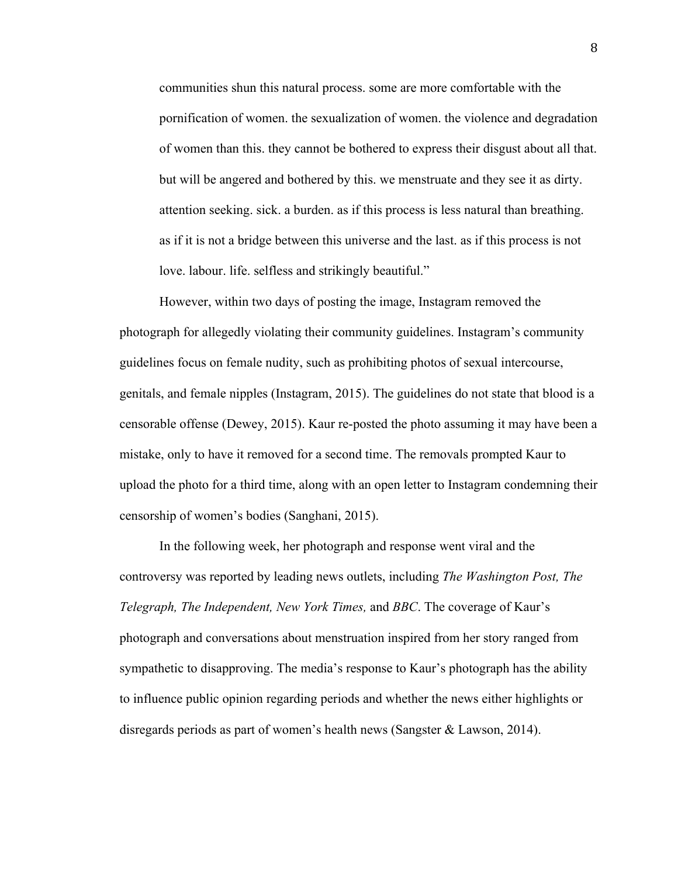communities shun this natural process. some are more comfortable with the pornification of women. the sexualization of women. the violence and degradation of women than this. they cannot be bothered to express their disgust about all that. but will be angered and bothered by this. we menstruate and they see it as dirty. attention seeking. sick. a burden. as if this process is less natural than breathing. as if it is not a bridge between this universe and the last. as if this process is not love. labour. life. selfless and strikingly beautiful."

However, within two days of posting the image, Instagram removed the photograph for allegedly violating their community guidelines. Instagram's community guidelines focus on female nudity, such as prohibiting photos of sexual intercourse, genitals, and female nipples (Instagram, 2015). The guidelines do not state that blood is a censorable offense (Dewey, 2015). Kaur re-posted the photo assuming it may have been a mistake, only to have it removed for a second time. The removals prompted Kaur to upload the photo for a third time, along with an open letter to Instagram condemning their censorship of women's bodies (Sanghani, 2015).

In the following week, her photograph and response went viral and the controversy was reported by leading news outlets, including *The Washington Post, The Telegraph, The Independent, New York Times,* and *BBC*. The coverage of Kaur's photograph and conversations about menstruation inspired from her story ranged from sympathetic to disapproving. The media's response to Kaur's photograph has the ability to influence public opinion regarding periods and whether the news either highlights or disregards periods as part of women's health news (Sangster & Lawson, 2014).

8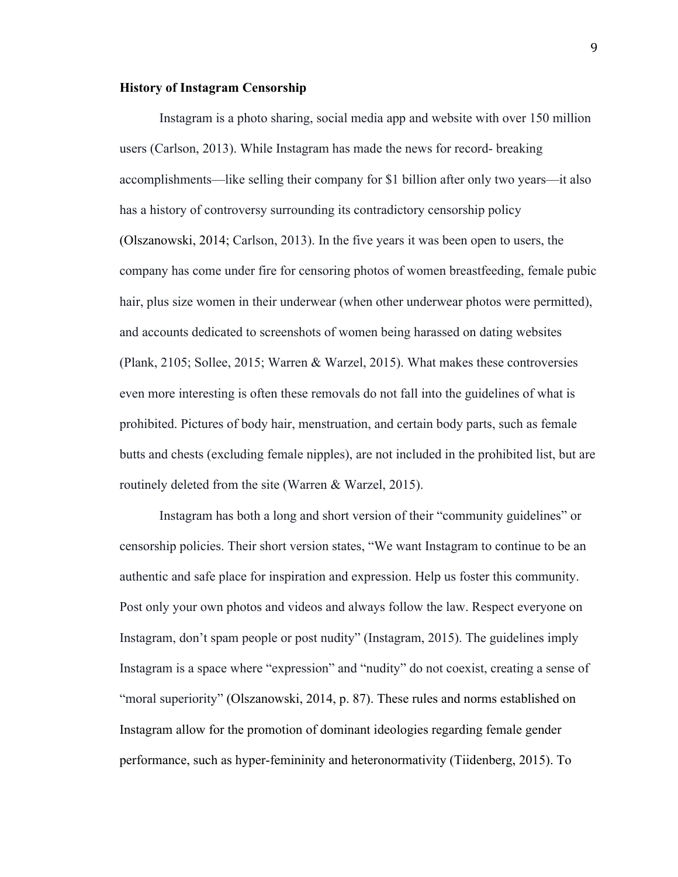#### **History of Instagram Censorship**

Instagram is a photo sharing, social media app and website with over 150 million users (Carlson, 2013). While Instagram has made the news for record- breaking accomplishments—like selling their company for \$1 billion after only two years—it also has a history of controversy surrounding its contradictory censorship policy (Olszanowski, 2014; Carlson, 2013). In the five years it was been open to users, the company has come under fire for censoring photos of women breastfeeding, female pubic hair, plus size women in their underwear (when other underwear photos were permitted), and accounts dedicated to screenshots of women being harassed on dating websites (Plank, 2105; Sollee, 2015; Warren & Warzel, 2015). What makes these controversies even more interesting is often these removals do not fall into the guidelines of what is prohibited. Pictures of body hair, menstruation, and certain body parts, such as female butts and chests (excluding female nipples), are not included in the prohibited list, but are routinely deleted from the site (Warren & Warzel, 2015).

Instagram has both a long and short version of their "community guidelines" or censorship policies. Their short version states, "We want Instagram to continue to be an authentic and safe place for inspiration and expression. Help us foster this community. Post only your own photos and videos and always follow the law. Respect everyone on Instagram, don't spam people or post nudity" (Instagram, 2015). The guidelines imply Instagram is a space where "expression" and "nudity" do not coexist, creating a sense of "moral superiority" (Olszanowski, 2014, p. 87). These rules and norms established on Instagram allow for the promotion of dominant ideologies regarding female gender performance, such as hyper-femininity and heteronormativity (Tiidenberg, 2015). To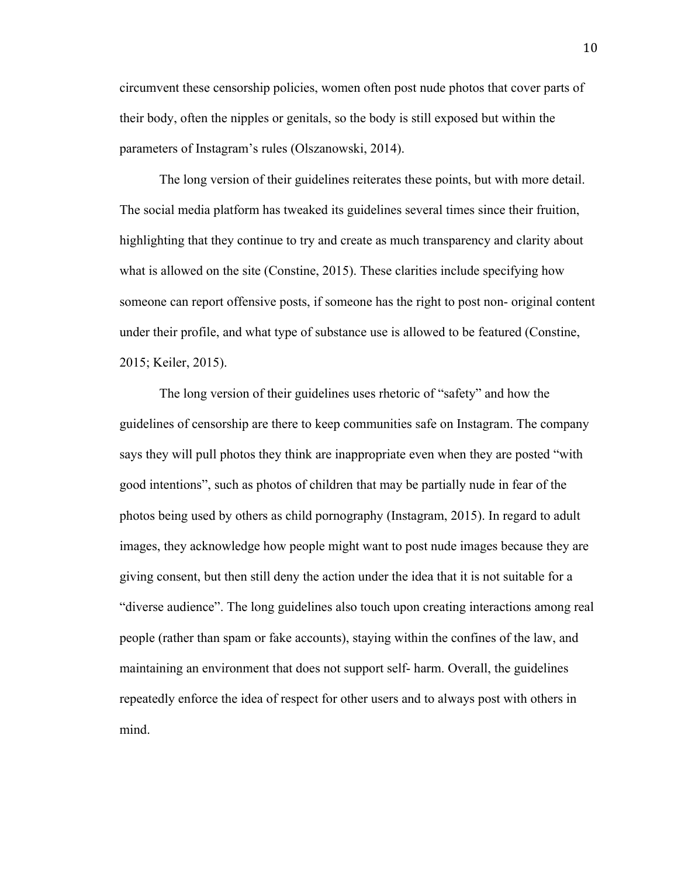circumvent these censorship policies, women often post nude photos that cover parts of their body, often the nipples or genitals, so the body is still exposed but within the parameters of Instagram's rules (Olszanowski, 2014).

The long version of their guidelines reiterates these points, but with more detail. The social media platform has tweaked its guidelines several times since their fruition, highlighting that they continue to try and create as much transparency and clarity about what is allowed on the site (Constine, 2015). These clarities include specifying how someone can report offensive posts, if someone has the right to post non- original content under their profile, and what type of substance use is allowed to be featured (Constine, 2015; Keiler, 2015).

The long version of their guidelines uses rhetoric of "safety" and how the guidelines of censorship are there to keep communities safe on Instagram. The company says they will pull photos they think are inappropriate even when they are posted "with good intentions", such as photos of children that may be partially nude in fear of the photos being used by others as child pornography (Instagram, 2015). In regard to adult images, they acknowledge how people might want to post nude images because they are giving consent, but then still deny the action under the idea that it is not suitable for a "diverse audience". The long guidelines also touch upon creating interactions among real people (rather than spam or fake accounts), staying within the confines of the law, and maintaining an environment that does not support self- harm. Overall, the guidelines repeatedly enforce the idea of respect for other users and to always post with others in mind.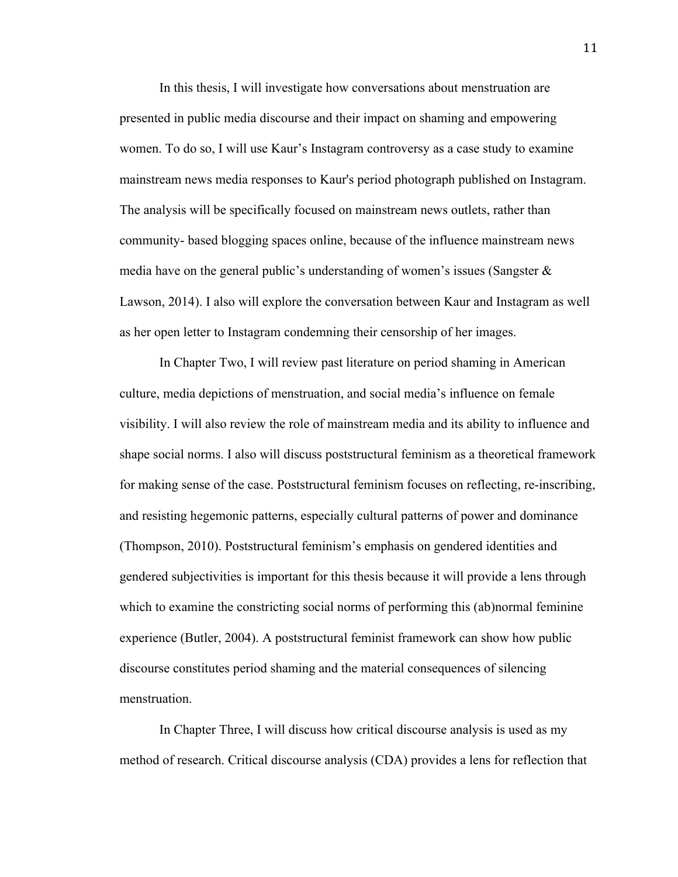In this thesis, I will investigate how conversations about menstruation are presented in public media discourse and their impact on shaming and empowering women. To do so, I will use Kaur's Instagram controversy as a case study to examine mainstream news media responses to Kaur's period photograph published on Instagram. The analysis will be specifically focused on mainstream news outlets, rather than community- based blogging spaces online, because of the influence mainstream news media have on the general public's understanding of women's issues (Sangster  $\&$ Lawson, 2014). I also will explore the conversation between Kaur and Instagram as well as her open letter to Instagram condemning their censorship of her images.

In Chapter Two, I will review past literature on period shaming in American culture, media depictions of menstruation, and social media's influence on female visibility. I will also review the role of mainstream media and its ability to influence and shape social norms. I also will discuss poststructural feminism as a theoretical framework for making sense of the case. Poststructural feminism focuses on reflecting, re-inscribing, and resisting hegemonic patterns, especially cultural patterns of power and dominance (Thompson, 2010). Poststructural feminism's emphasis on gendered identities and gendered subjectivities is important for this thesis because it will provide a lens through which to examine the constricting social norms of performing this (ab)normal feminine experience (Butler, 2004). A poststructural feminist framework can show how public discourse constitutes period shaming and the material consequences of silencing menstruation.

In Chapter Three, I will discuss how critical discourse analysis is used as my method of research. Critical discourse analysis (CDA) provides a lens for reflection that

11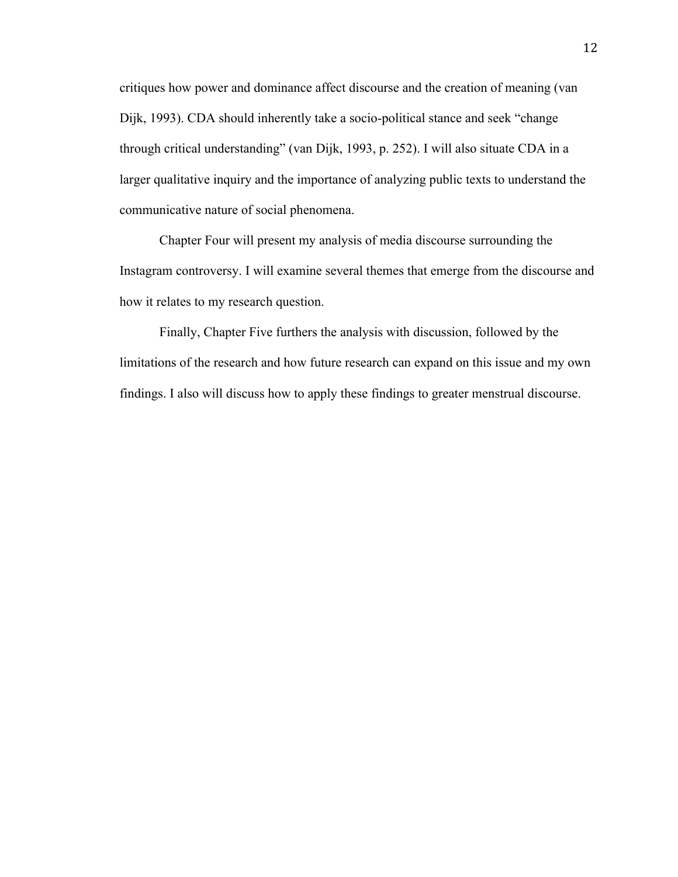critiques how power and dominance affect discourse and the creation of meaning (van Dijk, 1993). CDA should inherently take a socio-political stance and seek "change through critical understanding" (van Dijk, 1993, p. 252). I will also situate CDA in a larger qualitative inquiry and the importance of analyzing public texts to understand the communicative nature of social phenomena.

Chapter Four will present my analysis of media discourse surrounding the Instagram controversy. I will examine several themes that emerge from the discourse and how it relates to my research question.

Finally, Chapter Five furthers the analysis with discussion, followed by the limitations of the research and how future research can expand on this issue and my own findings. I also will discuss how to apply these findings to greater menstrual discourse.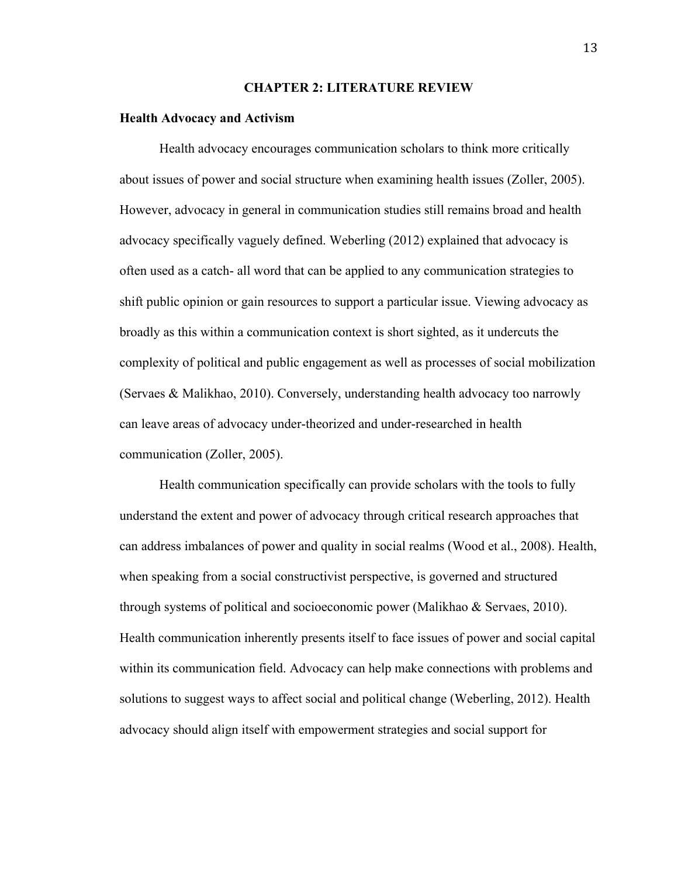#### **CHAPTER 2: LITERATURE REVIEW**

#### **Health Advocacy and Activism**

Health advocacy encourages communication scholars to think more critically about issues of power and social structure when examining health issues (Zoller, 2005). However, advocacy in general in communication studies still remains broad and health advocacy specifically vaguely defined. Weberling (2012) explained that advocacy is often used as a catch- all word that can be applied to any communication strategies to shift public opinion or gain resources to support a particular issue. Viewing advocacy as broadly as this within a communication context is short sighted, as it undercuts the complexity of political and public engagement as well as processes of social mobilization (Servaes & Malikhao, 2010). Conversely, understanding health advocacy too narrowly can leave areas of advocacy under-theorized and under-researched in health communication (Zoller, 2005).

Health communication specifically can provide scholars with the tools to fully understand the extent and power of advocacy through critical research approaches that can address imbalances of power and quality in social realms (Wood et al., 2008). Health, when speaking from a social constructivist perspective, is governed and structured through systems of political and socioeconomic power (Malikhao & Servaes, 2010). Health communication inherently presents itself to face issues of power and social capital within its communication field. Advocacy can help make connections with problems and solutions to suggest ways to affect social and political change (Weberling, 2012). Health advocacy should align itself with empowerment strategies and social support for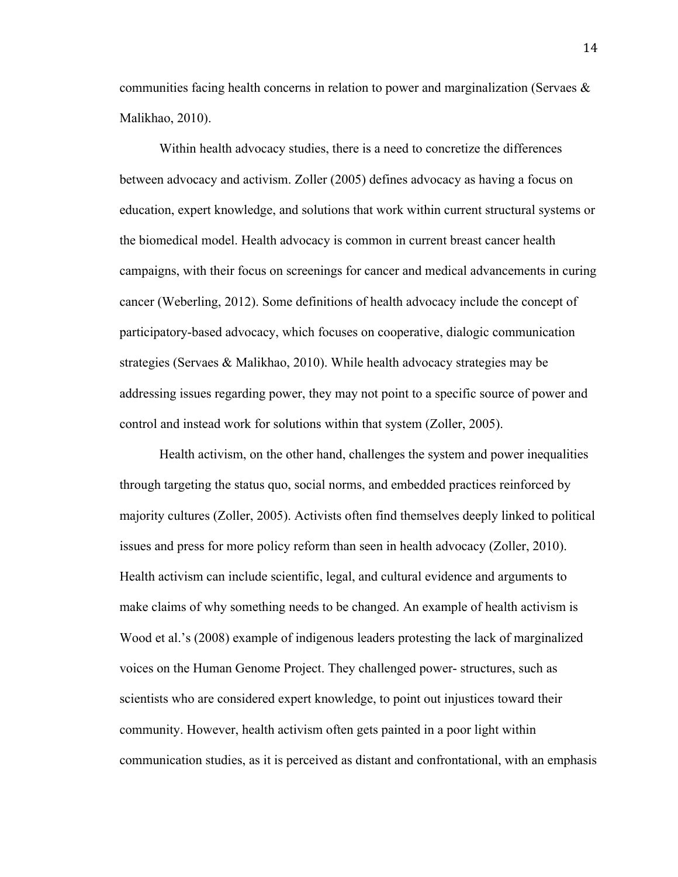communities facing health concerns in relation to power and marginalization (Servaes & Malikhao, 2010).

Within health advocacy studies, there is a need to concretize the differences between advocacy and activism. Zoller (2005) defines advocacy as having a focus on education, expert knowledge, and solutions that work within current structural systems or the biomedical model. Health advocacy is common in current breast cancer health campaigns, with their focus on screenings for cancer and medical advancements in curing cancer (Weberling, 2012). Some definitions of health advocacy include the concept of participatory-based advocacy, which focuses on cooperative, dialogic communication strategies (Servaes & Malikhao, 2010). While health advocacy strategies may be addressing issues regarding power, they may not point to a specific source of power and control and instead work for solutions within that system (Zoller, 2005).

Health activism, on the other hand, challenges the system and power inequalities through targeting the status quo, social norms, and embedded practices reinforced by majority cultures (Zoller, 2005). Activists often find themselves deeply linked to political issues and press for more policy reform than seen in health advocacy (Zoller, 2010). Health activism can include scientific, legal, and cultural evidence and arguments to make claims of why something needs to be changed. An example of health activism is Wood et al.'s (2008) example of indigenous leaders protesting the lack of marginalized voices on the Human Genome Project. They challenged power- structures, such as scientists who are considered expert knowledge, to point out injustices toward their community. However, health activism often gets painted in a poor light within communication studies, as it is perceived as distant and confrontational, with an emphasis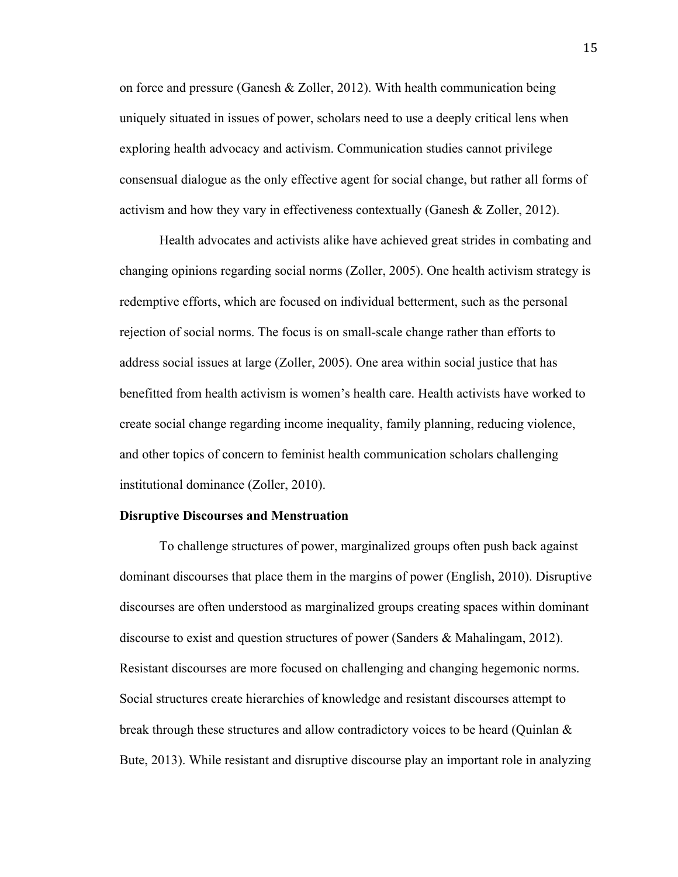on force and pressure (Ganesh  $\&$  Zoller, 2012). With health communication being uniquely situated in issues of power, scholars need to use a deeply critical lens when exploring health advocacy and activism. Communication studies cannot privilege consensual dialogue as the only effective agent for social change, but rather all forms of activism and how they vary in effectiveness contextually (Ganesh & Zoller, 2012).

Health advocates and activists alike have achieved great strides in combating and changing opinions regarding social norms (Zoller, 2005). One health activism strategy is redemptive efforts, which are focused on individual betterment, such as the personal rejection of social norms. The focus is on small-scale change rather than efforts to address social issues at large (Zoller, 2005). One area within social justice that has benefitted from health activism is women's health care. Health activists have worked to create social change regarding income inequality, family planning, reducing violence, and other topics of concern to feminist health communication scholars challenging institutional dominance (Zoller, 2010).

#### **Disruptive Discourses and Menstruation**

To challenge structures of power, marginalized groups often push back against dominant discourses that place them in the margins of power (English, 2010). Disruptive discourses are often understood as marginalized groups creating spaces within dominant discourse to exist and question structures of power (Sanders & Mahalingam, 2012). Resistant discourses are more focused on challenging and changing hegemonic norms. Social structures create hierarchies of knowledge and resistant discourses attempt to break through these structures and allow contradictory voices to be heard (Quinlan  $\&$ Bute, 2013). While resistant and disruptive discourse play an important role in analyzing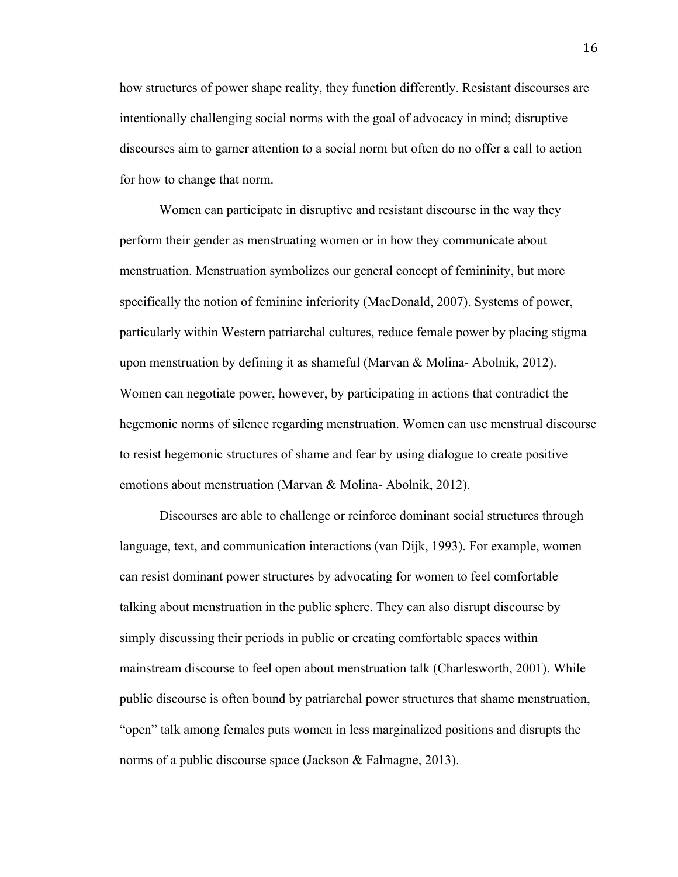how structures of power shape reality, they function differently. Resistant discourses are intentionally challenging social norms with the goal of advocacy in mind; disruptive discourses aim to garner attention to a social norm but often do no offer a call to action for how to change that norm.

Women can participate in disruptive and resistant discourse in the way they perform their gender as menstruating women or in how they communicate about menstruation. Menstruation symbolizes our general concept of femininity, but more specifically the notion of feminine inferiority (MacDonald, 2007). Systems of power, particularly within Western patriarchal cultures, reduce female power by placing stigma upon menstruation by defining it as shameful (Marvan  $\&$  Molina-Abolnik, 2012). Women can negotiate power, however, by participating in actions that contradict the hegemonic norms of silence regarding menstruation. Women can use menstrual discourse to resist hegemonic structures of shame and fear by using dialogue to create positive emotions about menstruation (Marvan & Molina- Abolnik, 2012).

Discourses are able to challenge or reinforce dominant social structures through language, text, and communication interactions (van Dijk, 1993). For example, women can resist dominant power structures by advocating for women to feel comfortable talking about menstruation in the public sphere. They can also disrupt discourse by simply discussing their periods in public or creating comfortable spaces within mainstream discourse to feel open about menstruation talk (Charlesworth, 2001). While public discourse is often bound by patriarchal power structures that shame menstruation, "open" talk among females puts women in less marginalized positions and disrupts the norms of a public discourse space (Jackson & Falmagne, 2013).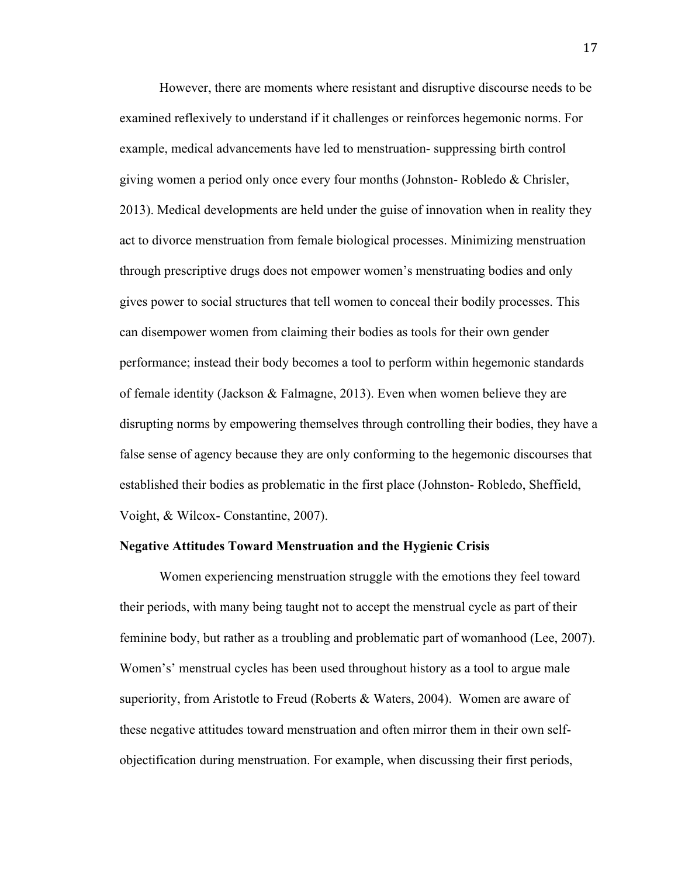However, there are moments where resistant and disruptive discourse needs to be examined reflexively to understand if it challenges or reinforces hegemonic norms. For example, medical advancements have led to menstruation- suppressing birth control giving women a period only once every four months (Johnston- Robledo & Chrisler, 2013). Medical developments are held under the guise of innovation when in reality they act to divorce menstruation from female biological processes. Minimizing menstruation through prescriptive drugs does not empower women's menstruating bodies and only gives power to social structures that tell women to conceal their bodily processes. This can disempower women from claiming their bodies as tools for their own gender performance; instead their body becomes a tool to perform within hegemonic standards of female identity (Jackson & Falmagne, 2013). Even when women believe they are disrupting norms by empowering themselves through controlling their bodies, they have a false sense of agency because they are only conforming to the hegemonic discourses that established their bodies as problematic in the first place (Johnston- Robledo, Sheffield, Voight, & Wilcox- Constantine, 2007).

#### **Negative Attitudes Toward Menstruation and the Hygienic Crisis**

Women experiencing menstruation struggle with the emotions they feel toward their periods, with many being taught not to accept the menstrual cycle as part of their feminine body, but rather as a troubling and problematic part of womanhood (Lee, 2007). Women's' menstrual cycles has been used throughout history as a tool to argue male superiority, from Aristotle to Freud (Roberts & Waters, 2004). Women are aware of these negative attitudes toward menstruation and often mirror them in their own selfobjectification during menstruation. For example, when discussing their first periods,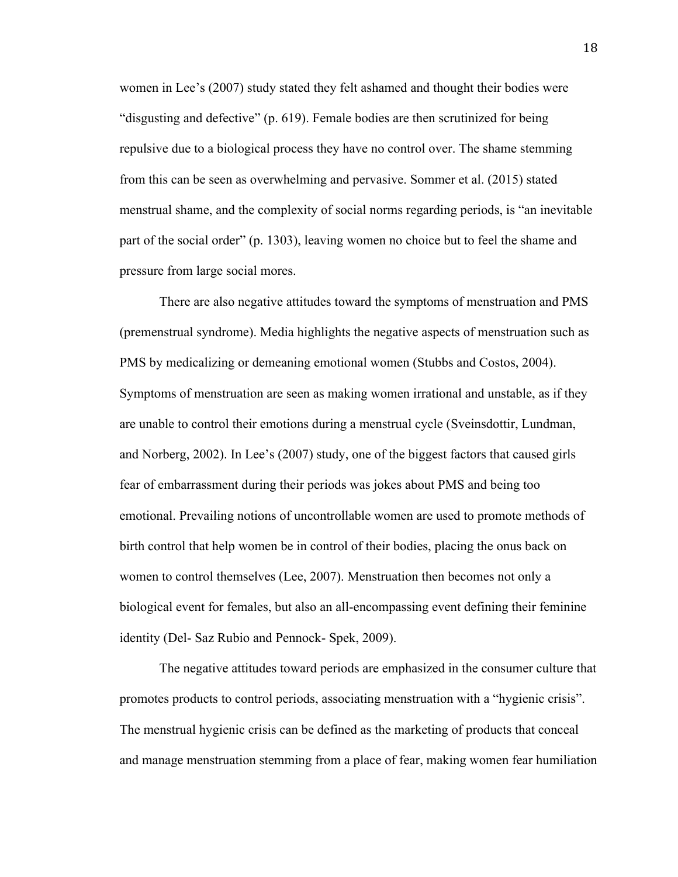women in Lee's (2007) study stated they felt ashamed and thought their bodies were "disgusting and defective" (p. 619). Female bodies are then scrutinized for being repulsive due to a biological process they have no control over. The shame stemming from this can be seen as overwhelming and pervasive. Sommer et al. (2015) stated menstrual shame, and the complexity of social norms regarding periods, is "an inevitable part of the social order" (p. 1303), leaving women no choice but to feel the shame and pressure from large social mores.

There are also negative attitudes toward the symptoms of menstruation and PMS (premenstrual syndrome). Media highlights the negative aspects of menstruation such as PMS by medicalizing or demeaning emotional women (Stubbs and Costos, 2004). Symptoms of menstruation are seen as making women irrational and unstable, as if they are unable to control their emotions during a menstrual cycle (Sveinsdottir, Lundman, and Norberg, 2002). In Lee's (2007) study, one of the biggest factors that caused girls fear of embarrassment during their periods was jokes about PMS and being too emotional. Prevailing notions of uncontrollable women are used to promote methods of birth control that help women be in control of their bodies, placing the onus back on women to control themselves (Lee, 2007). Menstruation then becomes not only a biological event for females, but also an all-encompassing event defining their feminine identity (Del- Saz Rubio and Pennock- Spek, 2009).

The negative attitudes toward periods are emphasized in the consumer culture that promotes products to control periods, associating menstruation with a "hygienic crisis". The menstrual hygienic crisis can be defined as the marketing of products that conceal and manage menstruation stemming from a place of fear, making women fear humiliation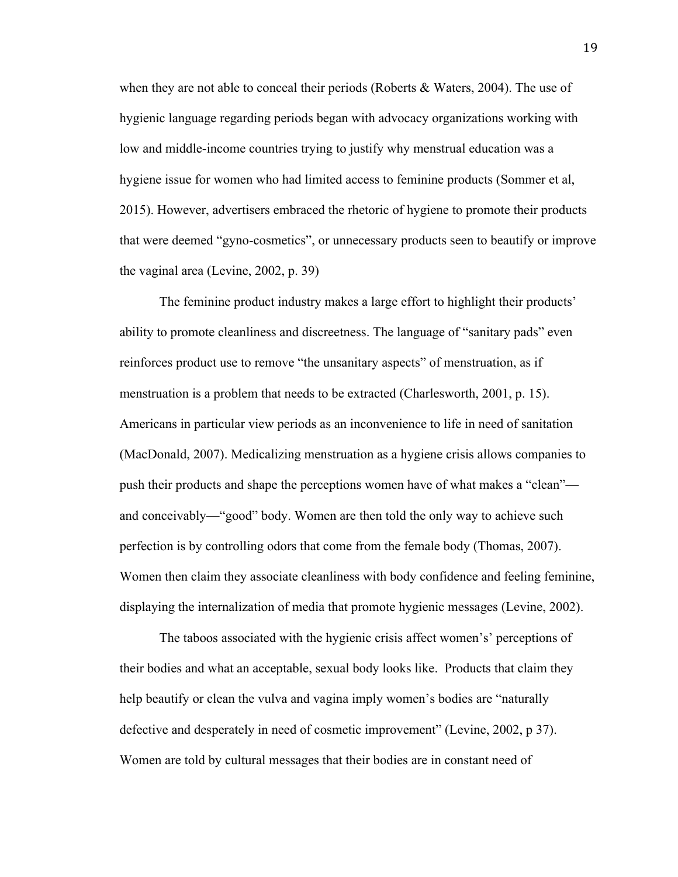when they are not able to conceal their periods (Roberts & Waters, 2004). The use of hygienic language regarding periods began with advocacy organizations working with low and middle-income countries trying to justify why menstrual education was a hygiene issue for women who had limited access to feminine products (Sommer et al, 2015). However, advertisers embraced the rhetoric of hygiene to promote their products that were deemed "gyno-cosmetics", or unnecessary products seen to beautify or improve the vaginal area (Levine, 2002, p. 39)

The feminine product industry makes a large effort to highlight their products' ability to promote cleanliness and discreetness. The language of "sanitary pads" even reinforces product use to remove "the unsanitary aspects" of menstruation, as if menstruation is a problem that needs to be extracted (Charlesworth, 2001, p. 15). Americans in particular view periods as an inconvenience to life in need of sanitation (MacDonald, 2007). Medicalizing menstruation as a hygiene crisis allows companies to push their products and shape the perceptions women have of what makes a "clean" and conceivably—"good" body. Women are then told the only way to achieve such perfection is by controlling odors that come from the female body (Thomas, 2007). Women then claim they associate cleanliness with body confidence and feeling feminine, displaying the internalization of media that promote hygienic messages (Levine, 2002).

The taboos associated with the hygienic crisis affect women's' perceptions of their bodies and what an acceptable, sexual body looks like. Products that claim they help beautify or clean the vulva and vagina imply women's bodies are "naturally defective and desperately in need of cosmetic improvement" (Levine, 2002, p 37). Women are told by cultural messages that their bodies are in constant need of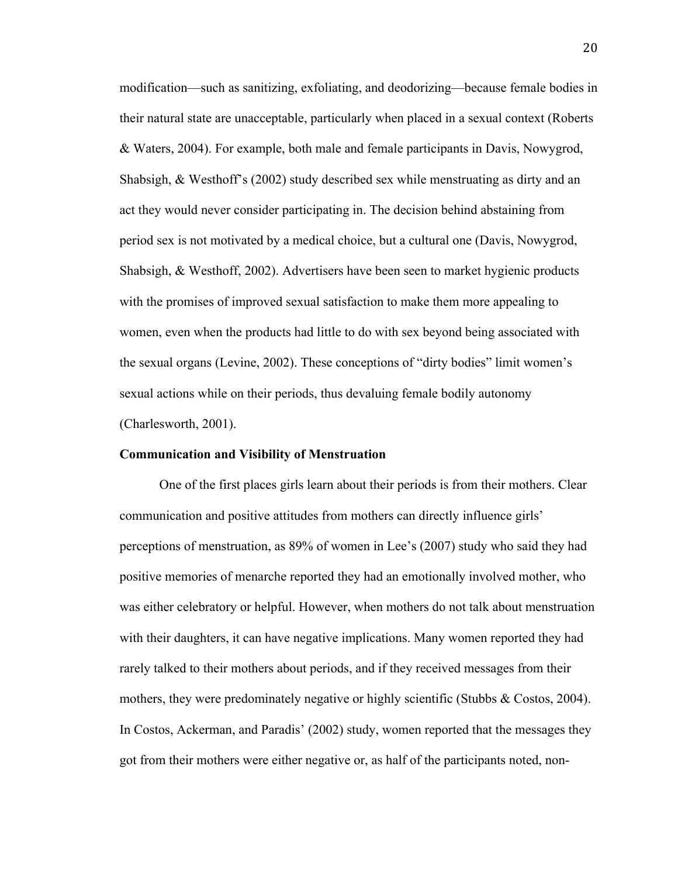modification—such as sanitizing, exfoliating, and deodorizing—because female bodies in their natural state are unacceptable, particularly when placed in a sexual context (Roberts & Waters, 2004). For example, both male and female participants in Davis, Nowygrod, Shabsigh, & Westhoff's (2002) study described sex while menstruating as dirty and an act they would never consider participating in. The decision behind abstaining from period sex is not motivated by a medical choice, but a cultural one (Davis, Nowygrod, Shabsigh, & Westhoff, 2002). Advertisers have been seen to market hygienic products with the promises of improved sexual satisfaction to make them more appealing to women, even when the products had little to do with sex beyond being associated with the sexual organs (Levine, 2002). These conceptions of "dirty bodies" limit women's sexual actions while on their periods, thus devaluing female bodily autonomy (Charlesworth, 2001).

#### **Communication and Visibility of Menstruation**

One of the first places girls learn about their periods is from their mothers. Clear communication and positive attitudes from mothers can directly influence girls' perceptions of menstruation, as 89% of women in Lee's (2007) study who said they had positive memories of menarche reported they had an emotionally involved mother, who was either celebratory or helpful. However, when mothers do not talk about menstruation with their daughters, it can have negative implications. Many women reported they had rarely talked to their mothers about periods, and if they received messages from their mothers, they were predominately negative or highly scientific (Stubbs & Costos, 2004). In Costos, Ackerman, and Paradis' (2002) study, women reported that the messages they got from their mothers were either negative or, as half of the participants noted, non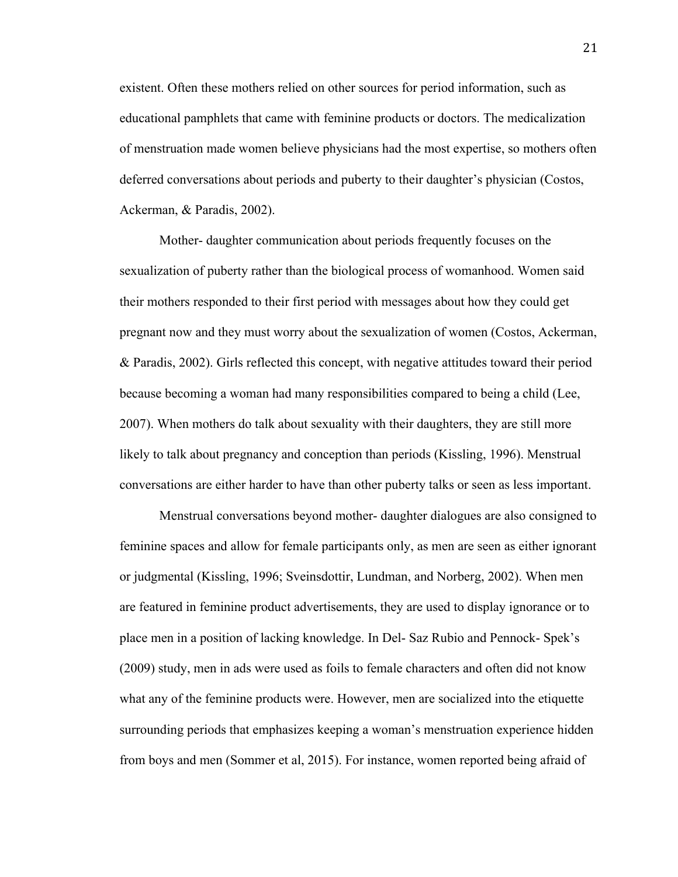existent. Often these mothers relied on other sources for period information, such as educational pamphlets that came with feminine products or doctors. The medicalization of menstruation made women believe physicians had the most expertise, so mothers often deferred conversations about periods and puberty to their daughter's physician (Costos, Ackerman, & Paradis, 2002).

Mother- daughter communication about periods frequently focuses on the sexualization of puberty rather than the biological process of womanhood. Women said their mothers responded to their first period with messages about how they could get pregnant now and they must worry about the sexualization of women (Costos, Ackerman, & Paradis, 2002). Girls reflected this concept, with negative attitudes toward their period because becoming a woman had many responsibilities compared to being a child (Lee, 2007). When mothers do talk about sexuality with their daughters, they are still more likely to talk about pregnancy and conception than periods (Kissling, 1996). Menstrual conversations are either harder to have than other puberty talks or seen as less important.

Menstrual conversations beyond mother- daughter dialogues are also consigned to feminine spaces and allow for female participants only, as men are seen as either ignorant or judgmental (Kissling, 1996; Sveinsdottir, Lundman, and Norberg, 2002). When men are featured in feminine product advertisements, they are used to display ignorance or to place men in a position of lacking knowledge. In Del- Saz Rubio and Pennock- Spek's (2009) study, men in ads were used as foils to female characters and often did not know what any of the feminine products were. However, men are socialized into the etiquette surrounding periods that emphasizes keeping a woman's menstruation experience hidden from boys and men (Sommer et al, 2015). For instance, women reported being afraid of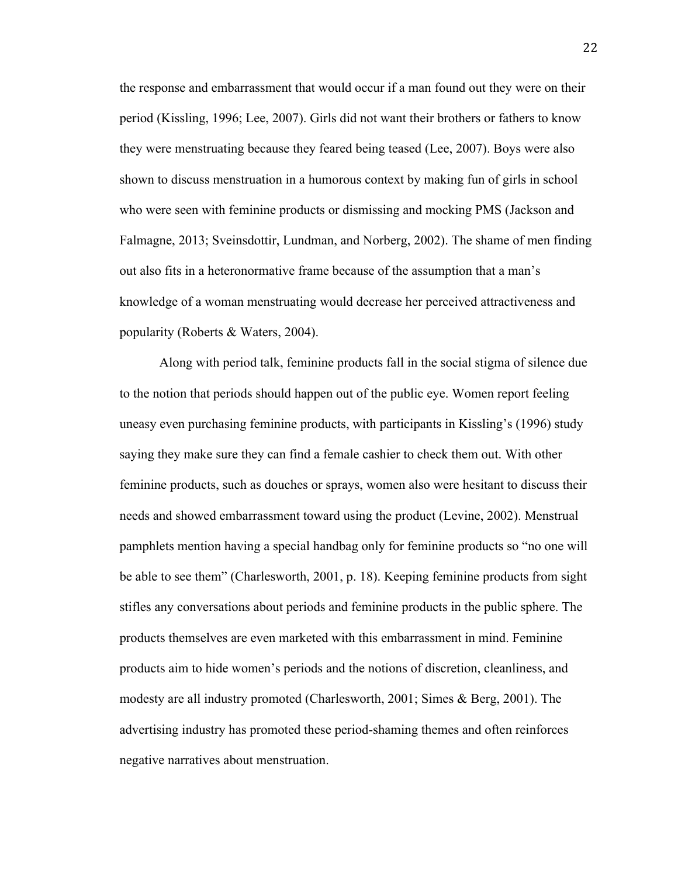the response and embarrassment that would occur if a man found out they were on their period (Kissling, 1996; Lee, 2007). Girls did not want their brothers or fathers to know they were menstruating because they feared being teased (Lee, 2007). Boys were also shown to discuss menstruation in a humorous context by making fun of girls in school who were seen with feminine products or dismissing and mocking PMS (Jackson and Falmagne, 2013; Sveinsdottir, Lundman, and Norberg, 2002). The shame of men finding out also fits in a heteronormative frame because of the assumption that a man's knowledge of a woman menstruating would decrease her perceived attractiveness and popularity (Roberts & Waters, 2004).

Along with period talk, feminine products fall in the social stigma of silence due to the notion that periods should happen out of the public eye. Women report feeling uneasy even purchasing feminine products, with participants in Kissling's (1996) study saying they make sure they can find a female cashier to check them out. With other feminine products, such as douches or sprays, women also were hesitant to discuss their needs and showed embarrassment toward using the product (Levine, 2002). Menstrual pamphlets mention having a special handbag only for feminine products so "no one will be able to see them" (Charlesworth, 2001, p. 18). Keeping feminine products from sight stifles any conversations about periods and feminine products in the public sphere. The products themselves are even marketed with this embarrassment in mind. Feminine products aim to hide women's periods and the notions of discretion, cleanliness, and modesty are all industry promoted (Charlesworth, 2001; Simes & Berg, 2001). The advertising industry has promoted these period-shaming themes and often reinforces negative narratives about menstruation.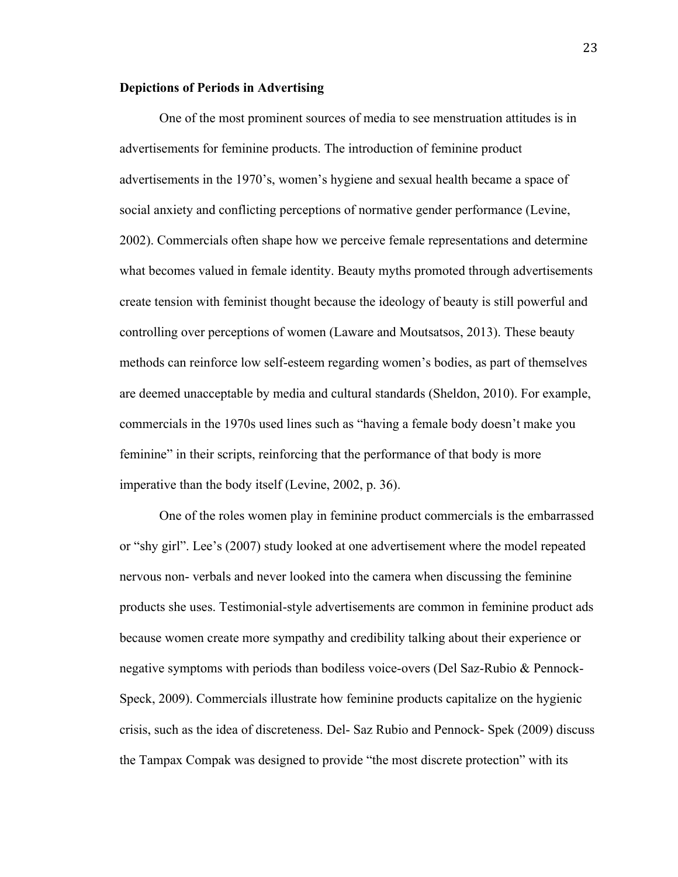#### **Depictions of Periods in Advertising**

One of the most prominent sources of media to see menstruation attitudes is in advertisements for feminine products. The introduction of feminine product advertisements in the 1970's, women's hygiene and sexual health became a space of social anxiety and conflicting perceptions of normative gender performance (Levine, 2002). Commercials often shape how we perceive female representations and determine what becomes valued in female identity. Beauty myths promoted through advertisements create tension with feminist thought because the ideology of beauty is still powerful and controlling over perceptions of women (Laware and Moutsatsos, 2013). These beauty methods can reinforce low self-esteem regarding women's bodies, as part of themselves are deemed unacceptable by media and cultural standards (Sheldon, 2010). For example, commercials in the 1970s used lines such as "having a female body doesn't make you feminine" in their scripts, reinforcing that the performance of that body is more imperative than the body itself (Levine, 2002, p. 36).

One of the roles women play in feminine product commercials is the embarrassed or "shy girl". Lee's (2007) study looked at one advertisement where the model repeated nervous non- verbals and never looked into the camera when discussing the feminine products she uses. Testimonial-style advertisements are common in feminine product ads because women create more sympathy and credibility talking about their experience or negative symptoms with periods than bodiless voice-overs (Del Saz-Rubio & Pennock-Speck, 2009). Commercials illustrate how feminine products capitalize on the hygienic crisis, such as the idea of discreteness. Del- Saz Rubio and Pennock- Spek (2009) discuss the Tampax Compak was designed to provide "the most discrete protection" with its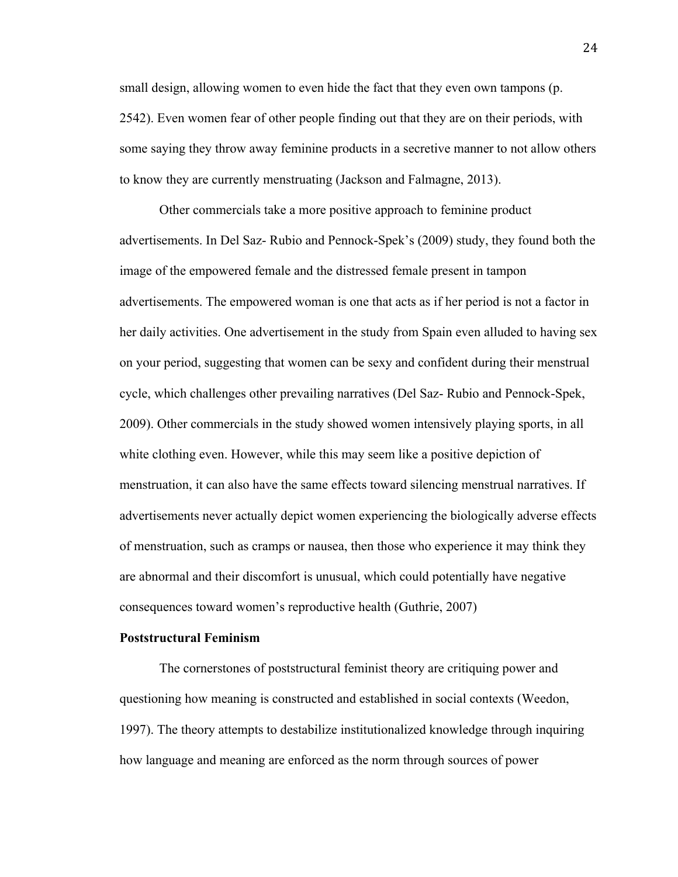small design, allowing women to even hide the fact that they even own tampons (p. 2542). Even women fear of other people finding out that they are on their periods, with some saying they throw away feminine products in a secretive manner to not allow others to know they are currently menstruating (Jackson and Falmagne, 2013).

Other commercials take a more positive approach to feminine product advertisements. In Del Saz- Rubio and Pennock-Spek's (2009) study, they found both the image of the empowered female and the distressed female present in tampon advertisements. The empowered woman is one that acts as if her period is not a factor in her daily activities. One advertisement in the study from Spain even alluded to having sex on your period, suggesting that women can be sexy and confident during their menstrual cycle, which challenges other prevailing narratives (Del Saz- Rubio and Pennock-Spek, 2009). Other commercials in the study showed women intensively playing sports, in all white clothing even. However, while this may seem like a positive depiction of menstruation, it can also have the same effects toward silencing menstrual narratives. If advertisements never actually depict women experiencing the biologically adverse effects of menstruation, such as cramps or nausea, then those who experience it may think they are abnormal and their discomfort is unusual, which could potentially have negative consequences toward women's reproductive health (Guthrie, 2007)

#### **Poststructural Feminism**

The cornerstones of poststructural feminist theory are critiquing power and questioning how meaning is constructed and established in social contexts (Weedon, 1997). The theory attempts to destabilize institutionalized knowledge through inquiring how language and meaning are enforced as the norm through sources of power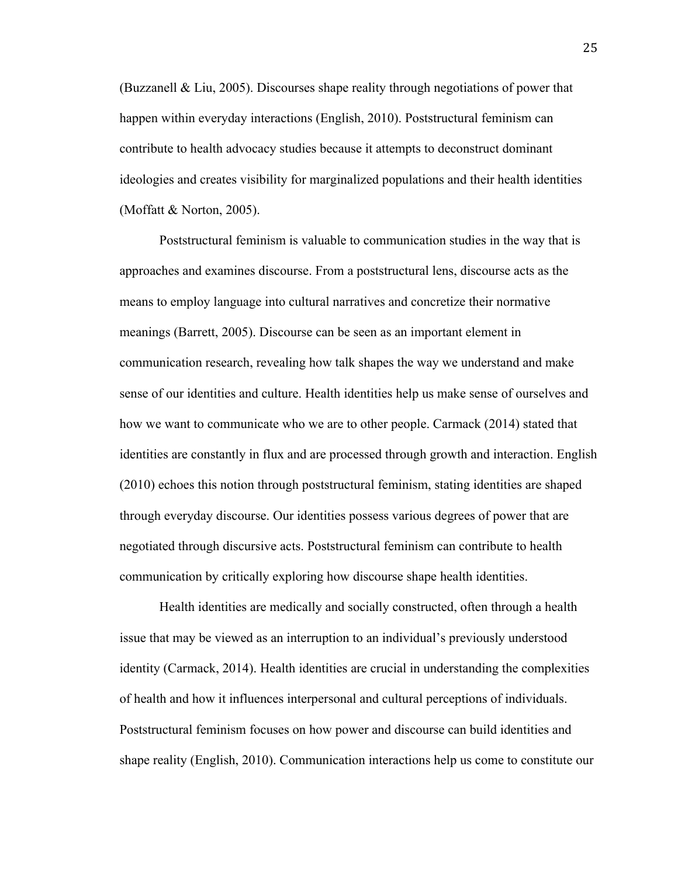(Buzzanell & Liu, 2005). Discourses shape reality through negotiations of power that happen within everyday interactions (English, 2010). Poststructural feminism can contribute to health advocacy studies because it attempts to deconstruct dominant ideologies and creates visibility for marginalized populations and their health identities (Moffatt & Norton, 2005).

Poststructural feminism is valuable to communication studies in the way that is approaches and examines discourse. From a poststructural lens, discourse acts as the means to employ language into cultural narratives and concretize their normative meanings (Barrett, 2005). Discourse can be seen as an important element in communication research, revealing how talk shapes the way we understand and make sense of our identities and culture. Health identities help us make sense of ourselves and how we want to communicate who we are to other people. Carmack (2014) stated that identities are constantly in flux and are processed through growth and interaction. English (2010) echoes this notion through poststructural feminism, stating identities are shaped through everyday discourse. Our identities possess various degrees of power that are negotiated through discursive acts. Poststructural feminism can contribute to health communication by critically exploring how discourse shape health identities.

Health identities are medically and socially constructed, often through a health issue that may be viewed as an interruption to an individual's previously understood identity (Carmack, 2014). Health identities are crucial in understanding the complexities of health and how it influences interpersonal and cultural perceptions of individuals. Poststructural feminism focuses on how power and discourse can build identities and shape reality (English, 2010). Communication interactions help us come to constitute our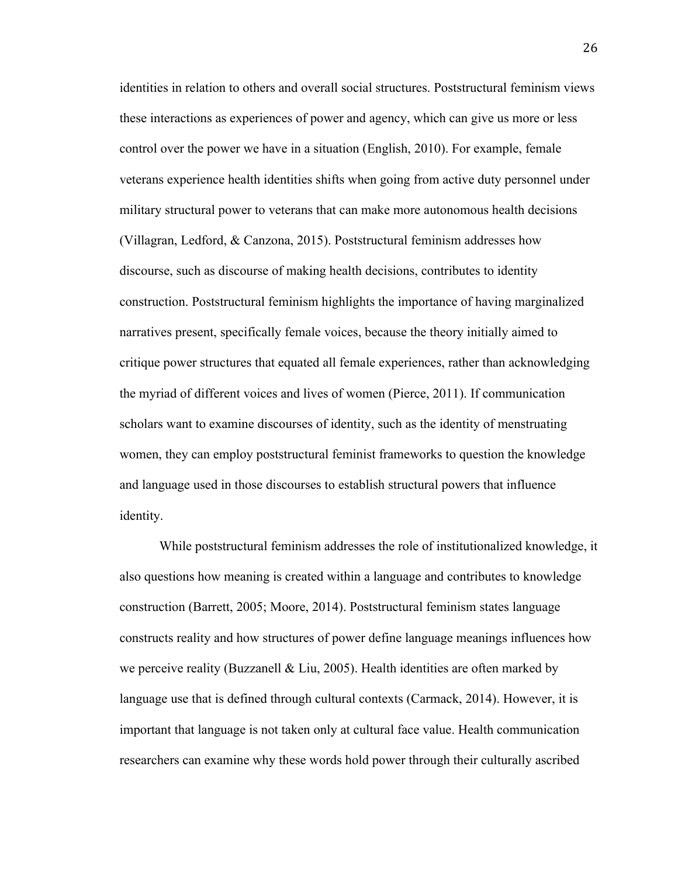identities in relation to others and overall social structures. Poststructural feminism views these interactions as experiences of power and agency, which can give us more or less control over the power we have in a situation (English, 2010). For example, female veterans experience health identities shifts when going from active duty personnel under military structural power to veterans that can make more autonomous health decisions (Villagran, Ledford, & Canzona, 2015). Poststructural feminism addresses how discourse, such as discourse of making health decisions, contributes to identity construction. Poststructural feminism highlights the importance of having marginalized narratives present, specifically female voices, because the theory initially aimed to critique power structures that equated all female experiences, rather than acknowledging the myriad of different voices and lives of women (Pierce, 2011). If communication scholars want to examine discourses of identity, such as the identity of menstruating women, they can employ poststructural feminist frameworks to question the knowledge and language used in those discourses to establish structural powers that influence identity.

While poststructural feminism addresses the role of institutionalized knowledge, it also questions how meaning is created within a language and contributes to knowledge construction (Barrett, 2005; Moore, 2014). Poststructural feminism states language constructs reality and how structures of power define language meanings influences how we perceive reality (Buzzanell  $& Liu, 2005$ ). Health identities are often marked by language use that is defined through cultural contexts (Carmack, 2014). However, it is important that language is not taken only at cultural face value. Health communication researchers can examine why these words hold power through their culturally ascribed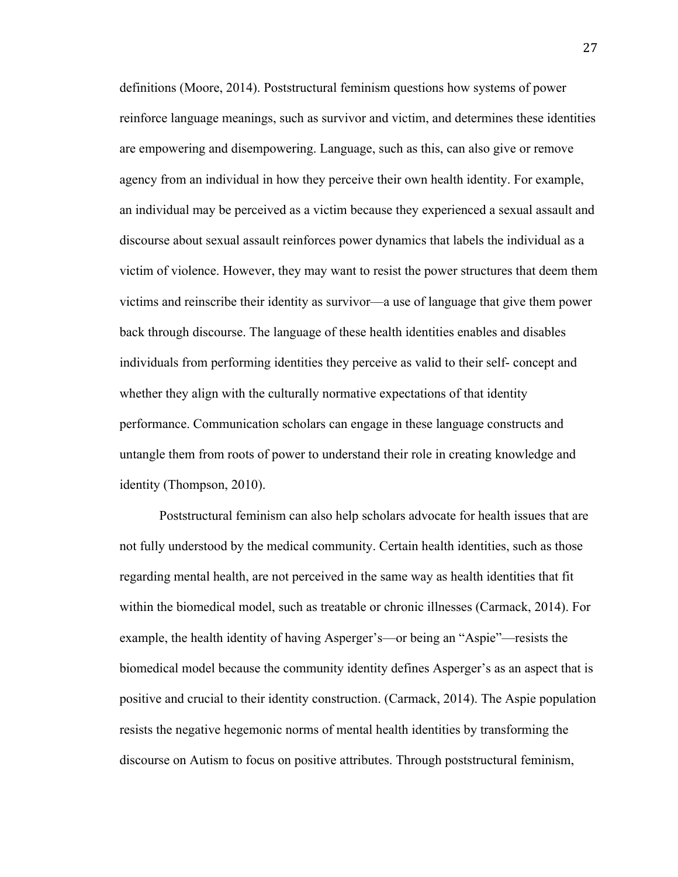definitions (Moore, 2014). Poststructural feminism questions how systems of power reinforce language meanings, such as survivor and victim, and determines these identities are empowering and disempowering. Language, such as this, can also give or remove agency from an individual in how they perceive their own health identity. For example, an individual may be perceived as a victim because they experienced a sexual assault and discourse about sexual assault reinforces power dynamics that labels the individual as a victim of violence. However, they may want to resist the power structures that deem them victims and reinscribe their identity as survivor—a use of language that give them power back through discourse. The language of these health identities enables and disables individuals from performing identities they perceive as valid to their self- concept and whether they align with the culturally normative expectations of that identity performance. Communication scholars can engage in these language constructs and untangle them from roots of power to understand their role in creating knowledge and identity (Thompson, 2010).

Poststructural feminism can also help scholars advocate for health issues that are not fully understood by the medical community. Certain health identities, such as those regarding mental health, are not perceived in the same way as health identities that fit within the biomedical model, such as treatable or chronic illnesses (Carmack, 2014). For example, the health identity of having Asperger's—or being an "Aspie"—resists the biomedical model because the community identity defines Asperger's as an aspect that is positive and crucial to their identity construction. (Carmack, 2014). The Aspie population resists the negative hegemonic norms of mental health identities by transforming the discourse on Autism to focus on positive attributes. Through poststructural feminism,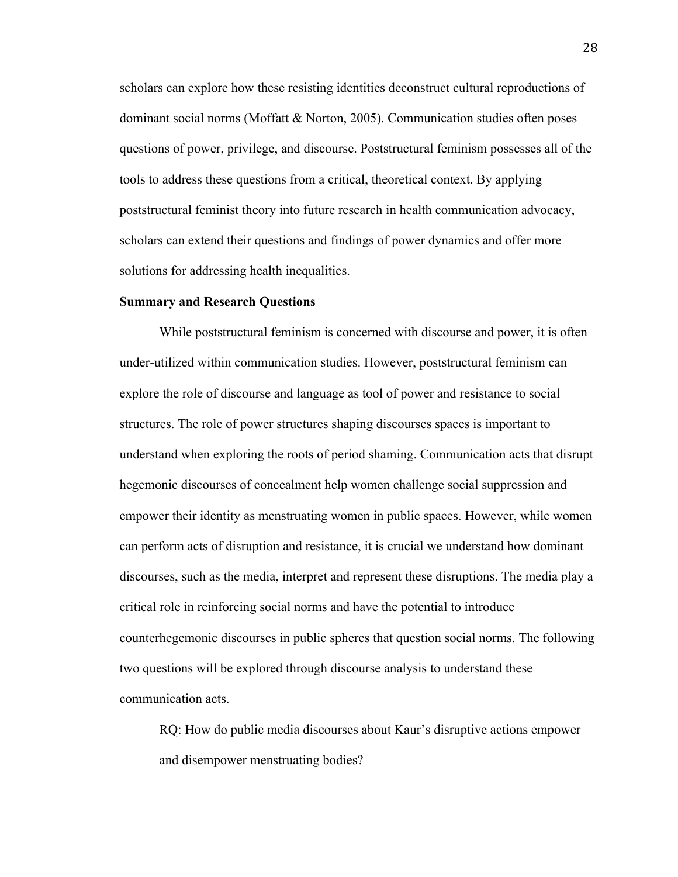scholars can explore how these resisting identities deconstruct cultural reproductions of dominant social norms (Moffatt & Norton, 2005). Communication studies often poses questions of power, privilege, and discourse. Poststructural feminism possesses all of the tools to address these questions from a critical, theoretical context. By applying poststructural feminist theory into future research in health communication advocacy, scholars can extend their questions and findings of power dynamics and offer more solutions for addressing health inequalities.

#### **Summary and Research Questions**

While poststructural feminism is concerned with discourse and power, it is often under-utilized within communication studies. However, poststructural feminism can explore the role of discourse and language as tool of power and resistance to social structures. The role of power structures shaping discourses spaces is important to understand when exploring the roots of period shaming. Communication acts that disrupt hegemonic discourses of concealment help women challenge social suppression and empower their identity as menstruating women in public spaces. However, while women can perform acts of disruption and resistance, it is crucial we understand how dominant discourses, such as the media, interpret and represent these disruptions. The media play a critical role in reinforcing social norms and have the potential to introduce counterhegemonic discourses in public spheres that question social norms. The following two questions will be explored through discourse analysis to understand these communication acts.

RQ: How do public media discourses about Kaur's disruptive actions empower and disempower menstruating bodies?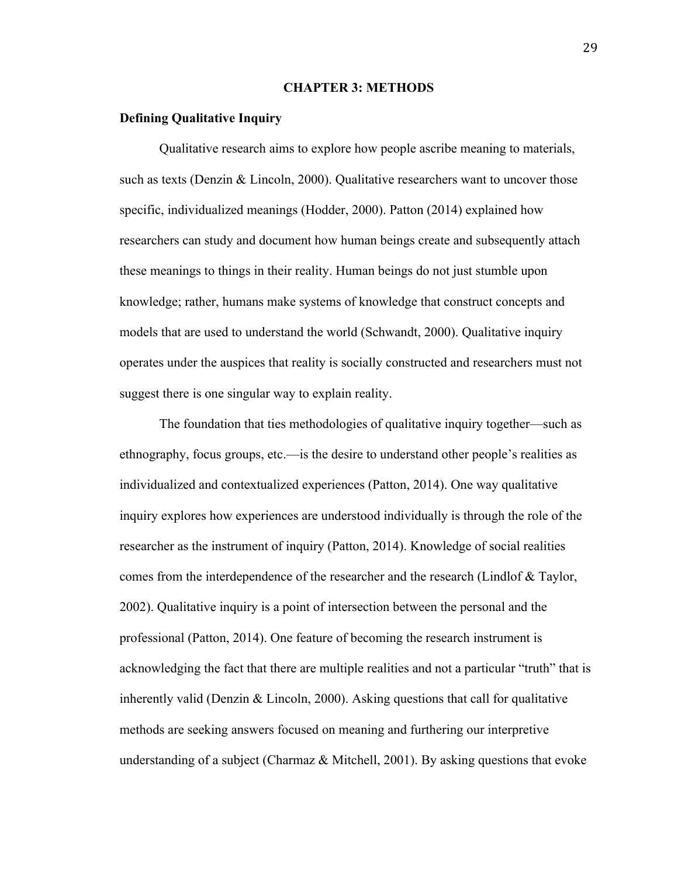#### **CHAPTER 3: METHODS**

#### **Defining Qualitative Inquiry**

Qualitative research aims to explore how people ascribe meaning to materials, such as texts (Denzin & Lincoln, 2000). Qualitative researchers want to uncover those specific, individualized meanings (Hodder, 2000). Patton (2014) explained how researchers can study and document how human beings create and subsequently attach these meanings to things in their reality. Human beings do not just stumble upon knowledge; rather, humans make systems of knowledge that construct concepts and models that are used to understand the world (Schwandt, 2000). Qualitative inquiry operates under the auspices that reality is socially constructed and researchers must not suggest there is one singular way to explain reality.

The foundation that ties methodologies of qualitative inquiry together—such as ethnography, focus groups, etc.—is the desire to understand other people's realities as individualized and contextualized experiences (Patton, 2014). One way qualitative inquiry explores how experiences are understood individually is through the role of the researcher as the instrument of inquiry (Patton, 2014). Knowledge of social realities comes from the interdependence of the researcher and the research (Lindlof & Taylor, 2002). Qualitative inquiry is a point of intersection between the personal and the professional (Patton, 2014). One feature of becoming the research instrument is acknowledging the fact that there are multiple realities and not a particular "truth" that is inherently valid (Denzin  $\&$  Lincoln, 2000). Asking questions that call for qualitative methods are seeking answers focused on meaning and furthering our interpretive understanding of a subject (Charmaz  $\&$  Mitchell, 2001). By asking questions that evoke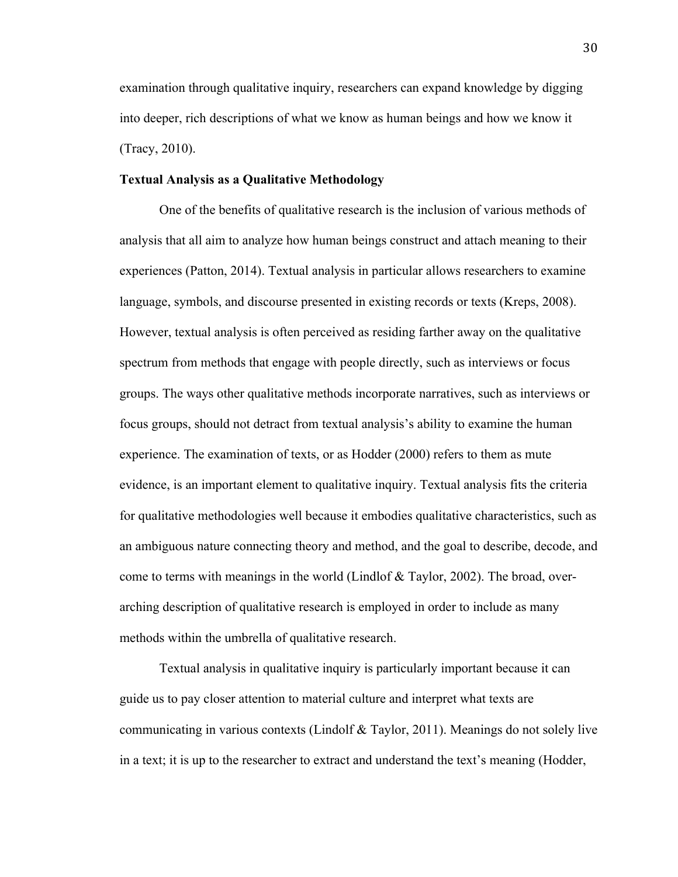examination through qualitative inquiry, researchers can expand knowledge by digging into deeper, rich descriptions of what we know as human beings and how we know it (Tracy, 2010).

#### **Textual Analysis as a Qualitative Methodology**

One of the benefits of qualitative research is the inclusion of various methods of analysis that all aim to analyze how human beings construct and attach meaning to their experiences (Patton, 2014). Textual analysis in particular allows researchers to examine language, symbols, and discourse presented in existing records or texts (Kreps, 2008). However, textual analysis is often perceived as residing farther away on the qualitative spectrum from methods that engage with people directly, such as interviews or focus groups. The ways other qualitative methods incorporate narratives, such as interviews or focus groups, should not detract from textual analysis's ability to examine the human experience. The examination of texts, or as Hodder (2000) refers to them as mute evidence, is an important element to qualitative inquiry. Textual analysis fits the criteria for qualitative methodologies well because it embodies qualitative characteristics, such as an ambiguous nature connecting theory and method, and the goal to describe, decode, and come to terms with meanings in the world (Lindlof  $& Taylor, 2002$ ). The broad, overarching description of qualitative research is employed in order to include as many methods within the umbrella of qualitative research.

Textual analysis in qualitative inquiry is particularly important because it can guide us to pay closer attention to material culture and interpret what texts are communicating in various contexts (Lindolf & Taylor, 2011). Meanings do not solely live in a text; it is up to the researcher to extract and understand the text's meaning (Hodder,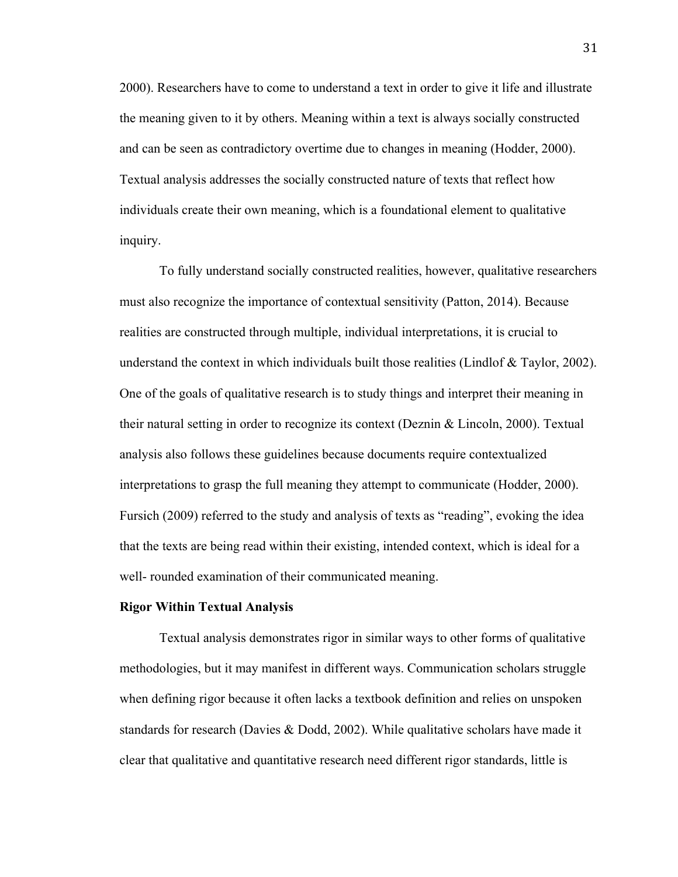2000). Researchers have to come to understand a text in order to give it life and illustrate the meaning given to it by others. Meaning within a text is always socially constructed and can be seen as contradictory overtime due to changes in meaning (Hodder, 2000). Textual analysis addresses the socially constructed nature of texts that reflect how individuals create their own meaning, which is a foundational element to qualitative inquiry.

To fully understand socially constructed realities, however, qualitative researchers must also recognize the importance of contextual sensitivity (Patton, 2014). Because realities are constructed through multiple, individual interpretations, it is crucial to understand the context in which individuals built those realities (Lindlof & Taylor, 2002). One of the goals of qualitative research is to study things and interpret their meaning in their natural setting in order to recognize its context (Deznin & Lincoln, 2000). Textual analysis also follows these guidelines because documents require contextualized interpretations to grasp the full meaning they attempt to communicate (Hodder, 2000). Fursich (2009) referred to the study and analysis of texts as "reading", evoking the idea that the texts are being read within their existing, intended context, which is ideal for a well- rounded examination of their communicated meaning.

#### **Rigor Within Textual Analysis**

Textual analysis demonstrates rigor in similar ways to other forms of qualitative methodologies, but it may manifest in different ways. Communication scholars struggle when defining rigor because it often lacks a textbook definition and relies on unspoken standards for research (Davies & Dodd, 2002). While qualitative scholars have made it clear that qualitative and quantitative research need different rigor standards, little is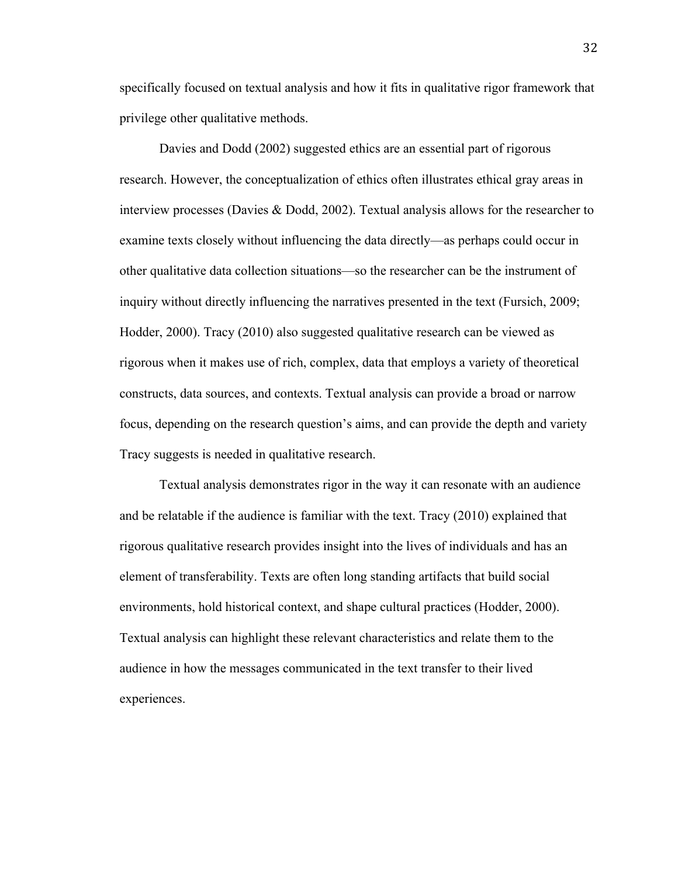specifically focused on textual analysis and how it fits in qualitative rigor framework that privilege other qualitative methods.

Davies and Dodd (2002) suggested ethics are an essential part of rigorous research. However, the conceptualization of ethics often illustrates ethical gray areas in interview processes (Davies & Dodd, 2002). Textual analysis allows for the researcher to examine texts closely without influencing the data directly—as perhaps could occur in other qualitative data collection situations—so the researcher can be the instrument of inquiry without directly influencing the narratives presented in the text (Fursich, 2009; Hodder, 2000). Tracy (2010) also suggested qualitative research can be viewed as rigorous when it makes use of rich, complex, data that employs a variety of theoretical constructs, data sources, and contexts. Textual analysis can provide a broad or narrow focus, depending on the research question's aims, and can provide the depth and variety Tracy suggests is needed in qualitative research.

Textual analysis demonstrates rigor in the way it can resonate with an audience and be relatable if the audience is familiar with the text. Tracy (2010) explained that rigorous qualitative research provides insight into the lives of individuals and has an element of transferability. Texts are often long standing artifacts that build social environments, hold historical context, and shape cultural practices (Hodder, 2000). Textual analysis can highlight these relevant characteristics and relate them to the audience in how the messages communicated in the text transfer to their lived experiences.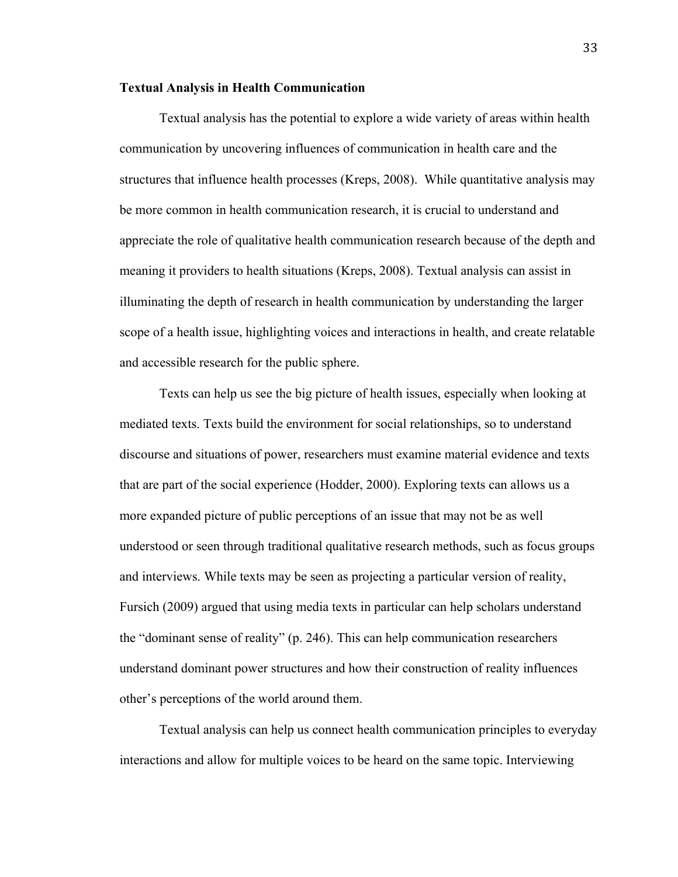#### **Textual Analysis in Health Communication**

Textual analysis has the potential to explore a wide variety of areas within health communication by uncovering influences of communication in health care and the structures that influence health processes (Kreps, 2008). While quantitative analysis may be more common in health communication research, it is crucial to understand and appreciate the role of qualitative health communication research because of the depth and meaning it providers to health situations (Kreps, 2008). Textual analysis can assist in illuminating the depth of research in health communication by understanding the larger scope of a health issue, highlighting voices and interactions in health, and create relatable and accessible research for the public sphere.

Texts can help us see the big picture of health issues, especially when looking at mediated texts. Texts build the environment for social relationships, so to understand discourse and situations of power, researchers must examine material evidence and texts that are part of the social experience (Hodder, 2000). Exploring texts can allows us a more expanded picture of public perceptions of an issue that may not be as well understood or seen through traditional qualitative research methods, such as focus groups and interviews. While texts may be seen as projecting a particular version of reality, Fursich (2009) argued that using media texts in particular can help scholars understand the "dominant sense of reality" (p. 246). This can help communication researchers understand dominant power structures and how their construction of reality influences other's perceptions of the world around them.

Textual analysis can help us connect health communication principles to everyday interactions and allow for multiple voices to be heard on the same topic. Interviewing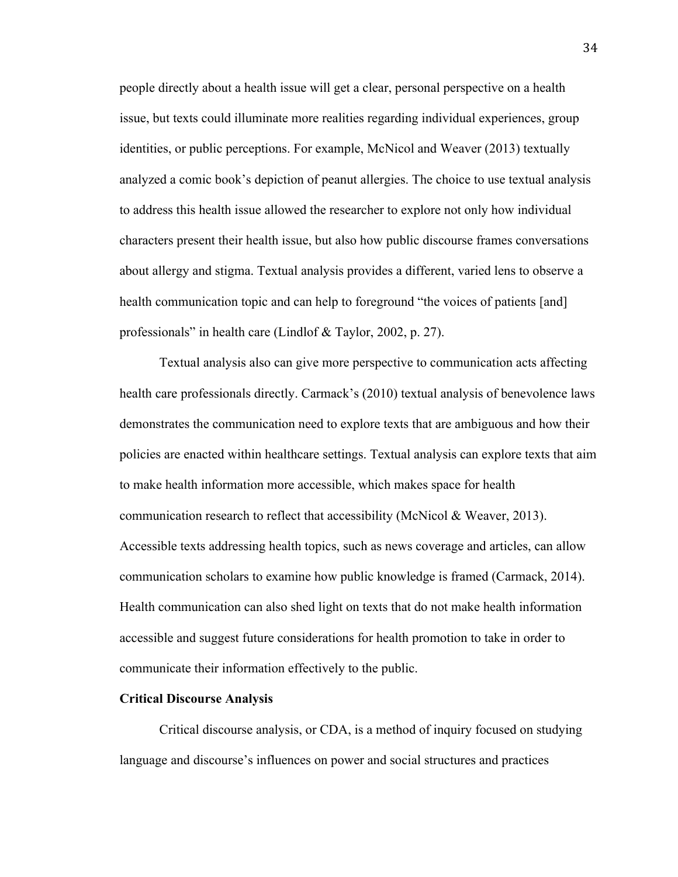people directly about a health issue will get a clear, personal perspective on a health issue, but texts could illuminate more realities regarding individual experiences, group identities, or public perceptions. For example, McNicol and Weaver (2013) textually analyzed a comic book's depiction of peanut allergies. The choice to use textual analysis to address this health issue allowed the researcher to explore not only how individual characters present their health issue, but also how public discourse frames conversations about allergy and stigma. Textual analysis provides a different, varied lens to observe a health communication topic and can help to foreground "the voices of patients [and] professionals" in health care (Lindlof & Taylor, 2002, p. 27).

Textual analysis also can give more perspective to communication acts affecting health care professionals directly. Carmack's (2010) textual analysis of benevolence laws demonstrates the communication need to explore texts that are ambiguous and how their policies are enacted within healthcare settings. Textual analysis can explore texts that aim to make health information more accessible, which makes space for health communication research to reflect that accessibility (McNicol & Weaver, 2013). Accessible texts addressing health topics, such as news coverage and articles, can allow communication scholars to examine how public knowledge is framed (Carmack, 2014). Health communication can also shed light on texts that do not make health information accessible and suggest future considerations for health promotion to take in order to communicate their information effectively to the public.

### **Critical Discourse Analysis**

Critical discourse analysis, or CDA, is a method of inquiry focused on studying language and discourse's influences on power and social structures and practices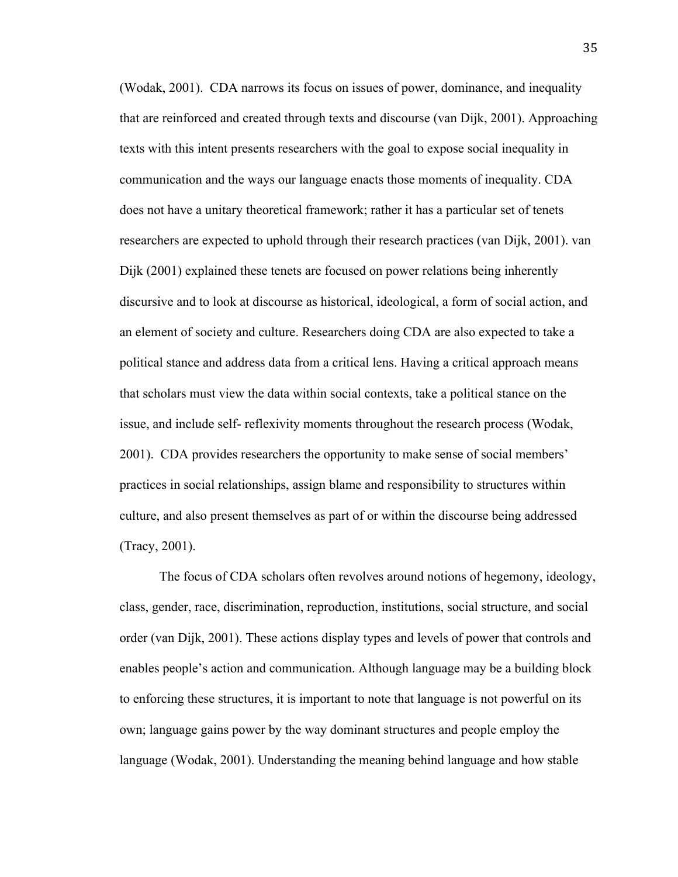(Wodak, 2001). CDA narrows its focus on issues of power, dominance, and inequality that are reinforced and created through texts and discourse (van Dijk, 2001). Approaching texts with this intent presents researchers with the goal to expose social inequality in communication and the ways our language enacts those moments of inequality. CDA does not have a unitary theoretical framework; rather it has a particular set of tenets researchers are expected to uphold through their research practices (van Dijk, 2001). van Dijk (2001) explained these tenets are focused on power relations being inherently discursive and to look at discourse as historical, ideological, a form of social action, and an element of society and culture. Researchers doing CDA are also expected to take a political stance and address data from a critical lens. Having a critical approach means that scholars must view the data within social contexts, take a political stance on the issue, and include self- reflexivity moments throughout the research process (Wodak, 2001). CDA provides researchers the opportunity to make sense of social members' practices in social relationships, assign blame and responsibility to structures within culture, and also present themselves as part of or within the discourse being addressed (Tracy, 2001).

The focus of CDA scholars often revolves around notions of hegemony, ideology, class, gender, race, discrimination, reproduction, institutions, social structure, and social order (van Dijk, 2001). These actions display types and levels of power that controls and enables people's action and communication. Although language may be a building block to enforcing these structures, it is important to note that language is not powerful on its own; language gains power by the way dominant structures and people employ the language (Wodak, 2001). Understanding the meaning behind language and how stable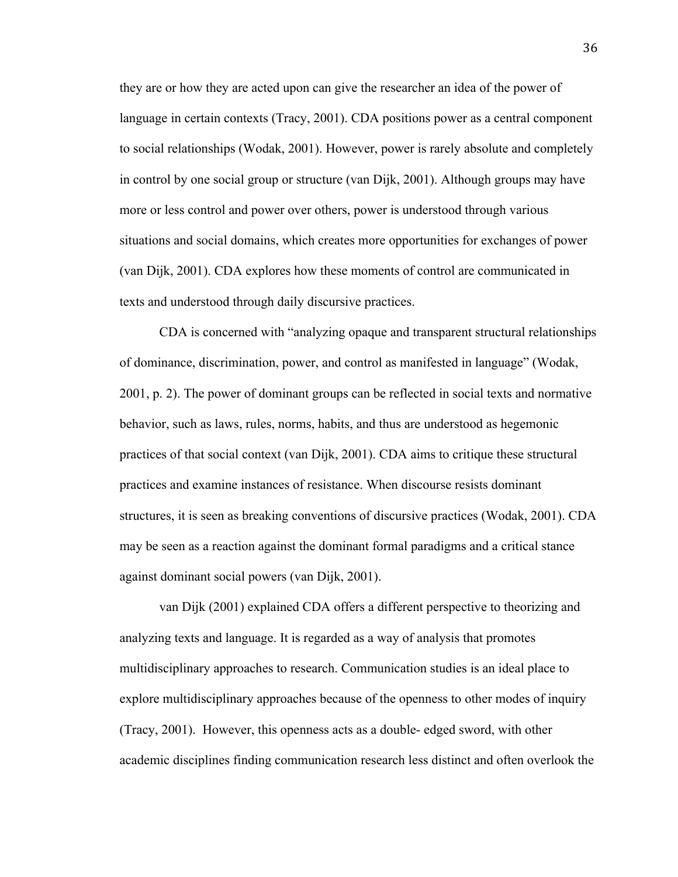they are or how they are acted upon can give the researcher an idea of the power of language in certain contexts (Tracy, 2001). CDA positions power as a central component to social relationships (Wodak, 2001). However, power is rarely absolute and completely in control by one social group or structure (van Dijk, 2001). Although groups may have more or less control and power over others, power is understood through various situations and social domains, which creates more opportunities for exchanges of power (van Dijk, 2001). CDA explores how these moments of control are communicated in texts and understood through daily discursive practices.

CDA is concerned with "analyzing opaque and transparent structural relationships of dominance, discrimination, power, and control as manifested in language" (Wodak, 2001, p. 2). The power of dominant groups can be reflected in social texts and normative behavior, such as laws, rules, norms, habits, and thus are understood as hegemonic practices of that social context (van Dijk, 2001). CDA aims to critique these structural practices and examine instances of resistance. When discourse resists dominant structures, it is seen as breaking conventions of discursive practices (Wodak, 2001). CDA may be seen as a reaction against the dominant formal paradigms and a critical stance against dominant social powers (van Dijk, 2001).

van Dijk (2001) explained CDA offers a different perspective to theorizing and analyzing texts and language. It is regarded as a way of analysis that promotes multidisciplinary approaches to research. Communication studies is an ideal place to explore multidisciplinary approaches because of the openness to other modes of inquiry (Tracy, 2001). However, this openness acts as a double- edged sword, with other academic disciplines finding communication research less distinct and often overlook the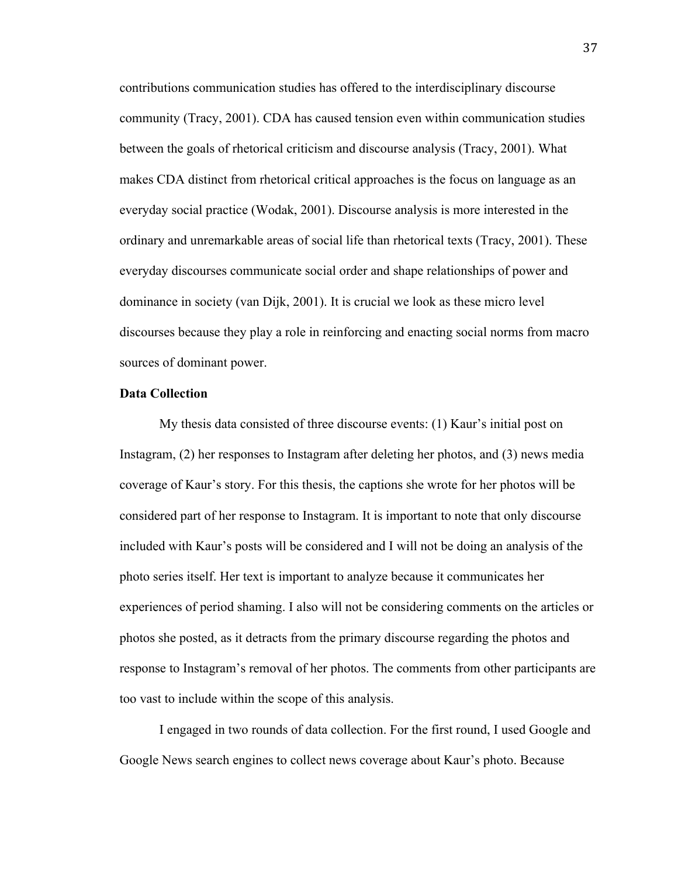contributions communication studies has offered to the interdisciplinary discourse community (Tracy, 2001). CDA has caused tension even within communication studies between the goals of rhetorical criticism and discourse analysis (Tracy, 2001). What makes CDA distinct from rhetorical critical approaches is the focus on language as an everyday social practice (Wodak, 2001). Discourse analysis is more interested in the ordinary and unremarkable areas of social life than rhetorical texts (Tracy, 2001). These everyday discourses communicate social order and shape relationships of power and dominance in society (van Dijk, 2001). It is crucial we look as these micro level discourses because they play a role in reinforcing and enacting social norms from macro sources of dominant power.

### **Data Collection**

My thesis data consisted of three discourse events: (1) Kaur's initial post on Instagram, (2) her responses to Instagram after deleting her photos, and (3) news media coverage of Kaur's story. For this thesis, the captions she wrote for her photos will be considered part of her response to Instagram. It is important to note that only discourse included with Kaur's posts will be considered and I will not be doing an analysis of the photo series itself. Her text is important to analyze because it communicates her experiences of period shaming. I also will not be considering comments on the articles or photos she posted, as it detracts from the primary discourse regarding the photos and response to Instagram's removal of her photos. The comments from other participants are too vast to include within the scope of this analysis.

I engaged in two rounds of data collection. For the first round, I used Google and Google News search engines to collect news coverage about Kaur's photo. Because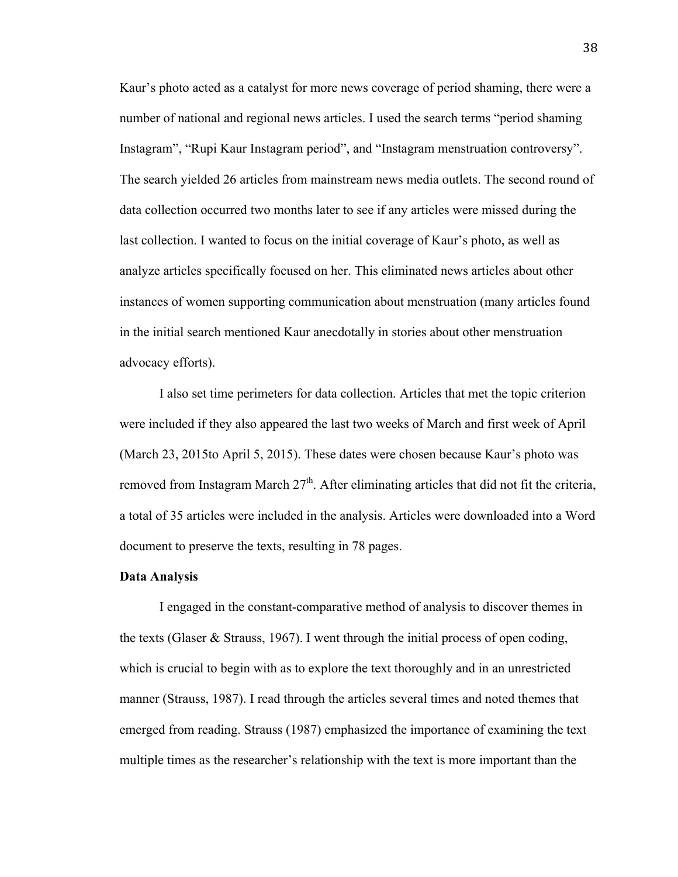Kaur's photo acted as a catalyst for more news coverage of period shaming, there were a number of national and regional news articles. I used the search terms "period shaming Instagram", "Rupi Kaur Instagram period", and "Instagram menstruation controversy". The search yielded 26 articles from mainstream news media outlets. The second round of data collection occurred two months later to see if any articles were missed during the last collection. I wanted to focus on the initial coverage of Kaur's photo, as well as analyze articles specifically focused on her. This eliminated news articles about other instances of women supporting communication about menstruation (many articles found in the initial search mentioned Kaur anecdotally in stories about other menstruation advocacy efforts).

I also set time perimeters for data collection. Articles that met the topic criterion were included if they also appeared the last two weeks of March and first week of April (March 23, 2015to April 5, 2015). These dates were chosen because Kaur's photo was removed from Instagram March  $27<sup>th</sup>$ . After eliminating articles that did not fit the criteria, a total of 35 articles were included in the analysis. Articles were downloaded into a Word document to preserve the texts, resulting in 78 pages.

#### **Data Analysis**

I engaged in the constant-comparative method of analysis to discover themes in the texts (Glaser & Strauss, 1967). I went through the initial process of open coding, which is crucial to begin with as to explore the text thoroughly and in an unrestricted manner (Strauss, 1987). I read through the articles several times and noted themes that emerged from reading. Strauss (1987) emphasized the importance of examining the text multiple times as the researcher's relationship with the text is more important than the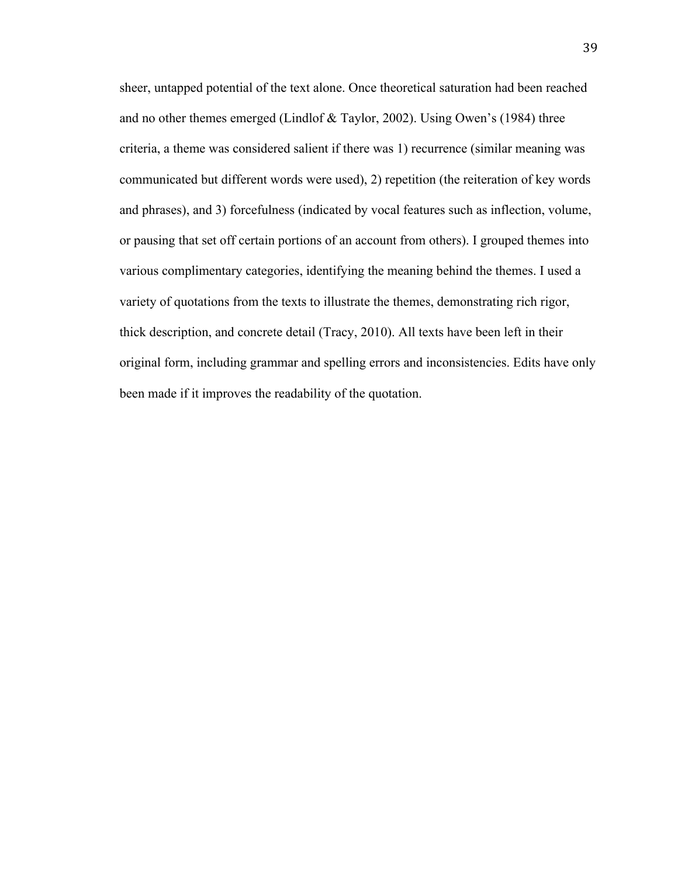sheer, untapped potential of the text alone. Once theoretical saturation had been reached and no other themes emerged (Lindlof & Taylor, 2002). Using Owen's (1984) three criteria, a theme was considered salient if there was 1) recurrence (similar meaning was communicated but different words were used), 2) repetition (the reiteration of key words and phrases), and 3) forcefulness (indicated by vocal features such as inflection, volume, or pausing that set off certain portions of an account from others). I grouped themes into various complimentary categories, identifying the meaning behind the themes. I used a variety of quotations from the texts to illustrate the themes, demonstrating rich rigor, thick description, and concrete detail (Tracy, 2010). All texts have been left in their original form, including grammar and spelling errors and inconsistencies. Edits have only been made if it improves the readability of the quotation.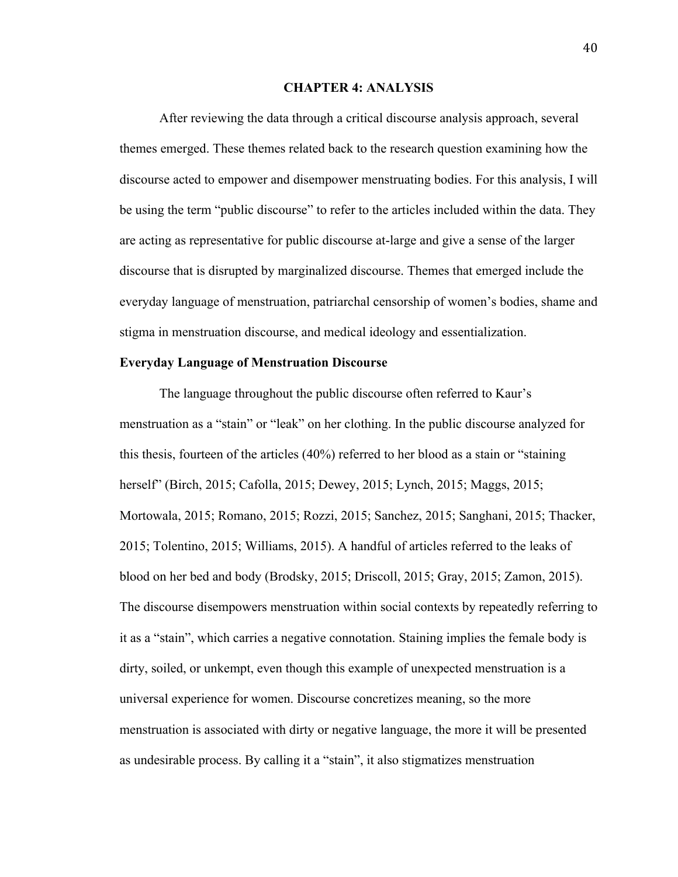### **CHAPTER 4: ANALYSIS**

After reviewing the data through a critical discourse analysis approach, several themes emerged. These themes related back to the research question examining how the discourse acted to empower and disempower menstruating bodies. For this analysis, I will be using the term "public discourse" to refer to the articles included within the data. They are acting as representative for public discourse at-large and give a sense of the larger discourse that is disrupted by marginalized discourse. Themes that emerged include the everyday language of menstruation, patriarchal censorship of women's bodies, shame and stigma in menstruation discourse, and medical ideology and essentialization.

#### **Everyday Language of Menstruation Discourse**

The language throughout the public discourse often referred to Kaur's menstruation as a "stain" or "leak" on her clothing. In the public discourse analyzed for this thesis, fourteen of the articles (40%) referred to her blood as a stain or "staining herself" (Birch, 2015; Cafolla, 2015; Dewey, 2015; Lynch, 2015; Maggs, 2015; Mortowala, 2015; Romano, 2015; Rozzi, 2015; Sanchez, 2015; Sanghani, 2015; Thacker, 2015; Tolentino, 2015; Williams, 2015). A handful of articles referred to the leaks of blood on her bed and body (Brodsky, 2015; Driscoll, 2015; Gray, 2015; Zamon, 2015). The discourse disempowers menstruation within social contexts by repeatedly referring to it as a "stain", which carries a negative connotation. Staining implies the female body is dirty, soiled, or unkempt, even though this example of unexpected menstruation is a universal experience for women. Discourse concretizes meaning, so the more menstruation is associated with dirty or negative language, the more it will be presented as undesirable process. By calling it a "stain", it also stigmatizes menstruation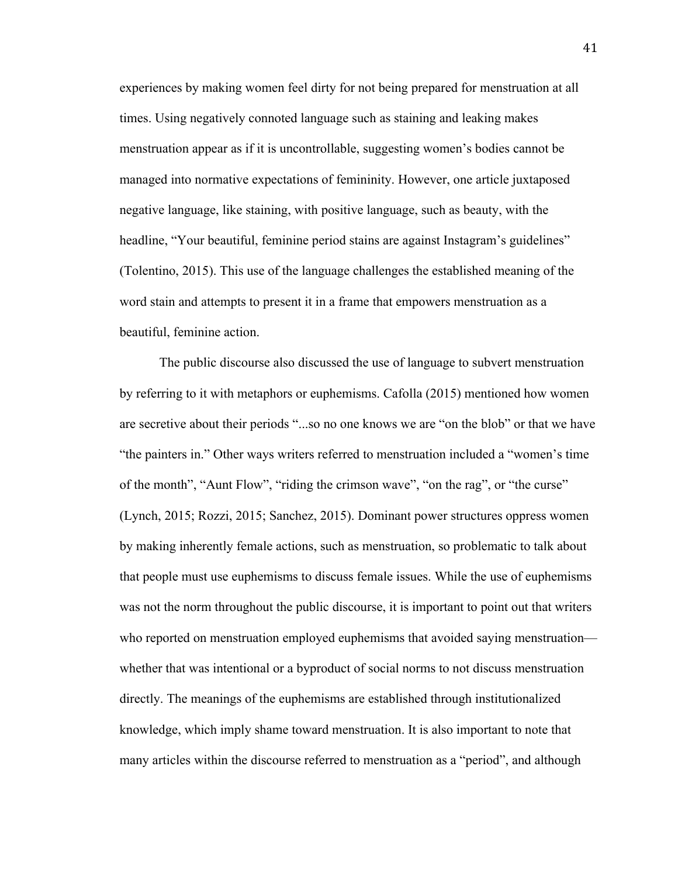experiences by making women feel dirty for not being prepared for menstruation at all times. Using negatively connoted language such as staining and leaking makes menstruation appear as if it is uncontrollable, suggesting women's bodies cannot be managed into normative expectations of femininity. However, one article juxtaposed negative language, like staining, with positive language, such as beauty, with the headline, "Your beautiful, feminine period stains are against Instagram's guidelines" (Tolentino, 2015). This use of the language challenges the established meaning of the word stain and attempts to present it in a frame that empowers menstruation as a beautiful, feminine action.

The public discourse also discussed the use of language to subvert menstruation by referring to it with metaphors or euphemisms. Cafolla (2015) mentioned how women are secretive about their periods "...so no one knows we are "on the blob" or that we have "the painters in." Other ways writers referred to menstruation included a "women's time of the month", "Aunt Flow", "riding the crimson wave", "on the rag", or "the curse" (Lynch, 2015; Rozzi, 2015; Sanchez, 2015). Dominant power structures oppress women by making inherently female actions, such as menstruation, so problematic to talk about that people must use euphemisms to discuss female issues. While the use of euphemisms was not the norm throughout the public discourse, it is important to point out that writers who reported on menstruation employed euphemisms that avoided saying menstruation whether that was intentional or a byproduct of social norms to not discuss menstruation directly. The meanings of the euphemisms are established through institutionalized knowledge, which imply shame toward menstruation. It is also important to note that many articles within the discourse referred to menstruation as a "period", and although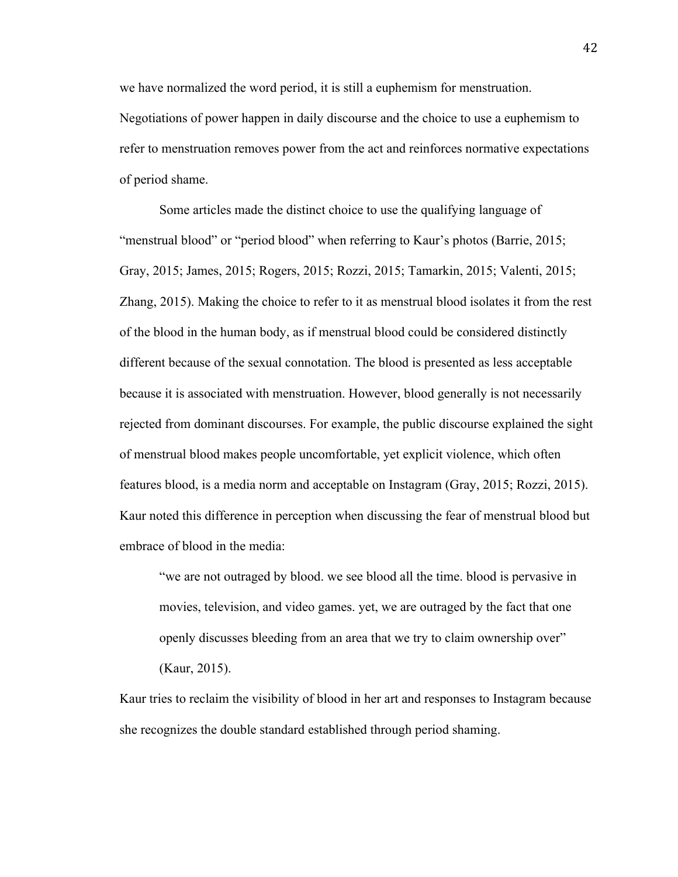we have normalized the word period, it is still a euphemism for menstruation. Negotiations of power happen in daily discourse and the choice to use a euphemism to refer to menstruation removes power from the act and reinforces normative expectations of period shame.

Some articles made the distinct choice to use the qualifying language of "menstrual blood" or "period blood" when referring to Kaur's photos (Barrie, 2015; Gray, 2015; James, 2015; Rogers, 2015; Rozzi, 2015; Tamarkin, 2015; Valenti, 2015; Zhang, 2015). Making the choice to refer to it as menstrual blood isolates it from the rest of the blood in the human body, as if menstrual blood could be considered distinctly different because of the sexual connotation. The blood is presented as less acceptable because it is associated with menstruation. However, blood generally is not necessarily rejected from dominant discourses. For example, the public discourse explained the sight of menstrual blood makes people uncomfortable, yet explicit violence, which often features blood, is a media norm and acceptable on Instagram (Gray, 2015; Rozzi, 2015). Kaur noted this difference in perception when discussing the fear of menstrual blood but embrace of blood in the media:

"we are not outraged by blood. we see blood all the time. blood is pervasive in movies, television, and video games. yet, we are outraged by the fact that one openly discusses bleeding from an area that we try to claim ownership over" (Kaur, 2015).

Kaur tries to reclaim the visibility of blood in her art and responses to Instagram because she recognizes the double standard established through period shaming.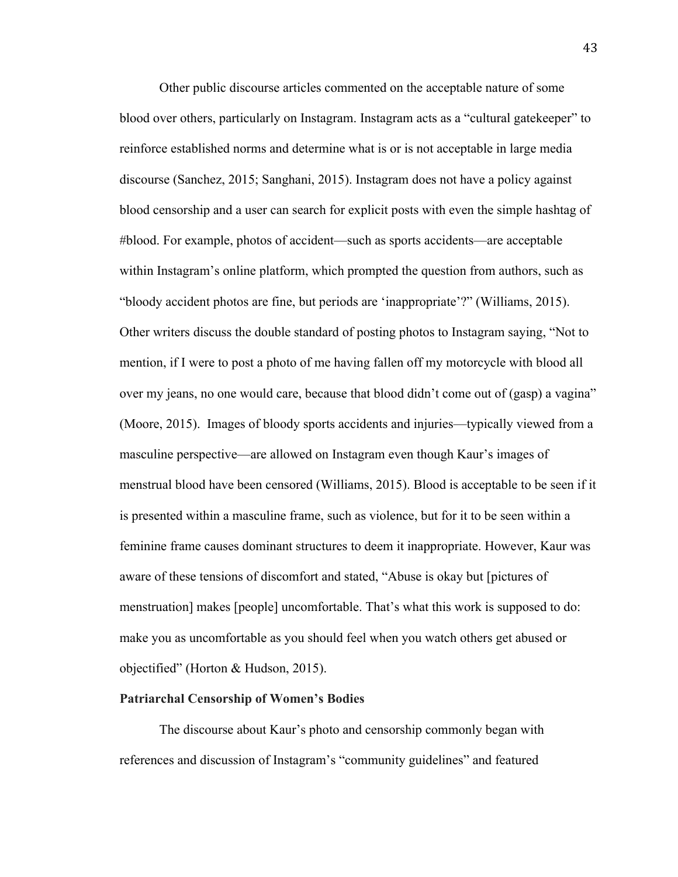Other public discourse articles commented on the acceptable nature of some blood over others, particularly on Instagram. Instagram acts as a "cultural gatekeeper" to reinforce established norms and determine what is or is not acceptable in large media discourse (Sanchez, 2015; Sanghani, 2015). Instagram does not have a policy against blood censorship and a user can search for explicit posts with even the simple hashtag of #blood. For example, photos of accident—such as sports accidents—are acceptable within Instagram's online platform, which prompted the question from authors, such as "bloody accident photos are fine, but periods are 'inappropriate'?" (Williams, 2015). Other writers discuss the double standard of posting photos to Instagram saying, "Not to mention, if I were to post a photo of me having fallen off my motorcycle with blood all over my jeans, no one would care, because that blood didn't come out of (gasp) a vagina" (Moore, 2015). Images of bloody sports accidents and injuries—typically viewed from a masculine perspective—are allowed on Instagram even though Kaur's images of menstrual blood have been censored (Williams, 2015). Blood is acceptable to be seen if it is presented within a masculine frame, such as violence, but for it to be seen within a feminine frame causes dominant structures to deem it inappropriate. However, Kaur was aware of these tensions of discomfort and stated, "Abuse is okay but [pictures of menstruation] makes [people] uncomfortable. That's what this work is supposed to do: make you as uncomfortable as you should feel when you watch others get abused or objectified" (Horton & Hudson, 2015).

### **Patriarchal Censorship of Women's Bodies**

The discourse about Kaur's photo and censorship commonly began with references and discussion of Instagram's "community guidelines" and featured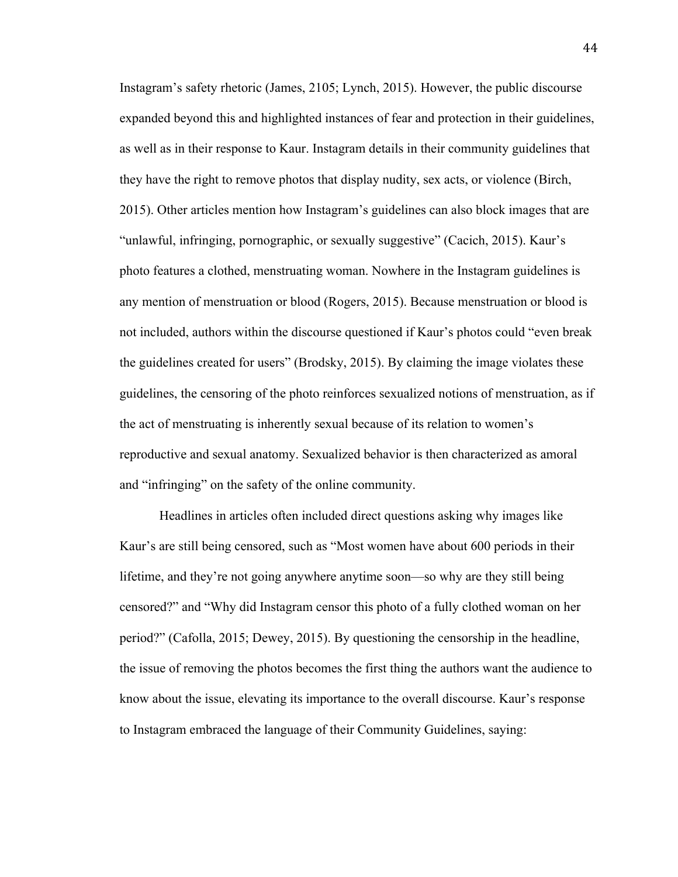Instagram's safety rhetoric (James, 2105; Lynch, 2015). However, the public discourse expanded beyond this and highlighted instances of fear and protection in their guidelines, as well as in their response to Kaur. Instagram details in their community guidelines that they have the right to remove photos that display nudity, sex acts, or violence (Birch, 2015). Other articles mention how Instagram's guidelines can also block images that are "unlawful, infringing, pornographic, or sexually suggestive" (Cacich, 2015). Kaur's photo features a clothed, menstruating woman. Nowhere in the Instagram guidelines is any mention of menstruation or blood (Rogers, 2015). Because menstruation or blood is not included, authors within the discourse questioned if Kaur's photos could "even break the guidelines created for users" (Brodsky, 2015). By claiming the image violates these guidelines, the censoring of the photo reinforces sexualized notions of menstruation, as if the act of menstruating is inherently sexual because of its relation to women's reproductive and sexual anatomy. Sexualized behavior is then characterized as amoral and "infringing" on the safety of the online community.

Headlines in articles often included direct questions asking why images like Kaur's are still being censored, such as "Most women have about 600 periods in their lifetime, and they're not going anywhere anytime soon—so why are they still being censored?" and "Why did Instagram censor this photo of a fully clothed woman on her period?" (Cafolla, 2015; Dewey, 2015). By questioning the censorship in the headline, the issue of removing the photos becomes the first thing the authors want the audience to know about the issue, elevating its importance to the overall discourse. Kaur's response to Instagram embraced the language of their Community Guidelines, saying: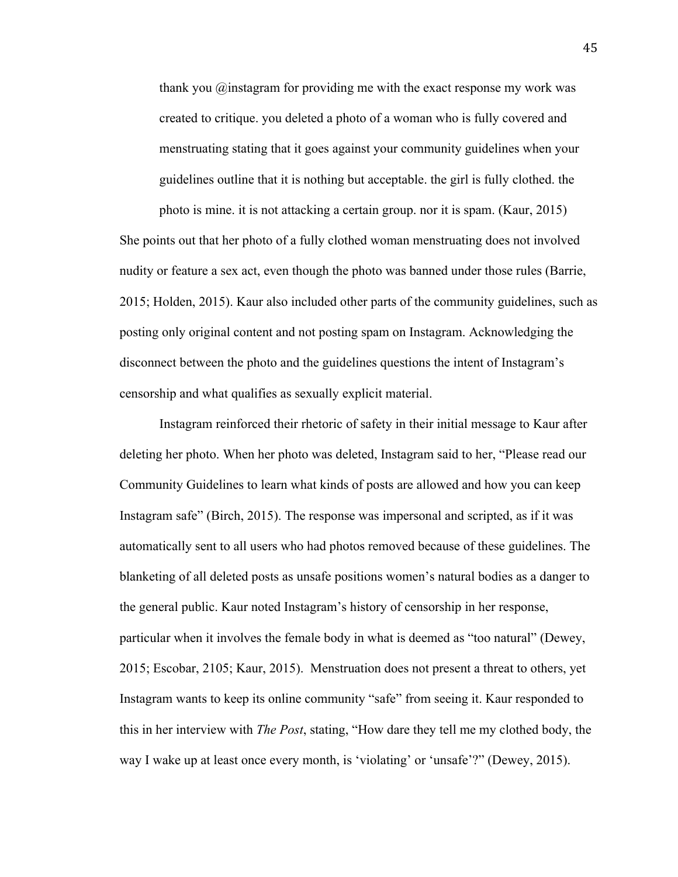thank you @instagram for providing me with the exact response my work was created to critique. you deleted a photo of a woman who is fully covered and menstruating stating that it goes against your community guidelines when your guidelines outline that it is nothing but acceptable. the girl is fully clothed. the photo is mine. it is not attacking a certain group. nor it is spam. (Kaur, 2015)

She points out that her photo of a fully clothed woman menstruating does not involved nudity or feature a sex act, even though the photo was banned under those rules (Barrie, 2015; Holden, 2015). Kaur also included other parts of the community guidelines, such as posting only original content and not posting spam on Instagram. Acknowledging the disconnect between the photo and the guidelines questions the intent of Instagram's censorship and what qualifies as sexually explicit material.

Instagram reinforced their rhetoric of safety in their initial message to Kaur after deleting her photo. When her photo was deleted, Instagram said to her, "Please read our Community Guidelines to learn what kinds of posts are allowed and how you can keep Instagram safe" (Birch, 2015). The response was impersonal and scripted, as if it was automatically sent to all users who had photos removed because of these guidelines. The blanketing of all deleted posts as unsafe positions women's natural bodies as a danger to the general public. Kaur noted Instagram's history of censorship in her response, particular when it involves the female body in what is deemed as "too natural" (Dewey, 2015; Escobar, 2105; Kaur, 2015). Menstruation does not present a threat to others, yet Instagram wants to keep its online community "safe" from seeing it. Kaur responded to this in her interview with *The Post*, stating, "How dare they tell me my clothed body, the way I wake up at least once every month, is 'violating' or 'unsafe'?" (Dewey, 2015).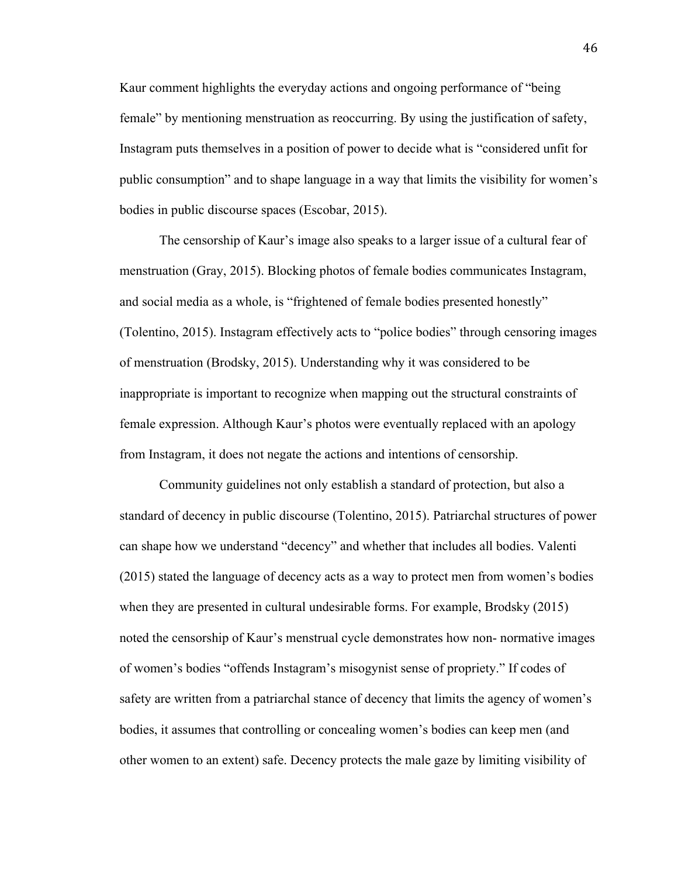Kaur comment highlights the everyday actions and ongoing performance of "being female" by mentioning menstruation as reoccurring. By using the justification of safety, Instagram puts themselves in a position of power to decide what is "considered unfit for public consumption" and to shape language in a way that limits the visibility for women's bodies in public discourse spaces (Escobar, 2015).

The censorship of Kaur's image also speaks to a larger issue of a cultural fear of menstruation (Gray, 2015). Blocking photos of female bodies communicates Instagram, and social media as a whole, is "frightened of female bodies presented honestly" (Tolentino, 2015). Instagram effectively acts to "police bodies" through censoring images of menstruation (Brodsky, 2015). Understanding why it was considered to be inappropriate is important to recognize when mapping out the structural constraints of female expression. Although Kaur's photos were eventually replaced with an apology from Instagram, it does not negate the actions and intentions of censorship.

Community guidelines not only establish a standard of protection, but also a standard of decency in public discourse (Tolentino, 2015). Patriarchal structures of power can shape how we understand "decency" and whether that includes all bodies. Valenti (2015) stated the language of decency acts as a way to protect men from women's bodies when they are presented in cultural undesirable forms. For example, Brodsky (2015) noted the censorship of Kaur's menstrual cycle demonstrates how non- normative images of women's bodies "offends Instagram's misogynist sense of propriety." If codes of safety are written from a patriarchal stance of decency that limits the agency of women's bodies, it assumes that controlling or concealing women's bodies can keep men (and other women to an extent) safe. Decency protects the male gaze by limiting visibility of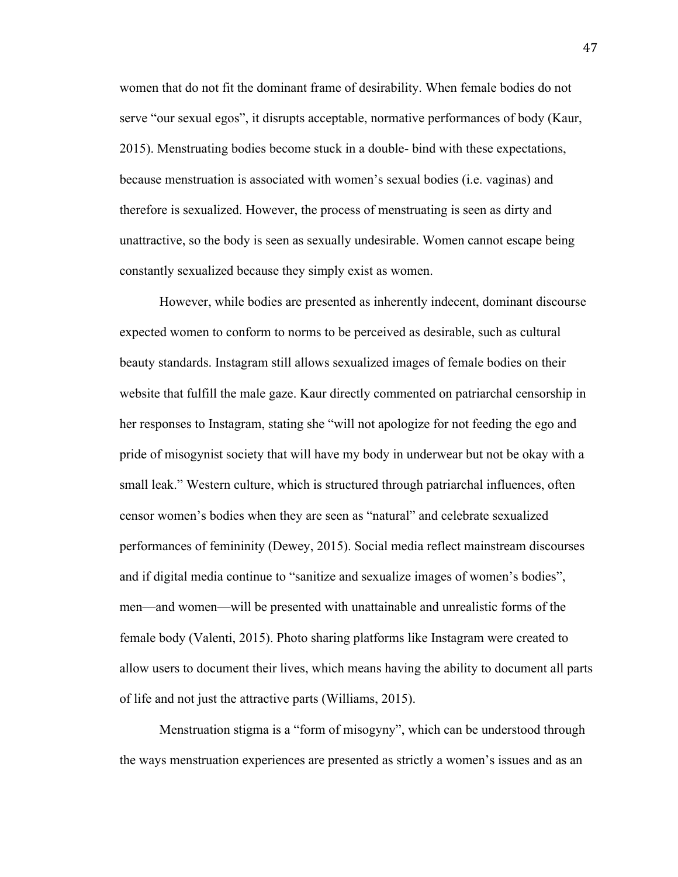women that do not fit the dominant frame of desirability. When female bodies do not serve "our sexual egos", it disrupts acceptable, normative performances of body (Kaur, 2015). Menstruating bodies become stuck in a double- bind with these expectations, because menstruation is associated with women's sexual bodies (i.e. vaginas) and therefore is sexualized. However, the process of menstruating is seen as dirty and unattractive, so the body is seen as sexually undesirable. Women cannot escape being constantly sexualized because they simply exist as women.

However, while bodies are presented as inherently indecent, dominant discourse expected women to conform to norms to be perceived as desirable, such as cultural beauty standards. Instagram still allows sexualized images of female bodies on their website that fulfill the male gaze. Kaur directly commented on patriarchal censorship in her responses to Instagram, stating she "will not apologize for not feeding the ego and pride of misogynist society that will have my body in underwear but not be okay with a small leak." Western culture, which is structured through patriarchal influences, often censor women's bodies when they are seen as "natural" and celebrate sexualized performances of femininity (Dewey, 2015). Social media reflect mainstream discourses and if digital media continue to "sanitize and sexualize images of women's bodies", men—and women—will be presented with unattainable and unrealistic forms of the female body (Valenti, 2015). Photo sharing platforms like Instagram were created to allow users to document their lives, which means having the ability to document all parts of life and not just the attractive parts (Williams, 2015).

Menstruation stigma is a "form of misogyny", which can be understood through the ways menstruation experiences are presented as strictly a women's issues and as an

47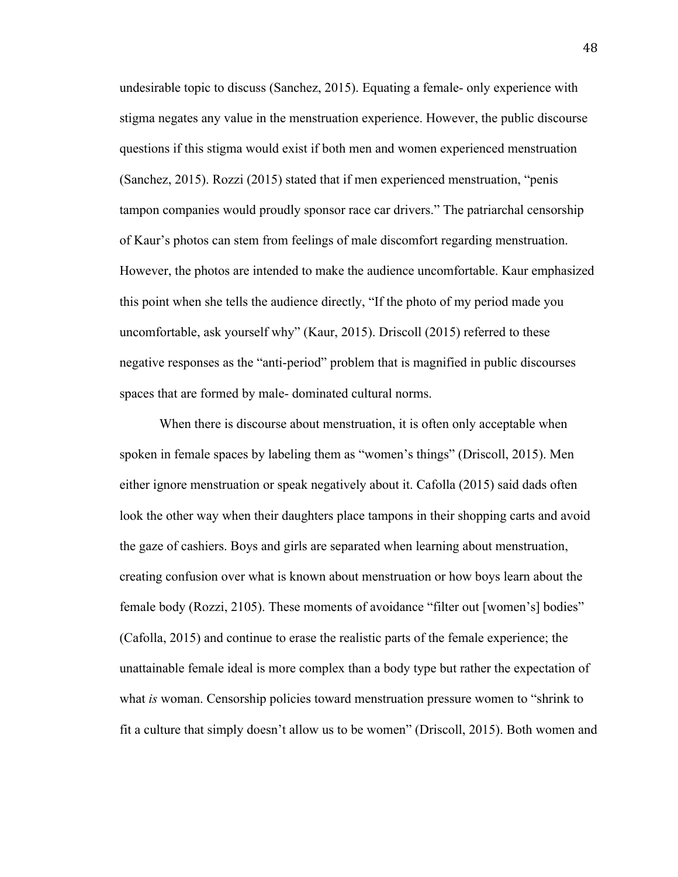undesirable topic to discuss (Sanchez, 2015). Equating a female- only experience with stigma negates any value in the menstruation experience. However, the public discourse questions if this stigma would exist if both men and women experienced menstruation (Sanchez, 2015). Rozzi (2015) stated that if men experienced menstruation, "penis tampon companies would proudly sponsor race car drivers." The patriarchal censorship of Kaur's photos can stem from feelings of male discomfort regarding menstruation. However, the photos are intended to make the audience uncomfortable. Kaur emphasized this point when she tells the audience directly, "If the photo of my period made you uncomfortable, ask yourself why" (Kaur, 2015). Driscoll (2015) referred to these negative responses as the "anti-period" problem that is magnified in public discourses spaces that are formed by male- dominated cultural norms.

When there is discourse about menstruation, it is often only acceptable when spoken in female spaces by labeling them as "women's things" (Driscoll, 2015). Men either ignore menstruation or speak negatively about it. Cafolla (2015) said dads often look the other way when their daughters place tampons in their shopping carts and avoid the gaze of cashiers. Boys and girls are separated when learning about menstruation, creating confusion over what is known about menstruation or how boys learn about the female body (Rozzi, 2105). These moments of avoidance "filter out [women's] bodies" (Cafolla, 2015) and continue to erase the realistic parts of the female experience; the unattainable female ideal is more complex than a body type but rather the expectation of what *is* woman. Censorship policies toward menstruation pressure women to "shrink to fit a culture that simply doesn't allow us to be women" (Driscoll, 2015). Both women and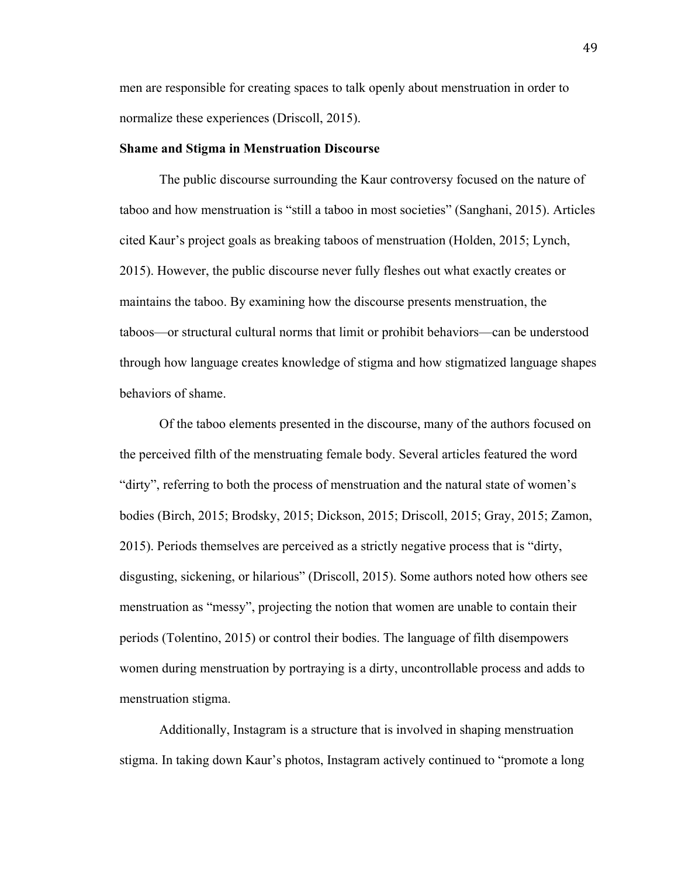men are responsible for creating spaces to talk openly about menstruation in order to normalize these experiences (Driscoll, 2015).

# **Shame and Stigma in Menstruation Discourse**

The public discourse surrounding the Kaur controversy focused on the nature of taboo and how menstruation is "still a taboo in most societies" (Sanghani, 2015). Articles cited Kaur's project goals as breaking taboos of menstruation (Holden, 2015; Lynch, 2015). However, the public discourse never fully fleshes out what exactly creates or maintains the taboo. By examining how the discourse presents menstruation, the taboos—or structural cultural norms that limit or prohibit behaviors—can be understood through how language creates knowledge of stigma and how stigmatized language shapes behaviors of shame.

Of the taboo elements presented in the discourse, many of the authors focused on the perceived filth of the menstruating female body. Several articles featured the word "dirty", referring to both the process of menstruation and the natural state of women's bodies (Birch, 2015; Brodsky, 2015; Dickson, 2015; Driscoll, 2015; Gray, 2015; Zamon, 2015). Periods themselves are perceived as a strictly negative process that is "dirty, disgusting, sickening, or hilarious" (Driscoll, 2015). Some authors noted how others see menstruation as "messy", projecting the notion that women are unable to contain their periods (Tolentino, 2015) or control their bodies. The language of filth disempowers women during menstruation by portraying is a dirty, uncontrollable process and adds to menstruation stigma.

Additionally, Instagram is a structure that is involved in shaping menstruation stigma. In taking down Kaur's photos, Instagram actively continued to "promote a long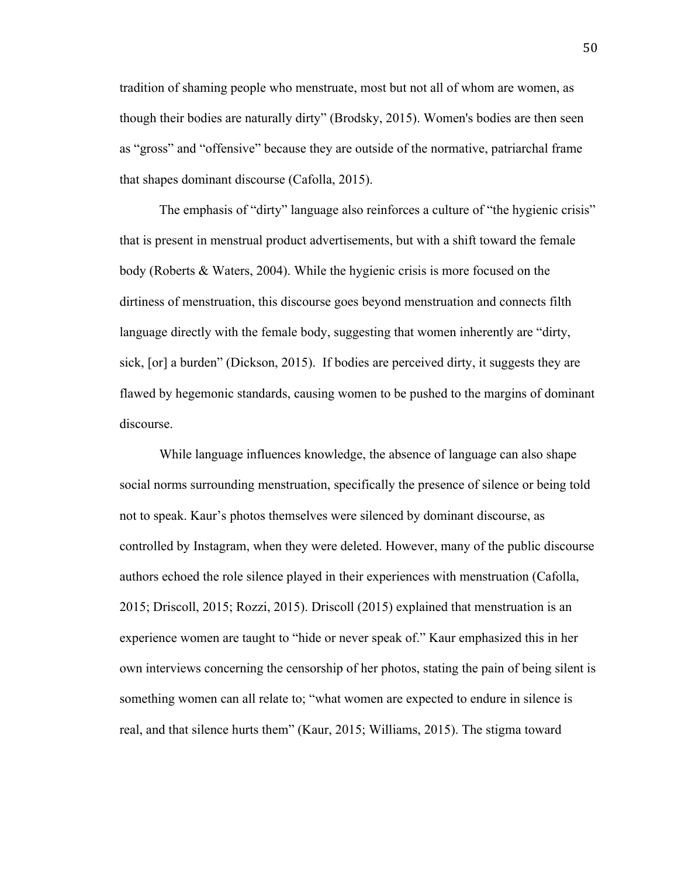tradition of shaming people who menstruate, most but not all of whom are women, as though their bodies are naturally dirty" (Brodsky, 2015). Women's bodies are then seen as "gross" and "offensive" because they are outside of the normative, patriarchal frame that shapes dominant discourse (Cafolla, 2015).

The emphasis of "dirty" language also reinforces a culture of "the hygienic crisis" that is present in menstrual product advertisements, but with a shift toward the female body (Roberts & Waters, 2004). While the hygienic crisis is more focused on the dirtiness of menstruation, this discourse goes beyond menstruation and connects filth language directly with the female body, suggesting that women inherently are "dirty, sick, [or] a burden" (Dickson, 2015). If bodies are perceived dirty, it suggests they are flawed by hegemonic standards, causing women to be pushed to the margins of dominant discourse.

While language influences knowledge, the absence of language can also shape social norms surrounding menstruation, specifically the presence of silence or being told not to speak. Kaur's photos themselves were silenced by dominant discourse, as controlled by Instagram, when they were deleted. However, many of the public discourse authors echoed the role silence played in their experiences with menstruation (Cafolla, 2015; Driscoll, 2015; Rozzi, 2015). Driscoll (2015) explained that menstruation is an experience women are taught to "hide or never speak of." Kaur emphasized this in her own interviews concerning the censorship of her photos, stating the pain of being silent is something women can all relate to; "what women are expected to endure in silence is real, and that silence hurts them" (Kaur, 2015; Williams, 2015). The stigma toward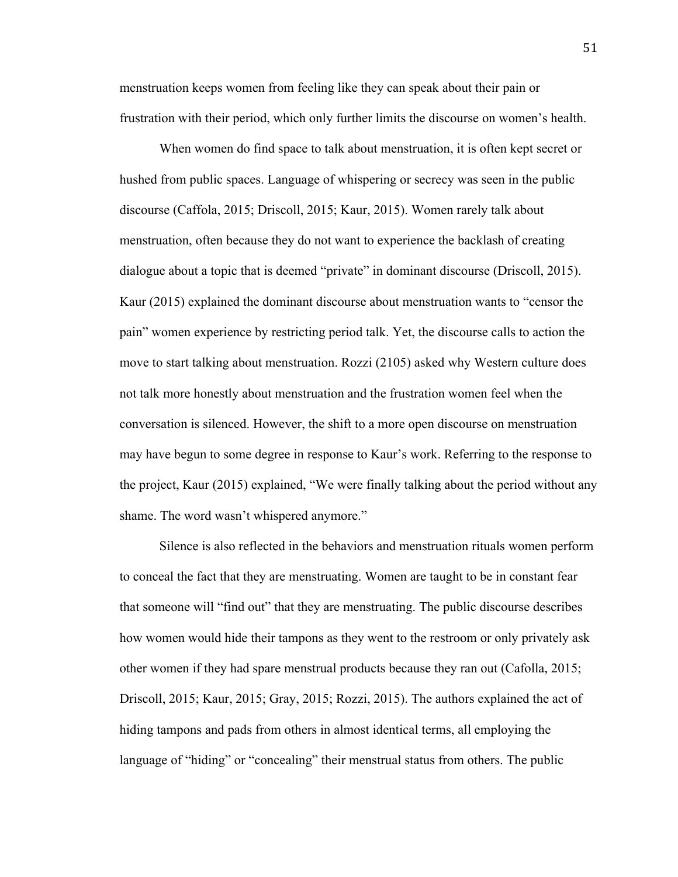menstruation keeps women from feeling like they can speak about their pain or frustration with their period, which only further limits the discourse on women's health.

When women do find space to talk about menstruation, it is often kept secret or hushed from public spaces. Language of whispering or secrecy was seen in the public discourse (Caffola, 2015; Driscoll, 2015; Kaur, 2015). Women rarely talk about menstruation, often because they do not want to experience the backlash of creating dialogue about a topic that is deemed "private" in dominant discourse (Driscoll, 2015). Kaur (2015) explained the dominant discourse about menstruation wants to "censor the pain" women experience by restricting period talk. Yet, the discourse calls to action the move to start talking about menstruation. Rozzi (2105) asked why Western culture does not talk more honestly about menstruation and the frustration women feel when the conversation is silenced. However, the shift to a more open discourse on menstruation may have begun to some degree in response to Kaur's work. Referring to the response to the project, Kaur (2015) explained, "We were finally talking about the period without any shame. The word wasn't whispered anymore."

Silence is also reflected in the behaviors and menstruation rituals women perform to conceal the fact that they are menstruating. Women are taught to be in constant fear that someone will "find out" that they are menstruating. The public discourse describes how women would hide their tampons as they went to the restroom or only privately ask other women if they had spare menstrual products because they ran out (Cafolla, 2015; Driscoll, 2015; Kaur, 2015; Gray, 2015; Rozzi, 2015). The authors explained the act of hiding tampons and pads from others in almost identical terms, all employing the language of "hiding" or "concealing" their menstrual status from others. The public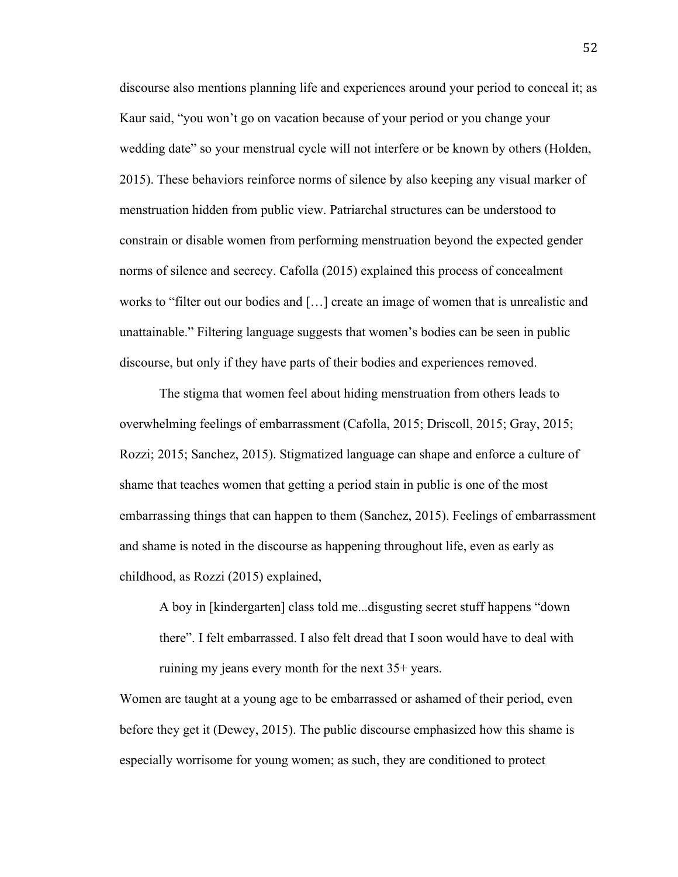discourse also mentions planning life and experiences around your period to conceal it; as Kaur said, "you won't go on vacation because of your period or you change your wedding date" so your menstrual cycle will not interfere or be known by others (Holden, 2015). These behaviors reinforce norms of silence by also keeping any visual marker of menstruation hidden from public view. Patriarchal structures can be understood to constrain or disable women from performing menstruation beyond the expected gender norms of silence and secrecy. Cafolla (2015) explained this process of concealment works to "filter out our bodies and […] create an image of women that is unrealistic and unattainable." Filtering language suggests that women's bodies can be seen in public discourse, but only if they have parts of their bodies and experiences removed.

The stigma that women feel about hiding menstruation from others leads to overwhelming feelings of embarrassment (Cafolla, 2015; Driscoll, 2015; Gray, 2015; Rozzi; 2015; Sanchez, 2015). Stigmatized language can shape and enforce a culture of shame that teaches women that getting a period stain in public is one of the most embarrassing things that can happen to them (Sanchez, 2015). Feelings of embarrassment and shame is noted in the discourse as happening throughout life, even as early as childhood, as Rozzi (2015) explained,

A boy in [kindergarten] class told me...disgusting secret stuff happens "down there". I felt embarrassed. I also felt dread that I soon would have to deal with ruining my jeans every month for the next 35+ years.

Women are taught at a young age to be embarrassed or ashamed of their period, even before they get it (Dewey, 2015). The public discourse emphasized how this shame is especially worrisome for young women; as such, they are conditioned to protect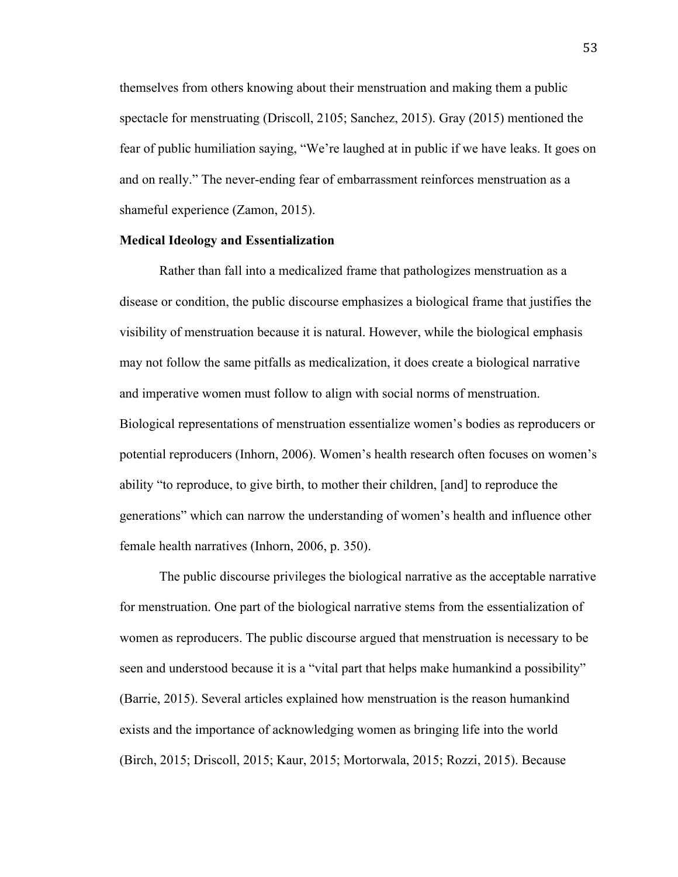themselves from others knowing about their menstruation and making them a public spectacle for menstruating (Driscoll, 2105; Sanchez, 2015). Gray (2015) mentioned the fear of public humiliation saying, "We're laughed at in public if we have leaks. It goes on and on really." The never-ending fear of embarrassment reinforces menstruation as a shameful experience (Zamon, 2015).

### **Medical Ideology and Essentialization**

Rather than fall into a medicalized frame that pathologizes menstruation as a disease or condition, the public discourse emphasizes a biological frame that justifies the visibility of menstruation because it is natural. However, while the biological emphasis may not follow the same pitfalls as medicalization, it does create a biological narrative and imperative women must follow to align with social norms of menstruation. Biological representations of menstruation essentialize women's bodies as reproducers or potential reproducers (Inhorn, 2006). Women's health research often focuses on women's ability "to reproduce, to give birth, to mother their children, [and] to reproduce the generations" which can narrow the understanding of women's health and influence other female health narratives (Inhorn, 2006, p. 350).

The public discourse privileges the biological narrative as the acceptable narrative for menstruation. One part of the biological narrative stems from the essentialization of women as reproducers. The public discourse argued that menstruation is necessary to be seen and understood because it is a "vital part that helps make humankind a possibility" (Barrie, 2015). Several articles explained how menstruation is the reason humankind exists and the importance of acknowledging women as bringing life into the world (Birch, 2015; Driscoll, 2015; Kaur, 2015; Mortorwala, 2015; Rozzi, 2015). Because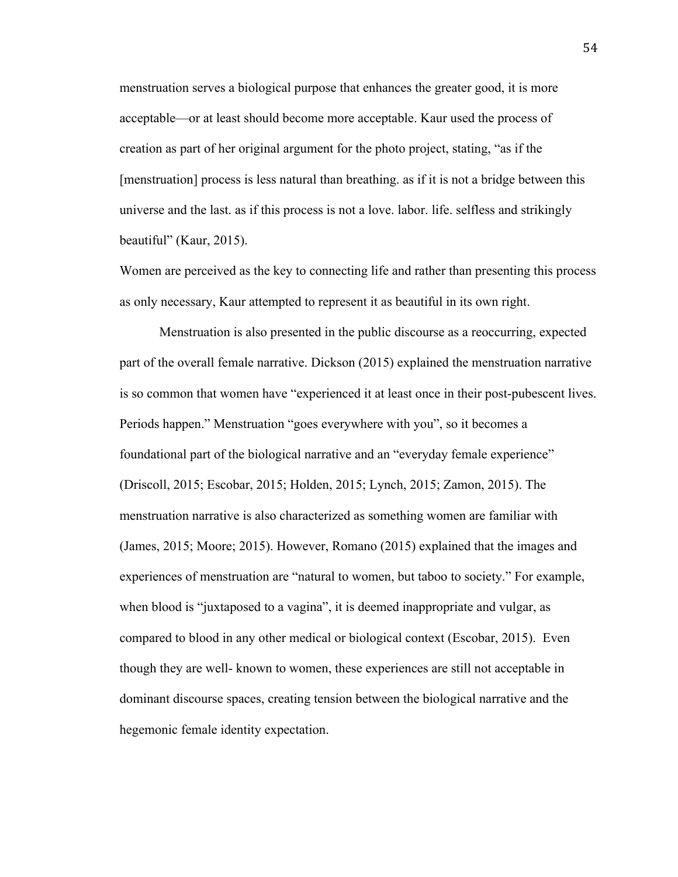menstruation serves a biological purpose that enhances the greater good, it is more acceptable—or at least should become more acceptable. Kaur used the process of creation as part of her original argument for the photo project, stating, "as if the [menstruation] process is less natural than breathing. as if it is not a bridge between this universe and the last. as if this process is not a love. labor. life. selfless and strikingly beautiful" (Kaur, 2015).

Women are perceived as the key to connecting life and rather than presenting this process as only necessary, Kaur attempted to represent it as beautiful in its own right.

Menstruation is also presented in the public discourse as a reoccurring, expected part of the overall female narrative. Dickson (2015) explained the menstruation narrative is so common that women have "experienced it at least once in their post-pubescent lives. Periods happen." Menstruation "goes everywhere with you", so it becomes a foundational part of the biological narrative and an "everyday female experience" (Driscoll, 2015; Escobar, 2015; Holden, 2015; Lynch, 2015; Zamon, 2015). The menstruation narrative is also characterized as something women are familiar with (James, 2015; Moore; 2015). However, Romano (2015) explained that the images and experiences of menstruation are "natural to women, but taboo to society." For example, when blood is "juxtaposed to a vagina", it is deemed inappropriate and vulgar, as compared to blood in any other medical or biological context (Escobar, 2015). Even though they are well- known to women, these experiences are still not acceptable in dominant discourse spaces, creating tension between the biological narrative and the hegemonic female identity expectation.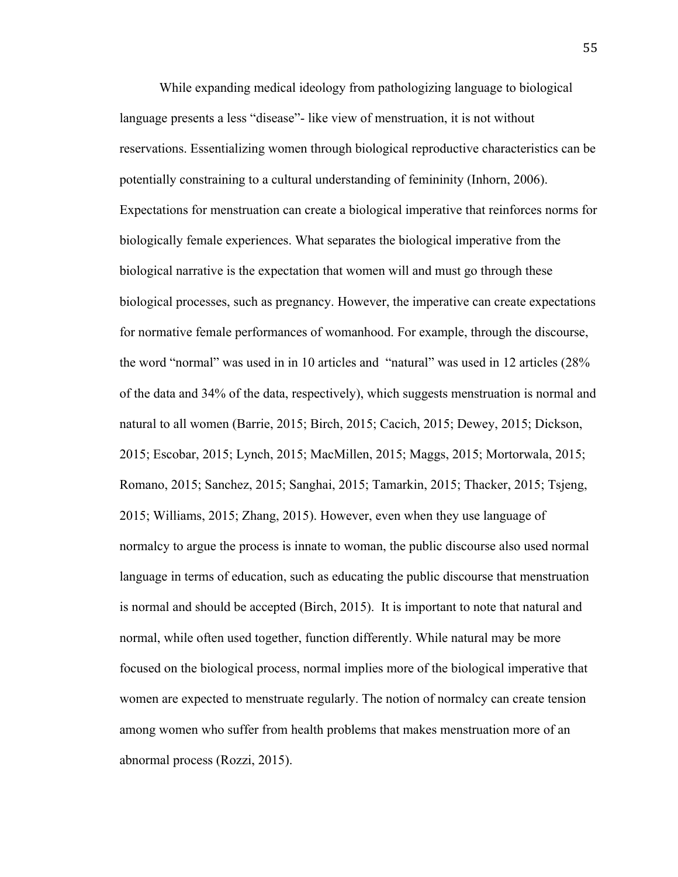While expanding medical ideology from pathologizing language to biological language presents a less "disease"- like view of menstruation, it is not without reservations. Essentializing women through biological reproductive characteristics can be potentially constraining to a cultural understanding of femininity (Inhorn, 2006). Expectations for menstruation can create a biological imperative that reinforces norms for biologically female experiences. What separates the biological imperative from the biological narrative is the expectation that women will and must go through these biological processes, such as pregnancy. However, the imperative can create expectations for normative female performances of womanhood. For example, through the discourse, the word "normal" was used in in 10 articles and "natural" was used in 12 articles (28% of the data and 34% of the data, respectively), which suggests menstruation is normal and natural to all women (Barrie, 2015; Birch, 2015; Cacich, 2015; Dewey, 2015; Dickson, 2015; Escobar, 2015; Lynch, 2015; MacMillen, 2015; Maggs, 2015; Mortorwala, 2015; Romano, 2015; Sanchez, 2015; Sanghai, 2015; Tamarkin, 2015; Thacker, 2015; Tsjeng, 2015; Williams, 2015; Zhang, 2015). However, even when they use language of normalcy to argue the process is innate to woman, the public discourse also used normal language in terms of education, such as educating the public discourse that menstruation is normal and should be accepted (Birch, 2015). It is important to note that natural and normal, while often used together, function differently. While natural may be more focused on the biological process, normal implies more of the biological imperative that women are expected to menstruate regularly. The notion of normalcy can create tension among women who suffer from health problems that makes menstruation more of an abnormal process (Rozzi, 2015).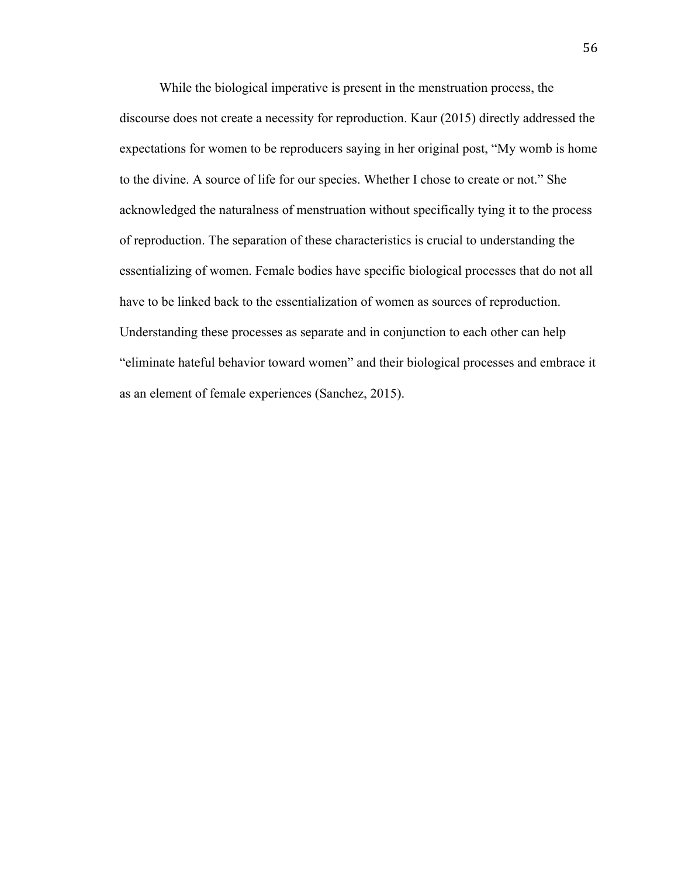While the biological imperative is present in the menstruation process, the discourse does not create a necessity for reproduction. Kaur (2015) directly addressed the expectations for women to be reproducers saying in her original post, "My womb is home to the divine. A source of life for our species. Whether I chose to create or not." She acknowledged the naturalness of menstruation without specifically tying it to the process of reproduction. The separation of these characteristics is crucial to understanding the essentializing of women. Female bodies have specific biological processes that do not all have to be linked back to the essentialization of women as sources of reproduction. Understanding these processes as separate and in conjunction to each other can help "eliminate hateful behavior toward women" and their biological processes and embrace it as an element of female experiences (Sanchez, 2015).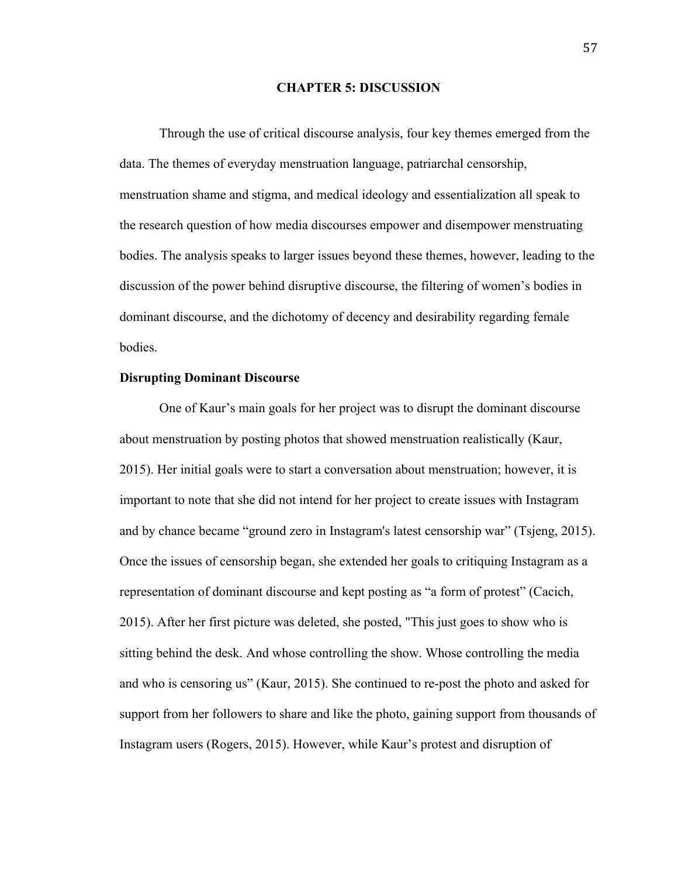### **CHAPTER 5: DISCUSSION**

Through the use of critical discourse analysis, four key themes emerged from the data. The themes of everyday menstruation language, patriarchal censorship, menstruation shame and stigma, and medical ideology and essentialization all speak to the research question of how media discourses empower and disempower menstruating bodies. The analysis speaks to larger issues beyond these themes, however, leading to the discussion of the power behind disruptive discourse, the filtering of women's bodies in dominant discourse, and the dichotomy of decency and desirability regarding female bodies.

## **Disrupting Dominant Discourse**

One of Kaur's main goals for her project was to disrupt the dominant discourse about menstruation by posting photos that showed menstruation realistically (Kaur, 2015). Her initial goals were to start a conversation about menstruation; however, it is important to note that she did not intend for her project to create issues with Instagram and by chance became "ground zero in Instagram's latest censorship war" (Tsjeng, 2015). Once the issues of censorship began, she extended her goals to critiquing Instagram as a representation of dominant discourse and kept posting as "a form of protest" (Cacich, 2015). After her first picture was deleted, she posted, "This just goes to show who is sitting behind the desk. And whose controlling the show. Whose controlling the media and who is censoring us" (Kaur, 2015). She continued to re-post the photo and asked for support from her followers to share and like the photo, gaining support from thousands of Instagram users (Rogers, 2015). However, while Kaur's protest and disruption of

57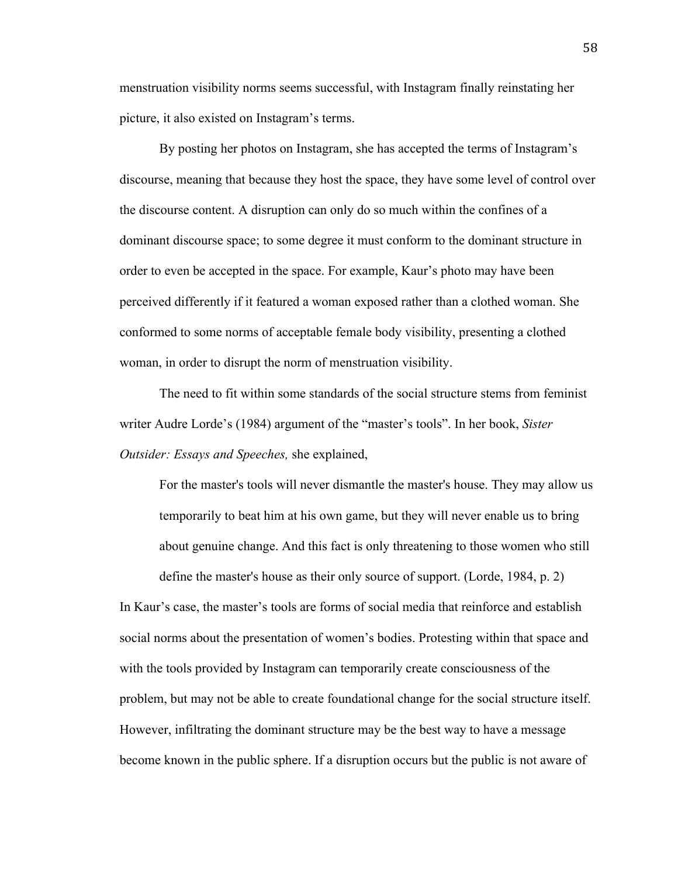menstruation visibility norms seems successful, with Instagram finally reinstating her picture, it also existed on Instagram's terms.

By posting her photos on Instagram, she has accepted the terms of Instagram's discourse, meaning that because they host the space, they have some level of control over the discourse content. A disruption can only do so much within the confines of a dominant discourse space; to some degree it must conform to the dominant structure in order to even be accepted in the space. For example, Kaur's photo may have been perceived differently if it featured a woman exposed rather than a clothed woman. She conformed to some norms of acceptable female body visibility, presenting a clothed woman, in order to disrupt the norm of menstruation visibility.

The need to fit within some standards of the social structure stems from feminist writer Audre Lorde's (1984) argument of the "master's tools". In her book, *Sister Outsider: Essays and Speeches,* she explained,

For the master's tools will never dismantle the master's house. They may allow us temporarily to beat him at his own game, but they will never enable us to bring about genuine change. And this fact is only threatening to those women who still

define the master's house as their only source of support. (Lorde, 1984, p. 2)

In Kaur's case, the master's tools are forms of social media that reinforce and establish social norms about the presentation of women's bodies. Protesting within that space and with the tools provided by Instagram can temporarily create consciousness of the problem, but may not be able to create foundational change for the social structure itself. However, infiltrating the dominant structure may be the best way to have a message become known in the public sphere. If a disruption occurs but the public is not aware of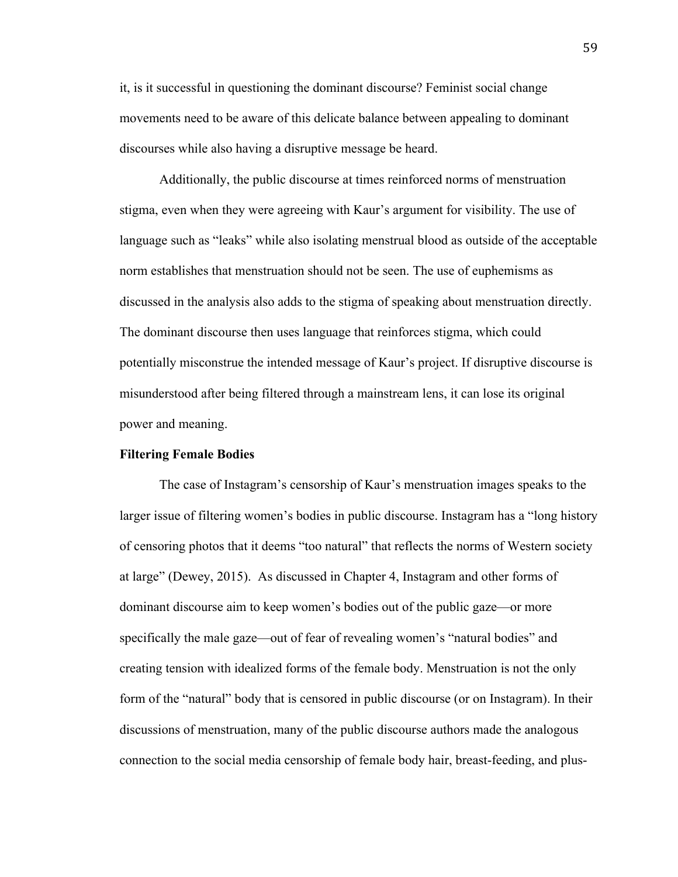it, is it successful in questioning the dominant discourse? Feminist social change movements need to be aware of this delicate balance between appealing to dominant discourses while also having a disruptive message be heard.

Additionally, the public discourse at times reinforced norms of menstruation stigma, even when they were agreeing with Kaur's argument for visibility. The use of language such as "leaks" while also isolating menstrual blood as outside of the acceptable norm establishes that menstruation should not be seen. The use of euphemisms as discussed in the analysis also adds to the stigma of speaking about menstruation directly. The dominant discourse then uses language that reinforces stigma, which could potentially misconstrue the intended message of Kaur's project. If disruptive discourse is misunderstood after being filtered through a mainstream lens, it can lose its original power and meaning.

#### **Filtering Female Bodies**

The case of Instagram's censorship of Kaur's menstruation images speaks to the larger issue of filtering women's bodies in public discourse. Instagram has a "long history of censoring photos that it deems "too natural" that reflects the norms of Western society at large" (Dewey, 2015). As discussed in Chapter 4, Instagram and other forms of dominant discourse aim to keep women's bodies out of the public gaze—or more specifically the male gaze—out of fear of revealing women's "natural bodies" and creating tension with idealized forms of the female body. Menstruation is not the only form of the "natural" body that is censored in public discourse (or on Instagram). In their discussions of menstruation, many of the public discourse authors made the analogous connection to the social media censorship of female body hair, breast-feeding, and plus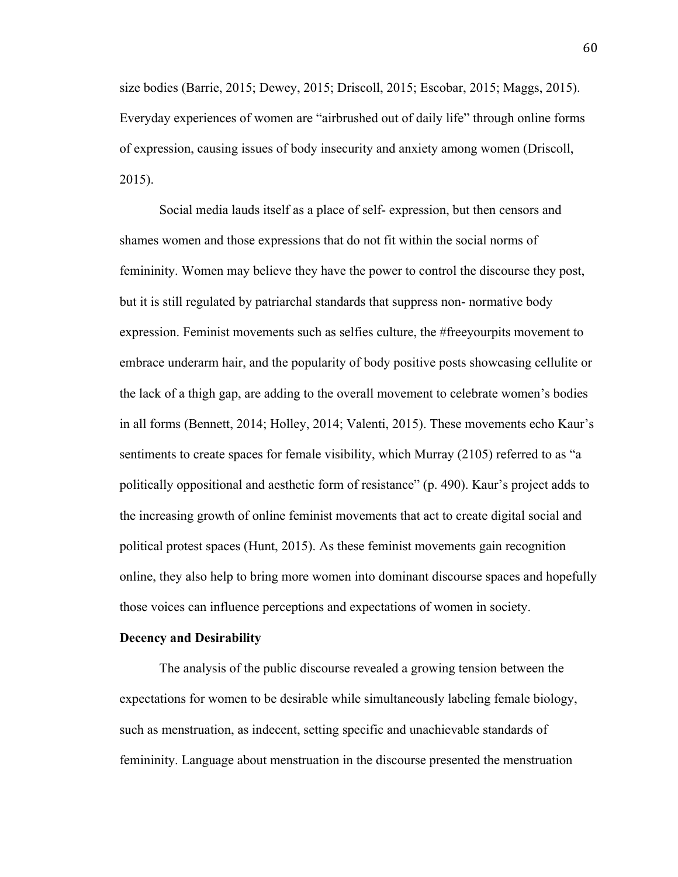size bodies (Barrie, 2015; Dewey, 2015; Driscoll, 2015; Escobar, 2015; Maggs, 2015). Everyday experiences of women are "airbrushed out of daily life" through online forms of expression, causing issues of body insecurity and anxiety among women (Driscoll, 2015).

Social media lauds itself as a place of self- expression, but then censors and shames women and those expressions that do not fit within the social norms of femininity. Women may believe they have the power to control the discourse they post, but it is still regulated by patriarchal standards that suppress non- normative body expression. Feminist movements such as selfies culture, the #freeyourpits movement to embrace underarm hair, and the popularity of body positive posts showcasing cellulite or the lack of a thigh gap, are adding to the overall movement to celebrate women's bodies in all forms (Bennett, 2014; Holley, 2014; Valenti, 2015). These movements echo Kaur's sentiments to create spaces for female visibility, which Murray (2105) referred to as "a politically oppositional and aesthetic form of resistance" (p. 490). Kaur's project adds to the increasing growth of online feminist movements that act to create digital social and political protest spaces (Hunt, 2015). As these feminist movements gain recognition online, they also help to bring more women into dominant discourse spaces and hopefully those voices can influence perceptions and expectations of women in society.

#### **Decency and Desirability**

The analysis of the public discourse revealed a growing tension between the expectations for women to be desirable while simultaneously labeling female biology, such as menstruation, as indecent, setting specific and unachievable standards of femininity. Language about menstruation in the discourse presented the menstruation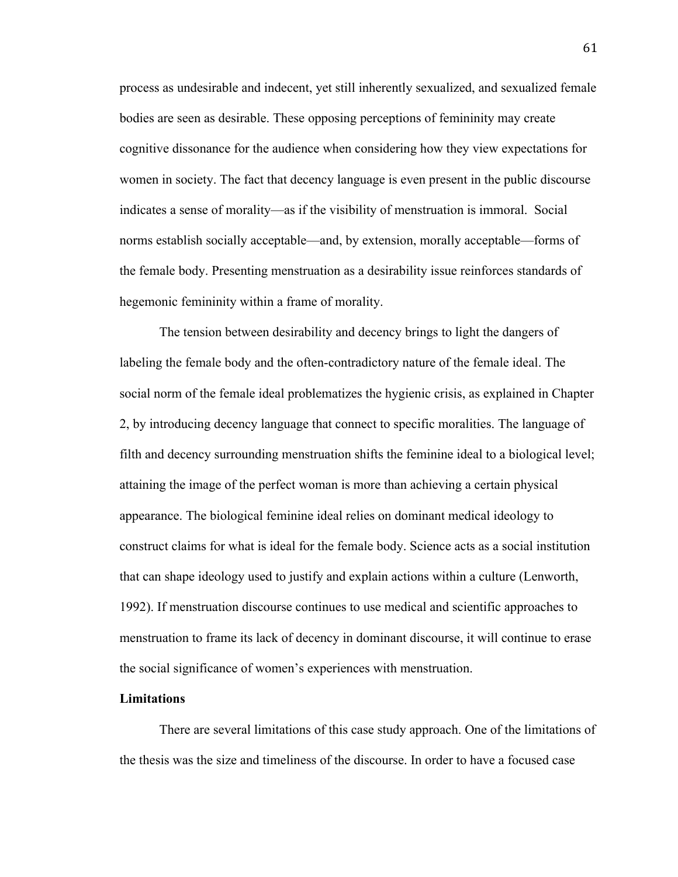process as undesirable and indecent, yet still inherently sexualized, and sexualized female bodies are seen as desirable. These opposing perceptions of femininity may create cognitive dissonance for the audience when considering how they view expectations for women in society. The fact that decency language is even present in the public discourse indicates a sense of morality—as if the visibility of menstruation is immoral. Social norms establish socially acceptable—and, by extension, morally acceptable—forms of the female body. Presenting menstruation as a desirability issue reinforces standards of hegemonic femininity within a frame of morality.

The tension between desirability and decency brings to light the dangers of labeling the female body and the often-contradictory nature of the female ideal. The social norm of the female ideal problematizes the hygienic crisis, as explained in Chapter 2, by introducing decency language that connect to specific moralities. The language of filth and decency surrounding menstruation shifts the feminine ideal to a biological level; attaining the image of the perfect woman is more than achieving a certain physical appearance. The biological feminine ideal relies on dominant medical ideology to construct claims for what is ideal for the female body. Science acts as a social institution that can shape ideology used to justify and explain actions within a culture (Lenworth, 1992). If menstruation discourse continues to use medical and scientific approaches to menstruation to frame its lack of decency in dominant discourse, it will continue to erase the social significance of women's experiences with menstruation.

### **Limitations**

There are several limitations of this case study approach. One of the limitations of the thesis was the size and timeliness of the discourse. In order to have a focused case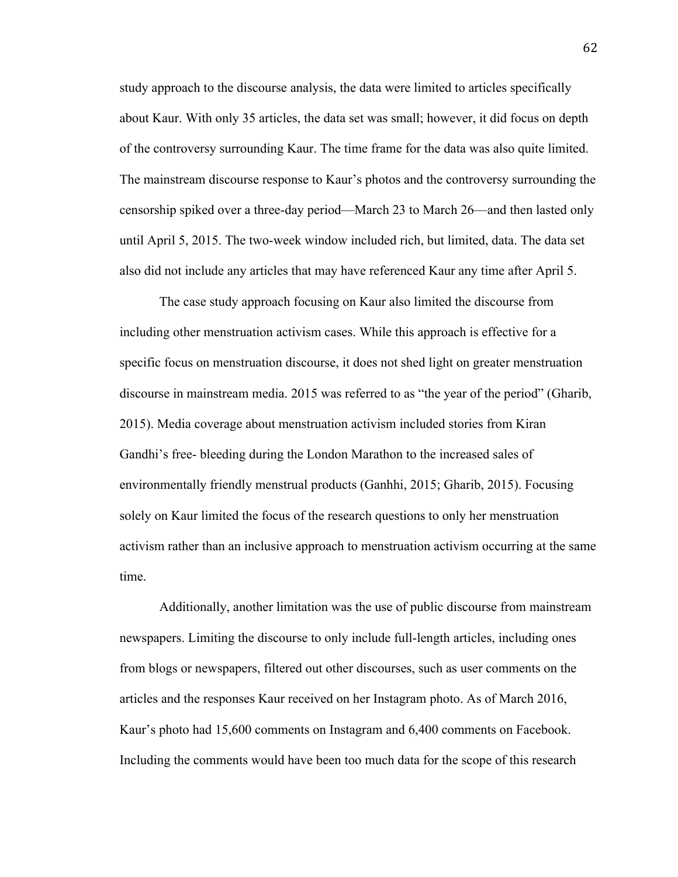study approach to the discourse analysis, the data were limited to articles specifically about Kaur. With only 35 articles, the data set was small; however, it did focus on depth of the controversy surrounding Kaur. The time frame for the data was also quite limited. The mainstream discourse response to Kaur's photos and the controversy surrounding the censorship spiked over a three-day period—March 23 to March 26—and then lasted only until April 5, 2015. The two-week window included rich, but limited, data. The data set also did not include any articles that may have referenced Kaur any time after April 5.

The case study approach focusing on Kaur also limited the discourse from including other menstruation activism cases. While this approach is effective for a specific focus on menstruation discourse, it does not shed light on greater menstruation discourse in mainstream media. 2015 was referred to as "the year of the period" (Gharib, 2015). Media coverage about menstruation activism included stories from Kiran Gandhi's free- bleeding during the London Marathon to the increased sales of environmentally friendly menstrual products (Ganhhi, 2015; Gharib, 2015). Focusing solely on Kaur limited the focus of the research questions to only her menstruation activism rather than an inclusive approach to menstruation activism occurring at the same time.

Additionally, another limitation was the use of public discourse from mainstream newspapers. Limiting the discourse to only include full-length articles, including ones from blogs or newspapers, filtered out other discourses, such as user comments on the articles and the responses Kaur received on her Instagram photo. As of March 2016, Kaur's photo had 15,600 comments on Instagram and 6,400 comments on Facebook. Including the comments would have been too much data for the scope of this research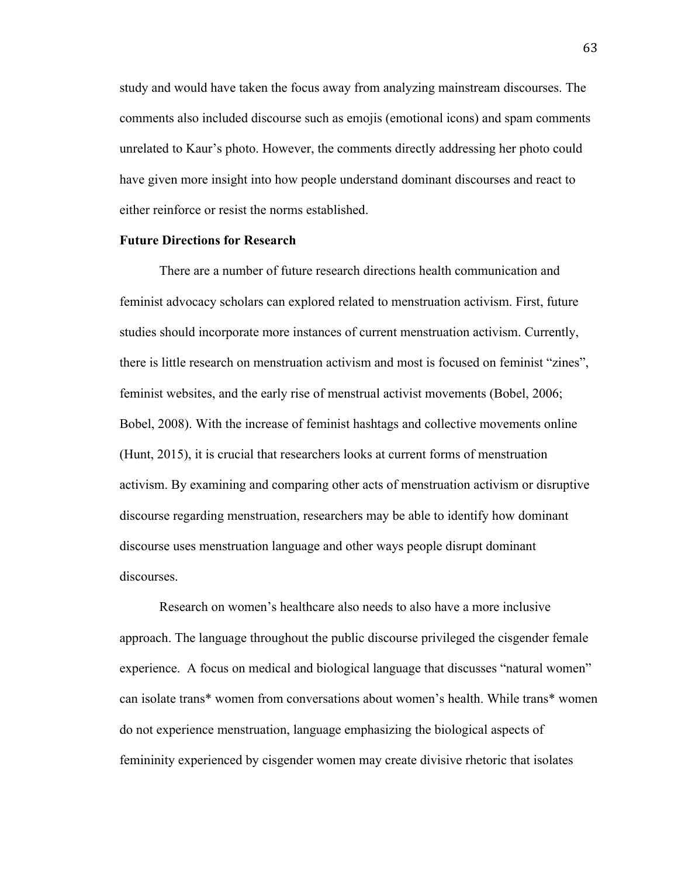study and would have taken the focus away from analyzing mainstream discourses. The comments also included discourse such as emojis (emotional icons) and spam comments unrelated to Kaur's photo. However, the comments directly addressing her photo could have given more insight into how people understand dominant discourses and react to either reinforce or resist the norms established.

### **Future Directions for Research**

There are a number of future research directions health communication and feminist advocacy scholars can explored related to menstruation activism. First, future studies should incorporate more instances of current menstruation activism. Currently, there is little research on menstruation activism and most is focused on feminist "zines", feminist websites, and the early rise of menstrual activist movements (Bobel, 2006; Bobel, 2008). With the increase of feminist hashtags and collective movements online (Hunt, 2015), it is crucial that researchers looks at current forms of menstruation activism. By examining and comparing other acts of menstruation activism or disruptive discourse regarding menstruation, researchers may be able to identify how dominant discourse uses menstruation language and other ways people disrupt dominant discourses.

Research on women's healthcare also needs to also have a more inclusive approach. The language throughout the public discourse privileged the cisgender female experience. A focus on medical and biological language that discusses "natural women" can isolate trans\* women from conversations about women's health. While trans\* women do not experience menstruation, language emphasizing the biological aspects of femininity experienced by cisgender women may create divisive rhetoric that isolates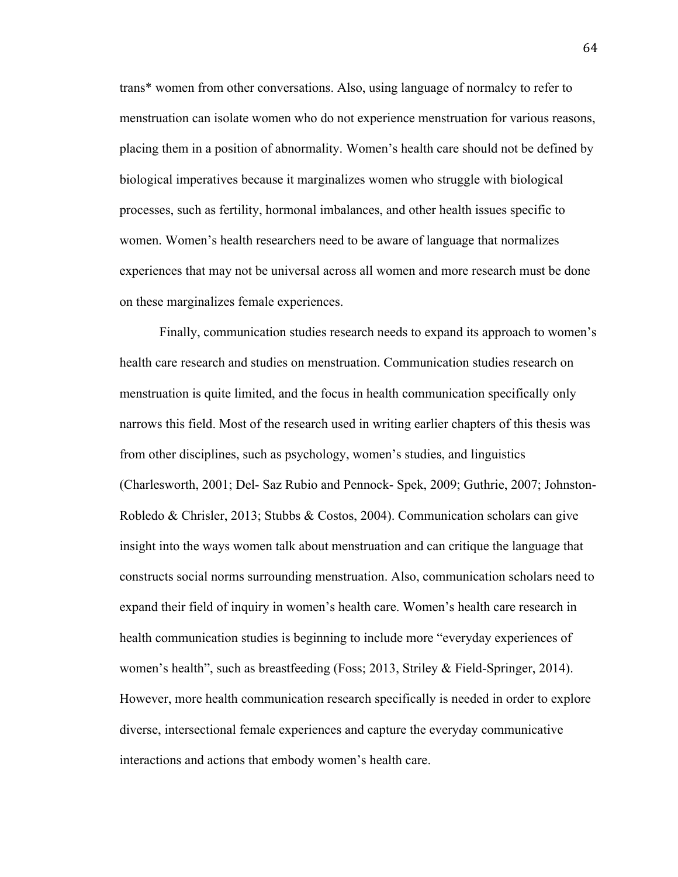trans\* women from other conversations. Also, using language of normalcy to refer to menstruation can isolate women who do not experience menstruation for various reasons, placing them in a position of abnormality. Women's health care should not be defined by biological imperatives because it marginalizes women who struggle with biological processes, such as fertility, hormonal imbalances, and other health issues specific to women. Women's health researchers need to be aware of language that normalizes experiences that may not be universal across all women and more research must be done on these marginalizes female experiences.

Finally, communication studies research needs to expand its approach to women's health care research and studies on menstruation. Communication studies research on menstruation is quite limited, and the focus in health communication specifically only narrows this field. Most of the research used in writing earlier chapters of this thesis was from other disciplines, such as psychology, women's studies, and linguistics (Charlesworth, 2001; Del- Saz Rubio and Pennock- Spek, 2009; Guthrie, 2007; Johnston-Robledo & Chrisler, 2013; Stubbs & Costos, 2004). Communication scholars can give insight into the ways women talk about menstruation and can critique the language that constructs social norms surrounding menstruation. Also, communication scholars need to expand their field of inquiry in women's health care. Women's health care research in health communication studies is beginning to include more "everyday experiences of women's health", such as breastfeeding (Foss; 2013, Striley & Field-Springer, 2014). However, more health communication research specifically is needed in order to explore diverse, intersectional female experiences and capture the everyday communicative interactions and actions that embody women's health care.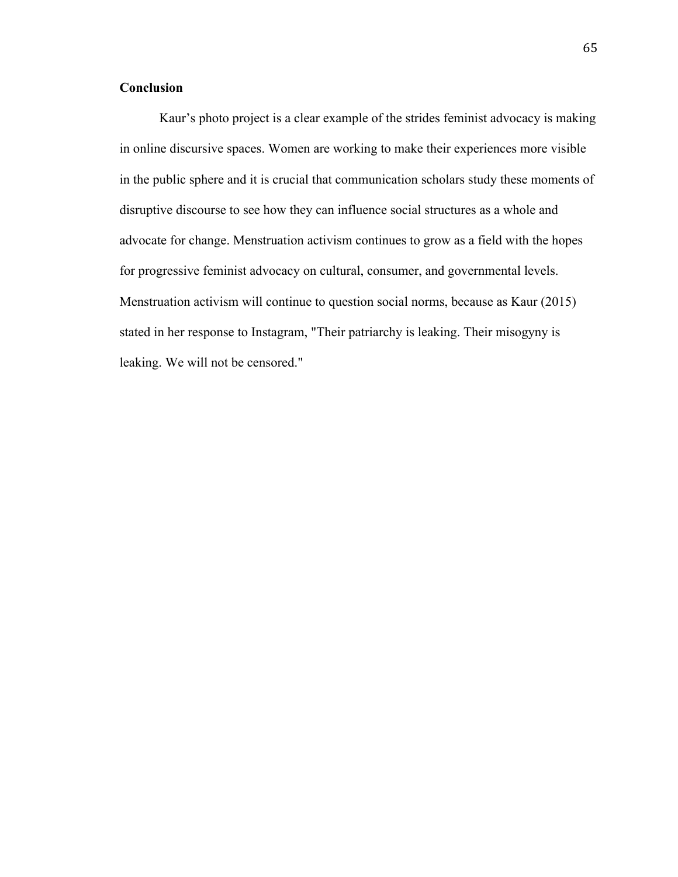# **Conclusion**

Kaur's photo project is a clear example of the strides feminist advocacy is making in online discursive spaces. Women are working to make their experiences more visible in the public sphere and it is crucial that communication scholars study these moments of disruptive discourse to see how they can influence social structures as a whole and advocate for change. Menstruation activism continues to grow as a field with the hopes for progressive feminist advocacy on cultural, consumer, and governmental levels. Menstruation activism will continue to question social norms, because as Kaur (2015) stated in her response to Instagram, "Their patriarchy is leaking. Their misogyny is leaking. We will not be censored."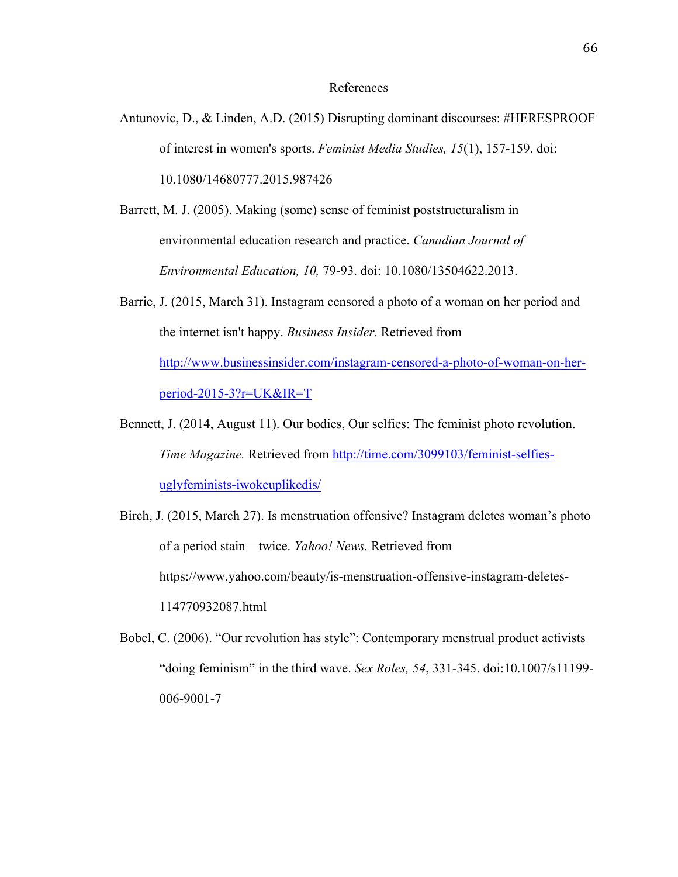### References

- Antunovic, D., & Linden, A.D. (2015) Disrupting dominant discourses: #HERESPROOF of interest in women's sports. *Feminist Media Studies, 15*(1), 157-159. doi: 10.1080/14680777.2015.987426
- Barrett, M. J. (2005). Making (some) sense of feminist poststructuralism in environmental education research and practice. *Canadian Journal of Environmental Education, 10,* 79-93. doi: 10.1080/13504622.2013.
- Barrie, J. (2015, March 31). Instagram censored a photo of a woman on her period and the internet isn't happy. *Business Insider.* Retrieved from http://www.businessinsider.com/instagram-censored-a-photo-of-woman-on-herperiod-2015-3?r=UK&IR=T
- Bennett, J. (2014, August 11). Our bodies, Our selfies: The feminist photo revolution. *Time Magazine.* Retrieved from http://time.com/3099103/feminist-selfiesuglyfeminists-iwokeuplikedis/
- Birch, J. (2015, March 27). Is menstruation offensive? Instagram deletes woman's photo of a period stain—twice. *Yahoo! News.* Retrieved from https://www.yahoo.com/beauty/is-menstruation-offensive-instagram-deletes-114770932087.html
- Bobel, C. (2006). "Our revolution has style": Contemporary menstrual product activists "doing feminism" in the third wave. *Sex Roles, 54*, 331-345. doi:10.1007/s11199- 006-9001-7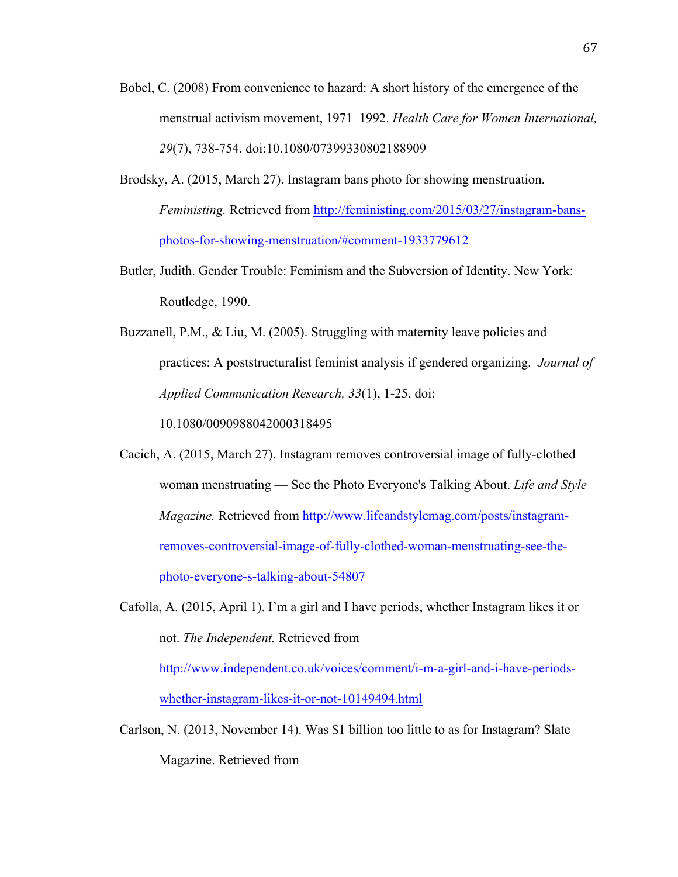- Bobel, C. (2008) From convenience to hazard: A short history of the emergence of the menstrual activism movement, 1971–1992. *Health Care for Women International, 29*(7), 738-754. doi:10.1080/07399330802188909
- Brodsky, A. (2015, March 27). Instagram bans photo for showing menstruation. *Feministing.* Retrieved from http://feministing.com/2015/03/27/instagram-bansphotos-for-showing-menstruation/#comment-1933779612
- Butler, Judith. Gender Trouble: Feminism and the Subversion of Identity. New York: Routledge, 1990.
- Buzzanell, P.M., & Liu, M. (2005). Struggling with maternity leave policies and practices: A poststructuralist feminist analysis if gendered organizing. *Journal of Applied Communication Research, 33*(1), 1-25. doi:

10.1080/0090988042000318495

Cacich, A. (2015, March 27). Instagram removes controversial image of fully-clothed woman menstruating — See the Photo Everyone's Talking About. *Life and Style Magazine.* Retrieved from http://www.lifeandstylemag.com/posts/instagramremoves-controversial-image-of-fully-clothed-woman-menstruating-see-thephoto-everyone-s-talking-about-54807

Cafolla, A. (2015, April 1). I'm a girl and I have periods, whether Instagram likes it or not. *The Independent.* Retrieved from

http://www.independent.co.uk/voices/comment/i-m-a-girl-and-i-have-periodswhether-instagram-likes-it-or-not-10149494.html

Carlson, N. (2013, November 14). Was \$1 billion too little to as for Instagram? Slate Magazine. Retrieved from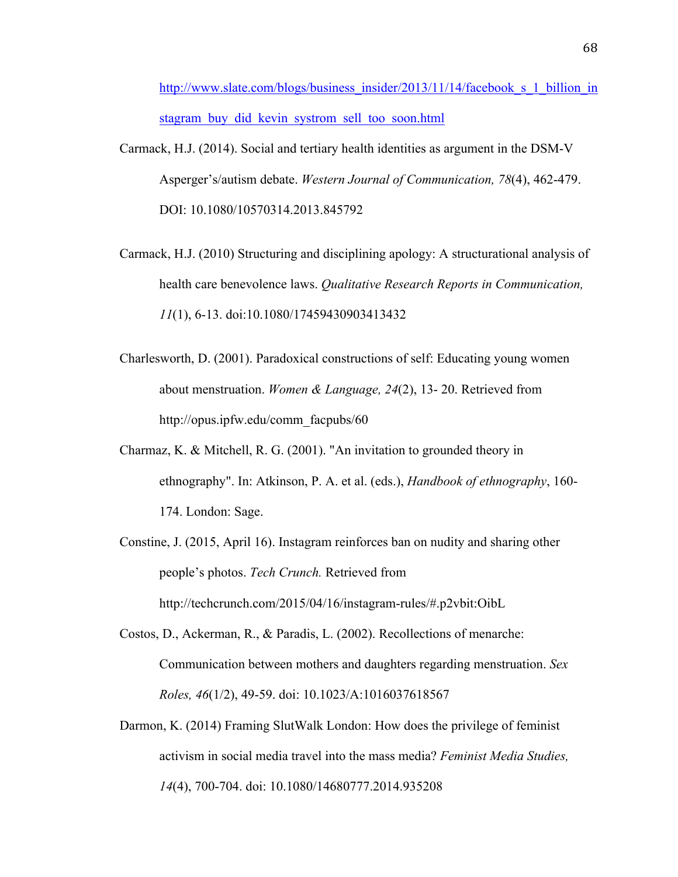http://www.slate.com/blogs/business\_insider/2013/11/14/facebook\_s\_1\_billion\_in stagram buy did kevin systrom sell too soon.html

- Carmack, H.J. (2014). Social and tertiary health identities as argument in the DSM-V Asperger's/autism debate. *Western Journal of Communication, 78*(4), 462-479. DOI: 10.1080/10570314.2013.845792
- Carmack, H.J. (2010) Structuring and disciplining apology: A structurational analysis of health care benevolence laws. *Qualitative Research Reports in Communication, 11*(1), 6-13. doi:10.1080/17459430903413432
- Charlesworth, D. (2001). Paradoxical constructions of self: Educating young women about menstruation. *Women & Language, 24*(2), 13- 20. Retrieved from http://opus.ipfw.edu/comm\_facpubs/60
- Charmaz, K. & Mitchell, R. G. (2001). "An invitation to grounded theory in ethnography". In: Atkinson, P. A. et al. (eds.), *Handbook of ethnography*, 160- 174. London: Sage.
- Constine, J. (2015, April 16). Instagram reinforces ban on nudity and sharing other people's photos. *Tech Crunch.* Retrieved from http://techcrunch.com/2015/04/16/instagram-rules/#.p2vbit:OibL
- Costos, D., Ackerman, R., & Paradis, L. (2002). Recollections of menarche: Communication between mothers and daughters regarding menstruation. *Sex Roles, 46*(1/2), 49-59. doi: 10.1023/A:1016037618567
- Darmon, K. (2014) Framing SlutWalk London: How does the privilege of feminist activism in social media travel into the mass media? *Feminist Media Studies, 14*(4), 700-704. doi: 10.1080/14680777.2014.935208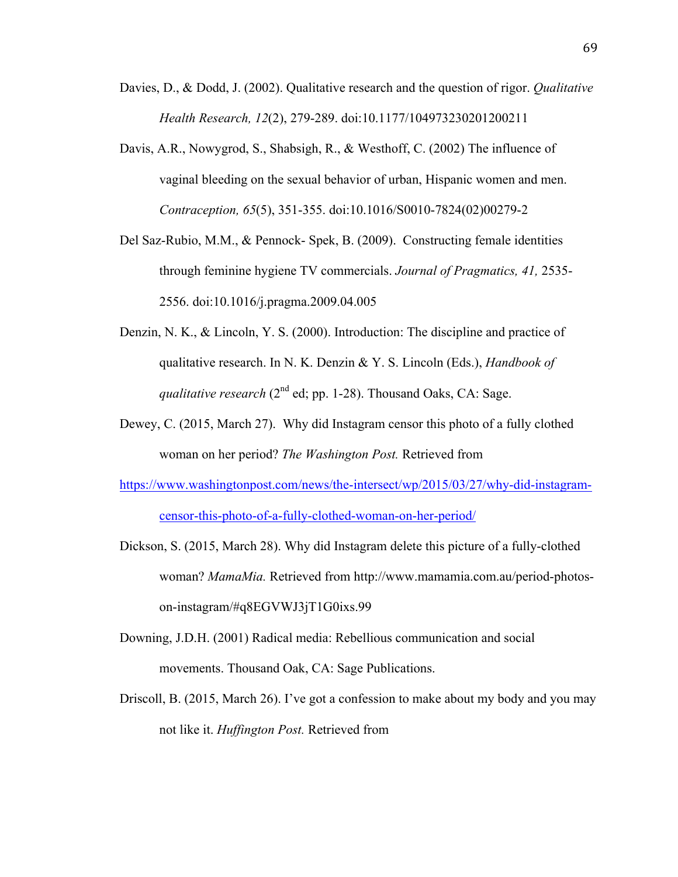- Davies, D., & Dodd, J. (2002). Qualitative research and the question of rigor. *Qualitative Health Research, 12*(2), 279-289. doi:10.1177/104973230201200211
- Davis, A.R., Nowygrod, S., Shabsigh, R., & Westhoff, C. (2002) The influence of vaginal bleeding on the sexual behavior of urban, Hispanic women and men. *Contraception, 65*(5), 351-355. doi:10.1016/S0010-7824(02)00279-2
- Del Saz-Rubio, M.M., & Pennock- Spek, B. (2009). Constructing female identities through feminine hygiene TV commercials. *Journal of Pragmatics, 41,* 2535- 2556. doi:10.1016/j.pragma.2009.04.005
- Denzin, N. K., & Lincoln, Y. S. (2000). Introduction: The discipline and practice of qualitative research. In N. K. Denzin & Y. S. Lincoln (Eds.), *Handbook of qualitative research* (2<sup>nd</sup> ed; pp. 1-28). Thousand Oaks, CA: Sage.
- Dewey, C. (2015, March 27). Why did Instagram censor this photo of a fully clothed woman on her period? *The Washington Post.* Retrieved from
- https://www.washingtonpost.com/news/the-intersect/wp/2015/03/27/why-did-instagramcensor-this-photo-of-a-fully-clothed-woman-on-her-period/
- Dickson, S. (2015, March 28). Why did Instagram delete this picture of a fully-clothed woman? *MamaMia.* Retrieved from http://www.mamamia.com.au/period-photoson-instagram/#q8EGVWJ3jT1G0ixs.99
- Downing, J.D.H. (2001) Radical media: Rebellious communication and social movements. Thousand Oak, CA: Sage Publications.
- Driscoll, B. (2015, March 26). I've got a confession to make about my body and you may not like it. *Huffington Post.* Retrieved from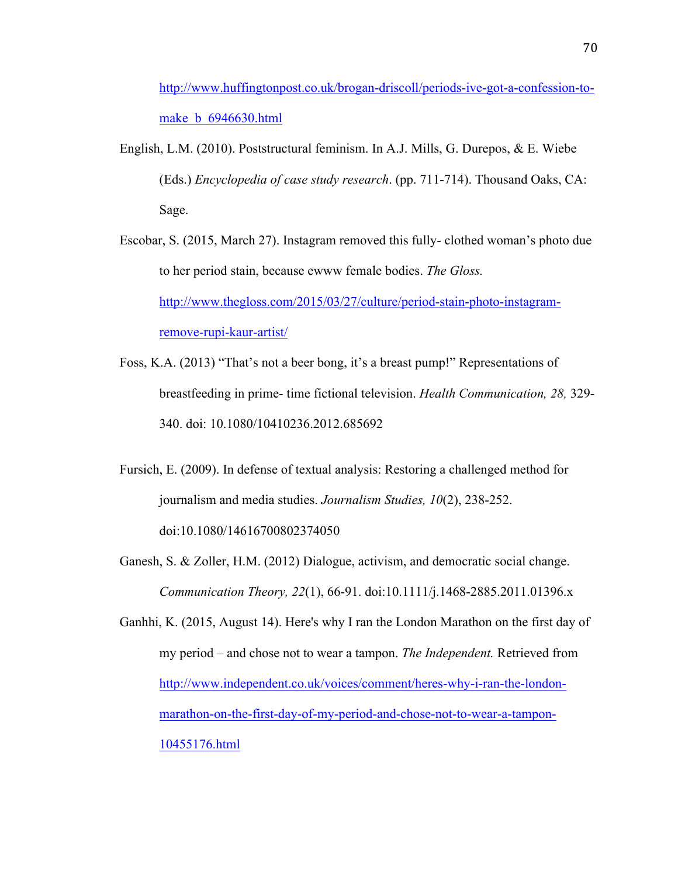http://www.huffingtonpost.co.uk/brogan-driscoll/periods-ive-got-a-confession-tomake **b** 6946630.html

English, L.M. (2010). Poststructural feminism. In A.J. Mills, G. Durepos, & E. Wiebe (Eds.) *Encyclopedia of case study research*. (pp. 711-714). Thousand Oaks, CA: Sage.

Escobar, S. (2015, March 27). Instagram removed this fully- clothed woman's photo due to her period stain, because ewww female bodies. *The Gloss.*  http://www.thegloss.com/2015/03/27/culture/period-stain-photo-instagramremove-rupi-kaur-artist/

- Foss, K.A. (2013) "That's not a beer bong, it's a breast pump!" Representations of breastfeeding in prime- time fictional television. *Health Communication, 28,* 329- 340. doi: 10.1080/10410236.2012.685692
- Fursich, E. (2009). In defense of textual analysis: Restoring a challenged method for journalism and media studies. *Journalism Studies, 10*(2), 238-252. doi:10.1080/14616700802374050
- Ganesh, S. & Zoller, H.M. (2012) Dialogue, activism, and democratic social change. *Communication Theory, 22*(1), 66-91. doi:10.1111/j.1468-2885.2011.01396.x
- Ganhhi, K. (2015, August 14). Here's why I ran the London Marathon on the first day of my period – and chose not to wear a tampon. *The Independent.* Retrieved from http://www.independent.co.uk/voices/comment/heres-why-i-ran-the-londonmarathon-on-the-first-day-of-my-period-and-chose-not-to-wear-a-tampon-10455176.html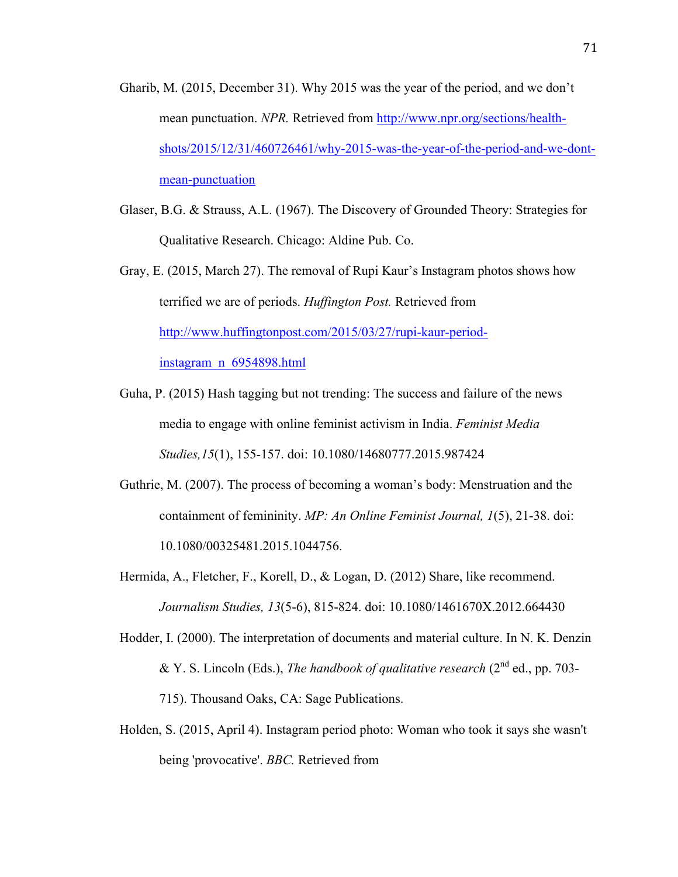- Gharib, M. (2015, December 31). Why 2015 was the year of the period, and we don't mean punctuation. *NPR.* Retrieved from http://www.npr.org/sections/healthshots/2015/12/31/460726461/why-2015-was-the-year-of-the-period-and-we-dontmean-punctuation
- Glaser, B.G. & Strauss, A.L. (1967). The Discovery of Grounded Theory: Strategies for Qualitative Research. Chicago: Aldine Pub. Co.
- Gray, E. (2015, March 27). The removal of Rupi Kaur's Instagram photos shows how terrified we are of periods. *Huffington Post.* Retrieved from http://www.huffingtonpost.com/2015/03/27/rupi-kaur-periodinstagram\_n\_6954898.html
- Guha, P. (2015) Hash tagging but not trending: The success and failure of the news media to engage with online feminist activism in India. *Feminist Media Studies,15*(1), 155-157. doi: 10.1080/14680777.2015.987424
- Guthrie, M. (2007). The process of becoming a woman's body: Menstruation and the containment of femininity. *MP: An Online Feminist Journal, 1*(5), 21-38. doi: 10.1080/00325481.2015.1044756.
- Hermida, A., Fletcher, F., Korell, D., & Logan, D. (2012) Share, like recommend. *Journalism Studies, 13*(5-6), 815-824. doi: 10.1080/1461670X.2012.664430
- Hodder, I. (2000). The interpretation of documents and material culture. In N. K. Denzin & Y. S. Lincoln (Eds.), *The handbook of qualitative research* (2nd ed., pp. 703- 715). Thousand Oaks, CA: Sage Publications.
- Holden, S. (2015, April 4). Instagram period photo: Woman who took it says she wasn't being 'provocative'. *BBC.* Retrieved from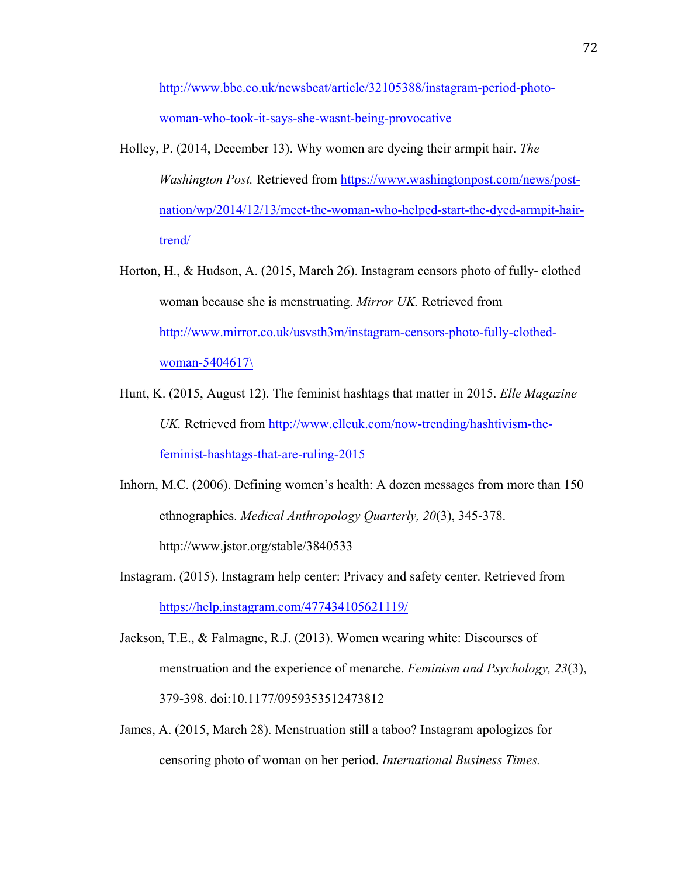http://www.bbc.co.uk/newsbeat/article/32105388/instagram-period-photowoman-who-took-it-says-she-wasnt-being-provocative

- Holley, P. (2014, December 13). Why women are dyeing their armpit hair. *The Washington Post.* Retrieved from https://www.washingtonpost.com/news/postnation/wp/2014/12/13/meet-the-woman-who-helped-start-the-dyed-armpit-hairtrend/
- Horton, H., & Hudson, A. (2015, March 26). Instagram censors photo of fully- clothed woman because she is menstruating. *Mirror UK.* Retrieved from http://www.mirror.co.uk/usvsth3m/instagram-censors-photo-fully-clothedwoman-5404617\
- Hunt, K. (2015, August 12). The feminist hashtags that matter in 2015. *Elle Magazine UK.* Retrieved from http://www.elleuk.com/now-trending/hashtivism-thefeminist-hashtags-that-are-ruling-2015
- Inhorn, M.C. (2006). Defining women's health: A dozen messages from more than 150 ethnographies. *Medical Anthropology Quarterly, 20*(3), 345-378. http://www.jstor.org/stable/3840533
- Instagram. (2015). Instagram help center: Privacy and safety center. Retrieved from https://help.instagram.com/477434105621119/
- Jackson, T.E., & Falmagne, R.J. (2013). Women wearing white: Discourses of menstruation and the experience of menarche. *Feminism and Psychology, 23*(3), 379-398. doi:10.1177/0959353512473812
- James, A. (2015, March 28). Menstruation still a taboo? Instagram apologizes for censoring photo of woman on her period. *International Business Times.*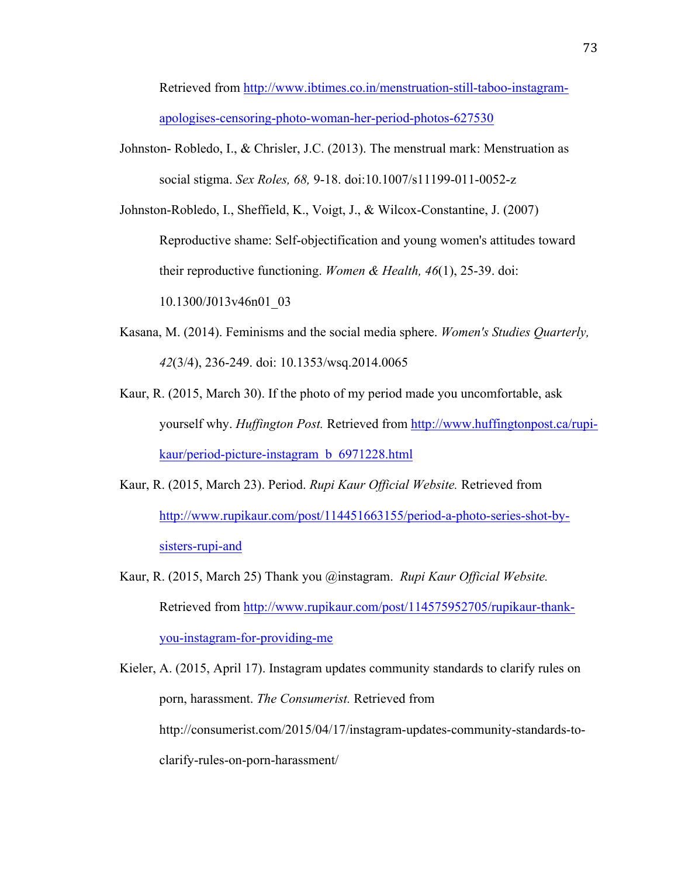Retrieved from http://www.ibtimes.co.in/menstruation-still-taboo-instagramapologises-censoring-photo-woman-her-period-photos-627530

- Johnston- Robledo, I., & Chrisler, J.C. (2013). The menstrual mark: Menstruation as social stigma. *Sex Roles, 68,* 9-18. doi:10.1007/s11199-011-0052-z
- Johnston-Robledo, I., Sheffield, K., Voigt, J., & Wilcox-Constantine, J. (2007) Reproductive shame: Self-objectification and young women's attitudes toward their reproductive functioning. *Women & Health, 46*(1), 25-39. doi: 10.1300/J013v46n01\_03
- Kasana, M. (2014). Feminisms and the social media sphere. *Women's Studies Quarterly, 42*(3/4), 236-249. doi: 10.1353/wsq.2014.0065
- Kaur, R. (2015, March 30). If the photo of my period made you uncomfortable, ask yourself why. *Huffington Post.* Retrieved from http://www.huffingtonpost.ca/rupikaur/period-picture-instagram\_b\_6971228.html
- Kaur, R. (2015, March 23). Period. *Rupi Kaur Official Website.* Retrieved from http://www.rupikaur.com/post/114451663155/period-a-photo-series-shot-bysisters-rupi-and
- Kaur, R. (2015, March 25) Thank you @instagram. *Rupi Kaur Official Website.*  Retrieved from http://www.rupikaur.com/post/114575952705/rupikaur-thankyou-instagram-for-providing-me

Kieler, A. (2015, April 17). Instagram updates community standards to clarify rules on porn, harassment. *The Consumerist.* Retrieved from http://consumerist.com/2015/04/17/instagram-updates-community-standards-toclarify-rules-on-porn-harassment/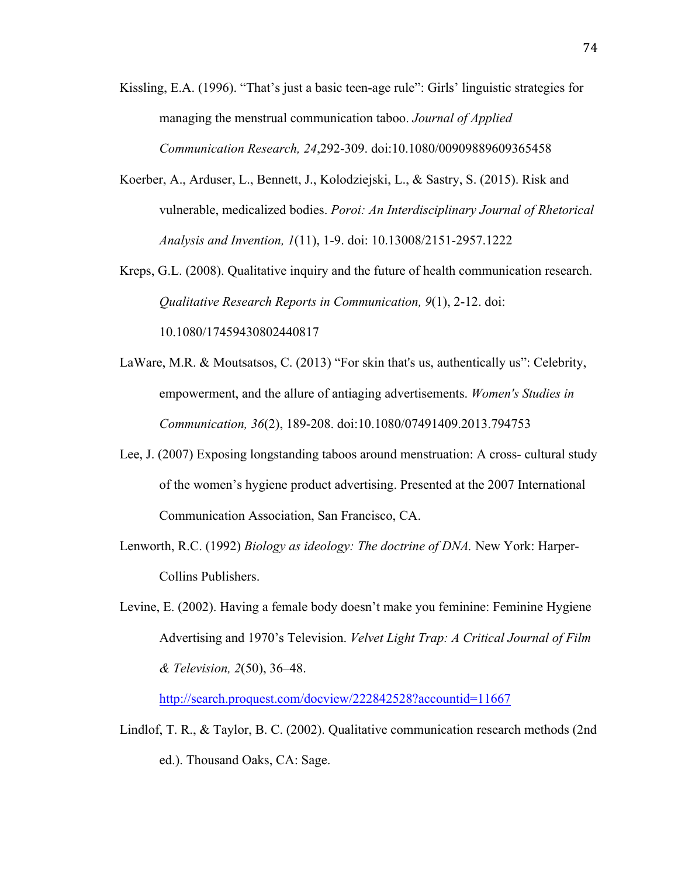- Kissling, E.A. (1996). "That's just a basic teen-age rule": Girls' linguistic strategies for managing the menstrual communication taboo. *Journal of Applied Communication Research, 24*,292-309. doi:10.1080/00909889609365458
- Koerber, A., Arduser, L., Bennett, J., Kolodziejski, L., & Sastry, S. (2015). Risk and vulnerable, medicalized bodies. *Poroi: An Interdisciplinary Journal of Rhetorical Analysis and Invention, 1*(11), 1-9. doi: 10.13008/2151-2957.1222
- Kreps, G.L. (2008). Qualitative inquiry and the future of health communication research. *Qualitative Research Reports in Communication, 9*(1), 2-12. doi: 10.1080/17459430802440817
- LaWare, M.R. & Moutsatsos, C. (2013) "For skin that's us, authentically us": Celebrity, empowerment, and the allure of antiaging advertisements. *Women's Studies in Communication, 36*(2), 189-208. doi:10.1080/07491409.2013.794753
- Lee, J. (2007) Exposing longstanding taboos around menstruation: A cross- cultural study of the women's hygiene product advertising. Presented at the 2007 International Communication Association, San Francisco, CA.
- Lenworth, R.C. (1992) *Biology as ideology: The doctrine of DNA.* New York: Harper-Collins Publishers.
- Levine, E. (2002). Having a female body doesn't make you feminine: Feminine Hygiene Advertising and 1970's Television. *Velvet Light Trap: A Critical Journal of Film & Television, 2*(50), 36–48.

http://search.proquest.com/docview/222842528?accountid=11667

Lindlof, T. R., & Taylor, B. C. (2002). Qualitative communication research methods (2nd ed.). Thousand Oaks, CA: Sage.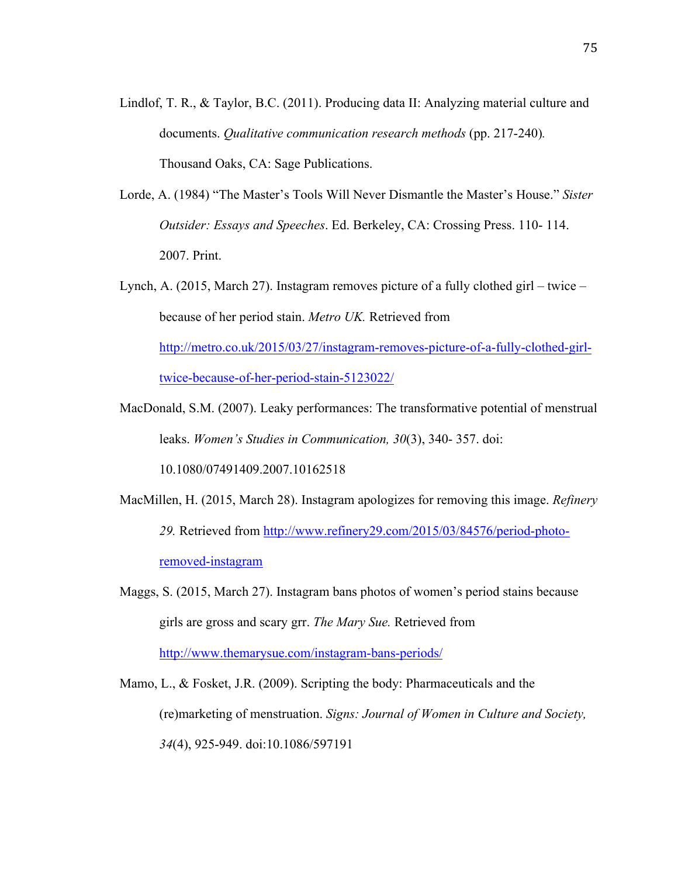- Lindlof, T. R., & Taylor, B.C. (2011). Producing data II: Analyzing material culture and documents. *Qualitative communication research methods* (pp. 217-240)*.* Thousand Oaks, CA: Sage Publications.
- Lorde, A. (1984) "The Master's Tools Will Never Dismantle the Master's House." *Sister Outsider: Essays and Speeches*. Ed. Berkeley, CA: Crossing Press. 110- 114. 2007. Print.
- Lynch, A. (2015, March 27). Instagram removes picture of a fully clothed girl twice because of her period stain. *Metro UK.* Retrieved from http://metro.co.uk/2015/03/27/instagram-removes-picture-of-a-fully-clothed-girltwice-because-of-her-period-stain-5123022/
- MacDonald, S.M. (2007). Leaky performances: The transformative potential of menstrual leaks. *Women's Studies in Communication, 30*(3), 340- 357. doi:

10.1080/07491409.2007.10162518

- MacMillen, H. (2015, March 28). Instagram apologizes for removing this image. *Refinery 29.* Retrieved from http://www.refinery29.com/2015/03/84576/period-photoremoved-instagram
- Maggs, S. (2015, March 27). Instagram bans photos of women's period stains because girls are gross and scary grr. *The Mary Sue.* Retrieved from http://www.themarysue.com/instagram-bans-periods/

Mamo, L., & Fosket, J.R. (2009). Scripting the body: Pharmaceuticals and the (re)marketing of menstruation. *Signs: Journal of Women in Culture and Society, 34*(4), 925-949. doi:10.1086/597191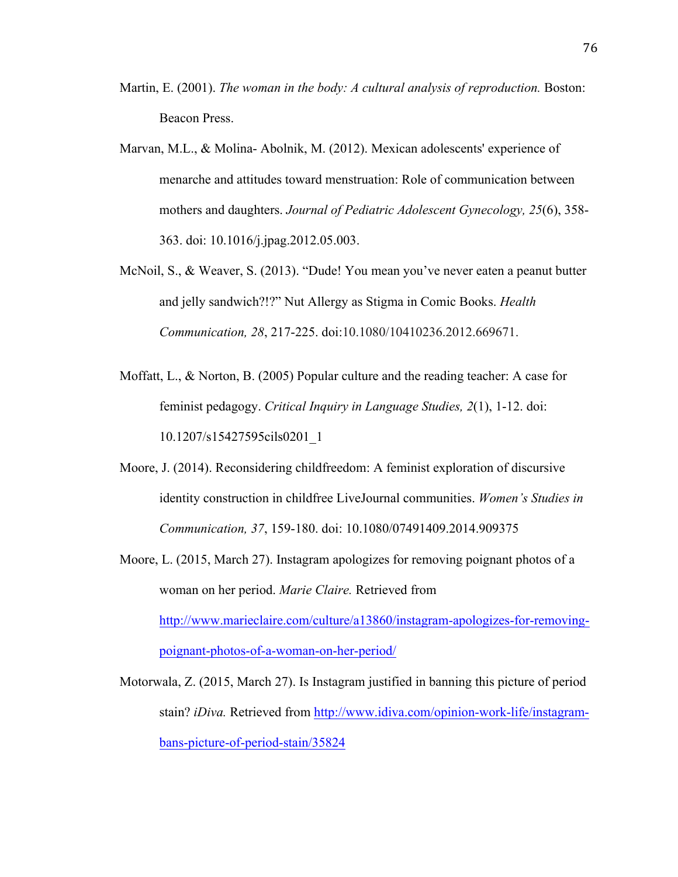- Martin, E. (2001). *The woman in the body: A cultural analysis of reproduction.* Boston: Beacon Press.
- Marvan, M.L., & Molina- Abolnik, M. (2012). Mexican adolescents' experience of menarche and attitudes toward menstruation: Role of communication between mothers and daughters. *Journal of Pediatric Adolescent Gynecology, 25*(6), 358- 363. doi: 10.1016/j.jpag.2012.05.003.
- McNoil, S., & Weaver, S. (2013). "Dude! You mean you've never eaten a peanut butter and jelly sandwich?!?" Nut Allergy as Stigma in Comic Books. *Health Communication, 28*, 217-225. doi:10.1080/10410236.2012.669671.
- Moffatt, L., & Norton, B. (2005) Popular culture and the reading teacher: A case for feminist pedagogy. *Critical Inquiry in Language Studies, 2*(1), 1-12. doi: 10.1207/s15427595cils0201\_1
- Moore, J. (2014). Reconsidering childfreedom: A feminist exploration of discursive identity construction in childfree LiveJournal communities. *Women's Studies in Communication, 37*, 159-180. doi: 10.1080/07491409.2014.909375
- Moore, L. (2015, March 27). Instagram apologizes for removing poignant photos of a woman on her period. *Marie Claire.* Retrieved from http://www.marieclaire.com/culture/a13860/instagram-apologizes-for-removingpoignant-photos-of-a-woman-on-her-period/
- Motorwala, Z. (2015, March 27). Is Instagram justified in banning this picture of period stain? *iDiva.* Retrieved from http://www.idiva.com/opinion-work-life/instagrambans-picture-of-period-stain/35824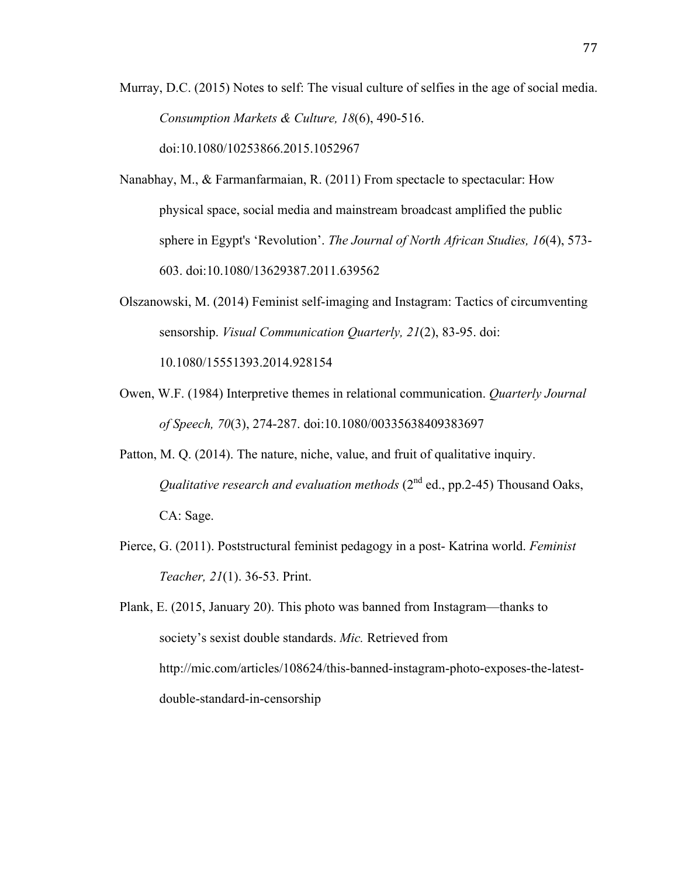Murray, D.C. (2015) Notes to self: The visual culture of selfies in the age of social media. *Consumption Markets & Culture, 18*(6), 490-516. doi:10.1080/10253866.2015.1052967

- Nanabhay, M., & Farmanfarmaian, R. (2011) From spectacle to spectacular: How physical space, social media and mainstream broadcast amplified the public sphere in Egypt's 'Revolution'. *The Journal of North African Studies, 16*(4), 573- 603. doi:10.1080/13629387.2011.639562
- Olszanowski, M. (2014) Feminist self-imaging and Instagram: Tactics of circumventing sensorship. *Visual Communication Quarterly, 21*(2), 83-95. doi:

10.1080/15551393.2014.928154

- Owen, W.F. (1984) Interpretive themes in relational communication. *Quarterly Journal of Speech, 70*(3), 274-287. doi:10.1080/00335638409383697
- Patton, M. Q. (2014). The nature, niche, value, and fruit of qualitative inquiry. *Qualitative research and evaluation methods* (2<sup>nd</sup> ed., pp.2-45) Thousand Oaks, CA: Sage.
- Pierce, G. (2011). Poststructural feminist pedagogy in a post- Katrina world. *Feminist Teacher, 21*(1). 36-53. Print.

Plank, E. (2015, January 20). This photo was banned from Instagram—thanks to society's sexist double standards. *Mic.* Retrieved from http://mic.com/articles/108624/this-banned-instagram-photo-exposes-the-latestdouble-standard-in-censorship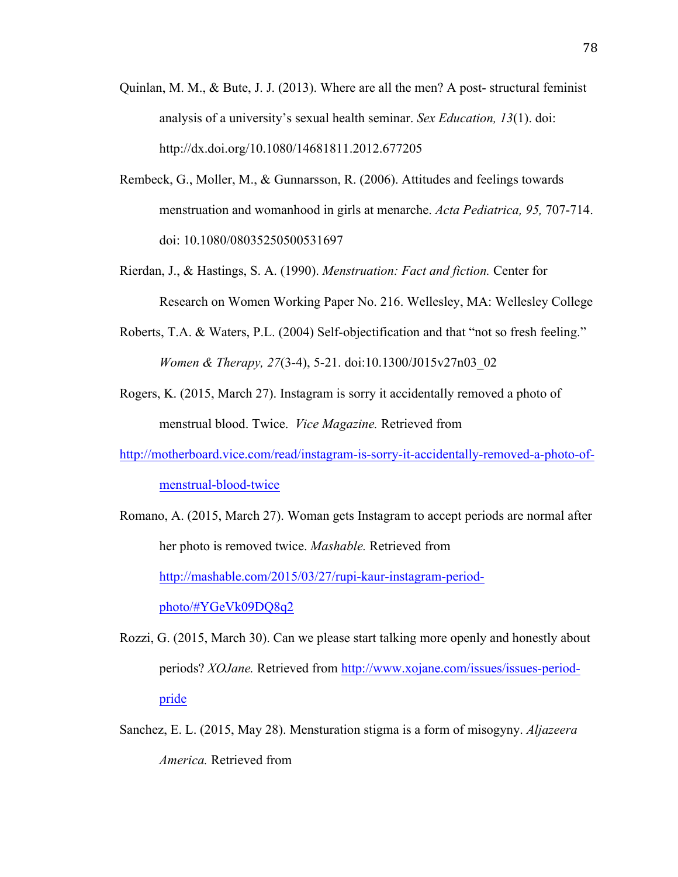- Quinlan, M. M., & Bute, J. J. (2013). Where are all the men? A post- structural feminist analysis of a university's sexual health seminar. *Sex Education, 13*(1). doi: http://dx.doi.org/10.1080/14681811.2012.677205
- Rembeck, G., Moller, M., & Gunnarsson, R. (2006). Attitudes and feelings towards menstruation and womanhood in girls at menarche. *Acta Pediatrica, 95,* 707-714. doi: 10.1080/08035250500531697
- Rierdan, J., & Hastings, S. A. (1990). *Menstruation: Fact and fiction.* Center for Research on Women Working Paper No. 216. Wellesley, MA: Wellesley College
- Roberts, T.A. & Waters, P.L. (2004) Self-objectification and that "not so fresh feeling." *Women & Therapy, 27*(3-4), 5-21. doi:10.1300/J015v27n03\_02
- Rogers, K. (2015, March 27). Instagram is sorry it accidentally removed a photo of menstrual blood. Twice. *Vice Magazine.* Retrieved from

http://motherboard.vice.com/read/instagram-is-sorry-it-accidentally-removed-a-photo-ofmenstrual-blood-twice

Romano, A. (2015, March 27). Woman gets Instagram to accept periods are normal after her photo is removed twice. *Mashable.* Retrieved from http://mashable.com/2015/03/27/rupi-kaur-instagram-periodphoto/#YGeVk09DQ8q2

- Rozzi, G. (2015, March 30). Can we please start talking more openly and honestly about periods? *XOJane.* Retrieved from http://www.xojane.com/issues/issues-periodpride
- Sanchez, E. L. (2015, May 28). Mensturation stigma is a form of misogyny. *Aljazeera America.* Retrieved from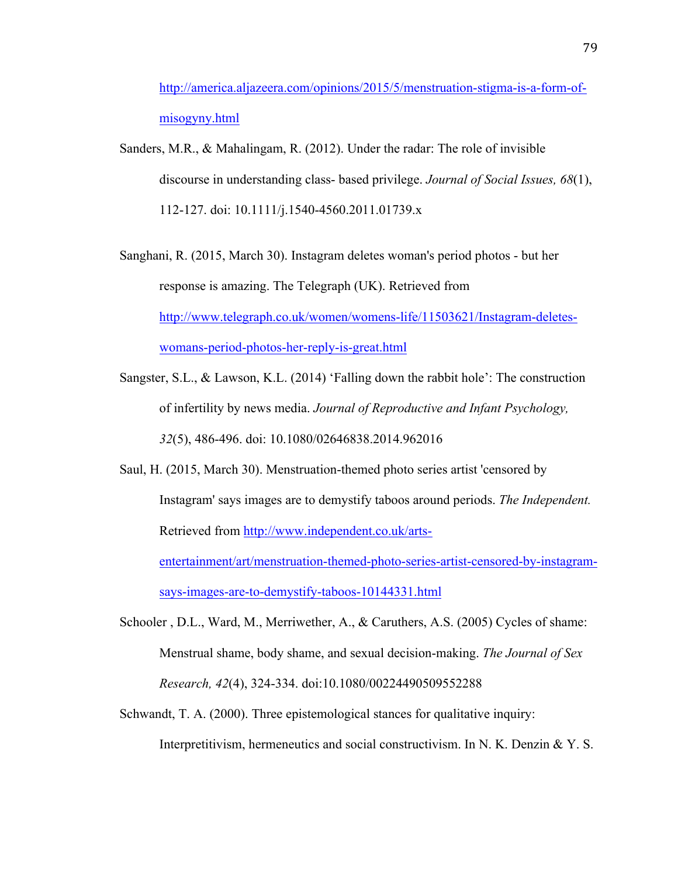http://america.aljazeera.com/opinions/2015/5/menstruation-stigma-is-a-form-ofmisogyny.html

- Sanders, M.R., & Mahalingam, R. (2012). Under the radar: The role of invisible discourse in understanding class- based privilege. *Journal of Social Issues, 68*(1), 112-127. doi: 10.1111/j.1540-4560.2011.01739.x
- Sanghani, R. (2015, March 30). Instagram deletes woman's period photos but her response is amazing. The Telegraph (UK). Retrieved from http://www.telegraph.co.uk/women/womens-life/11503621/Instagram-deleteswomans-period-photos-her-reply-is-great.html
- Sangster, S.L., & Lawson, K.L. (2014) 'Falling down the rabbit hole': The construction of infertility by news media. *Journal of Reproductive and Infant Psychology, 32*(5), 486-496. doi: 10.1080/02646838.2014.962016
- Saul, H. (2015, March 30). Menstruation-themed photo series artist 'censored by Instagram' says images are to demystify taboos around periods. *The Independent.*  Retrieved from http://www.independent.co.uk/artsentertainment/art/menstruation-themed-photo-series-artist-censored-by-instagramsays-images-are-to-demystify-taboos-10144331.html
- Schooler , D.L., Ward, M., Merriwether, A., & Caruthers, A.S. (2005) Cycles of shame: Menstrual shame, body shame, and sexual decision-making. *The Journal of Sex Research, 42*(4), 324-334. doi:10.1080/00224490509552288
- Schwandt, T. A. (2000). Three epistemological stances for qualitative inquiry: Interpretitivism, hermeneutics and social constructivism. In N. K. Denzin  $& Y. S.$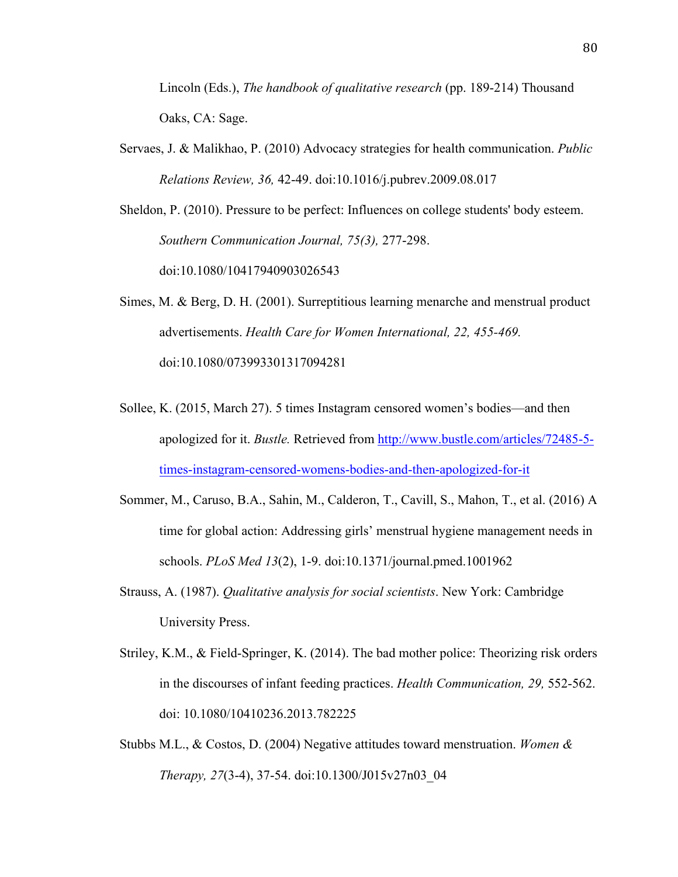Lincoln (Eds.), *The handbook of qualitative research* (pp. 189-214) Thousand Oaks, CA: Sage.

Servaes, J. & Malikhao, P. (2010) Advocacy strategies for health communication. *Public Relations Review, 36,* 42-49. doi:10.1016/j.pubrev.2009.08.017

Sheldon, P. (2010). Pressure to be perfect: Influences on college students' body esteem. *Southern Communication Journal, 75(3),* 277-298. doi:10.1080/10417940903026543

Simes, M. & Berg, D. H. (2001). Surreptitious learning menarche and menstrual product advertisements. *Health Care for Women International, 22, 455-469.* doi:10.1080/073993301317094281

- Sollee, K. (2015, March 27). 5 times Instagram censored women's bodies—and then apologized for it. *Bustle.* Retrieved from http://www.bustle.com/articles/72485-5 times-instagram-censored-womens-bodies-and-then-apologized-for-it
- Sommer, M., Caruso, B.A., Sahin, M., Calderon, T., Cavill, S., Mahon, T., et al. (2016) A time for global action: Addressing girls' menstrual hygiene management needs in schools. *PLoS Med 13*(2), 1-9. doi:10.1371/journal.pmed.1001962
- Strauss, A. (1987). *Qualitative analysis for social scientists*. New York: Cambridge University Press.
- Striley, K.M., & Field-Springer, K. (2014). The bad mother police: Theorizing risk orders in the discourses of infant feeding practices. *Health Communication, 29,* 552-562. doi: 10.1080/10410236.2013.782225
- Stubbs M.L., & Costos, D. (2004) Negative attitudes toward menstruation. *Women & Therapy, 27*(3-4), 37-54. doi:10.1300/J015v27n03\_04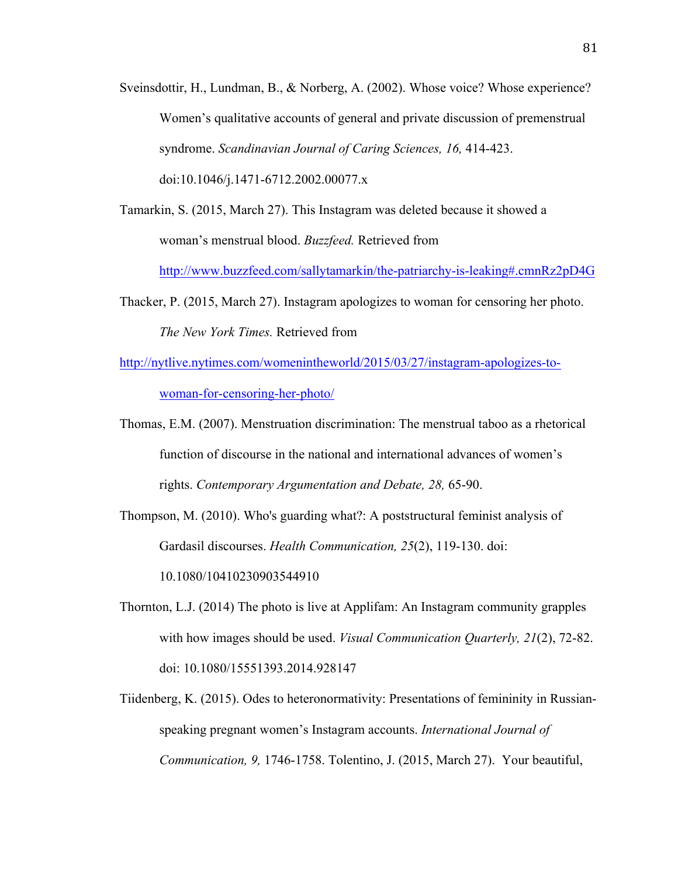- Sveinsdottir, H., Lundman, B., & Norberg, A. (2002). Whose voice? Whose experience? Women's qualitative accounts of general and private discussion of premenstrual syndrome. *Scandinavian Journal of Caring Sciences, 16,* 414-423. doi:10.1046/j.1471-6712.2002.00077.x
- Tamarkin, S. (2015, March 27). This Instagram was deleted because it showed a woman's menstrual blood. *Buzzfeed.* Retrieved from

http://www.buzzfeed.com/sallytamarkin/the-patriarchy-is-leaking#.cmnRz2pD4G

- Thacker, P. (2015, March 27). Instagram apologizes to woman for censoring her photo. *The New York Times.* Retrieved from
- http://nytlive.nytimes.com/womenintheworld/2015/03/27/instagram-apologizes-towoman-for-censoring-her-photo/
- Thomas, E.M. (2007). Menstruation discrimination: The menstrual taboo as a rhetorical function of discourse in the national and international advances of women's rights. *Contemporary Argumentation and Debate, 28,* 65-90.
- Thompson, M. (2010). Who's guarding what?: A poststructural feminist analysis of Gardasil discourses. *Health Communication, 25*(2), 119-130. doi: 10.1080/10410230903544910
- Thornton, L.J. (2014) The photo is live at Applifam: An Instagram community grapples with how images should be used. *Visual Communication Quarterly, 21*(2), 72-82. doi: 10.1080/15551393.2014.928147
- Tiidenberg, K. (2015). Odes to heteronormativity: Presentations of femininity in Russianspeaking pregnant women's Instagram accounts. *International Journal of Communication, 9,* 1746-1758. Tolentino, J. (2015, March 27). Your beautiful,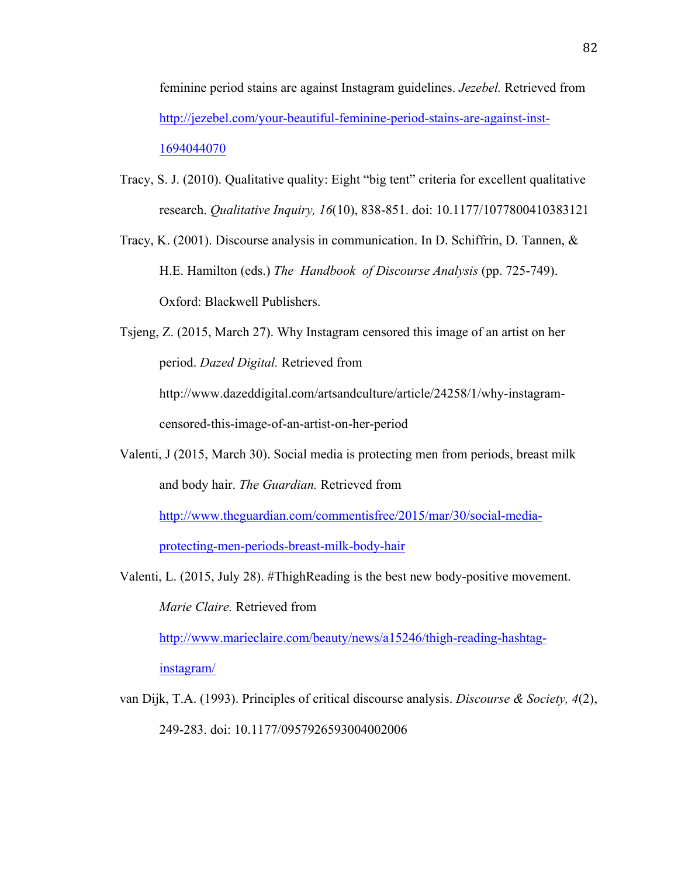feminine period stains are against Instagram guidelines. *Jezebel.* Retrieved from http://jezebel.com/your-beautiful-feminine-period-stains-are-against-inst-1694044070

- Tracy, S. J. (2010). Qualitative quality: Eight "big tent" criteria for excellent qualitative research. *Qualitative Inquiry, 16*(10), 838-851. doi: 10.1177/1077800410383121
- Tracy, K. (2001). Discourse analysis in communication. In D. Schiffrin, D. Tannen, & H.E. Hamilton (eds.) *The Handbook of Discourse Analysis* (pp. 725-749). Oxford: Blackwell Publishers.

Tsjeng, Z. (2015, March 27). Why Instagram censored this image of an artist on her period. *Dazed Digital.* Retrieved from http://www.dazeddigital.com/artsandculture/article/24258/1/why-instagramcensored-this-image-of-an-artist-on-her-period

Valenti, J (2015, March 30). Social media is protecting men from periods, breast milk and body hair. *The Guardian.* Retrieved from http://www.theguardian.com/commentisfree/2015/mar/30/social-mediaprotecting-men-periods-breast-milk-body-hair

Valenti, L. (2015, July 28). #ThighReading is the best new body-positive movement. *Marie Claire.* Retrieved from http://www.marieclaire.com/beauty/news/a15246/thigh-reading-hashtag-

instagram/

van Dijk, T.A. (1993). Principles of critical discourse analysis. *Discourse & Society, 4*(2), 249-283. doi: 10.1177/0957926593004002006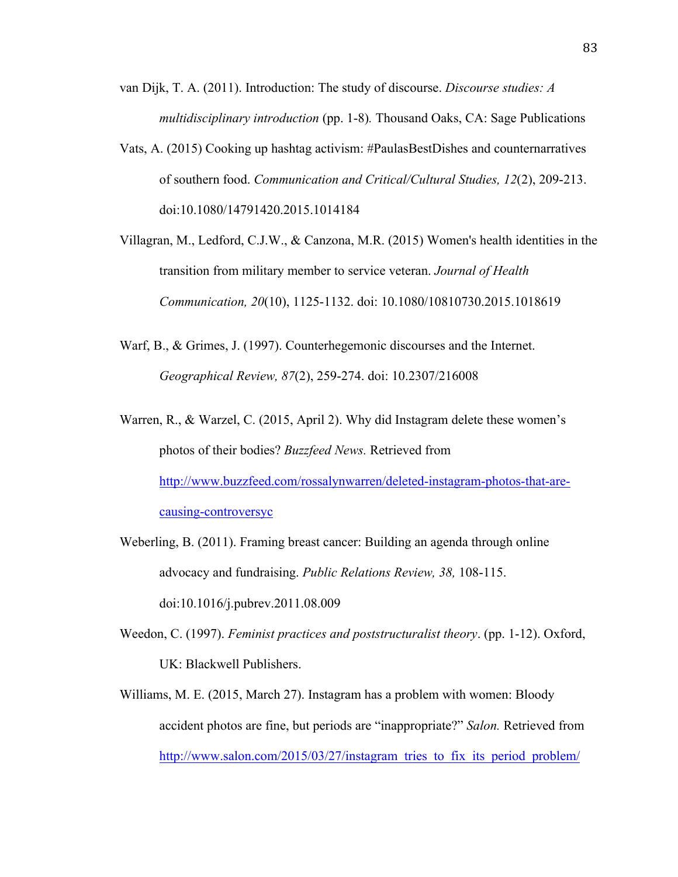- van Dijk, T. A. (2011). Introduction: The study of discourse. *Discourse studies: A multidisciplinary introduction* (pp. 1-8)*.* Thousand Oaks, CA: Sage Publications
- Vats, A. (2015) Cooking up hashtag activism: #PaulasBestDishes and counternarratives of southern food. *Communication and Critical/Cultural Studies, 12*(2), 209-213. doi:10.1080/14791420.2015.1014184
- Villagran, M., Ledford, C.J.W., & Canzona, M.R. (2015) Women's health identities in the transition from military member to service veteran. *Journal of Health Communication, 20*(10), 1125-1132. doi: 10.1080/10810730.2015.1018619
- Warf, B., & Grimes, J. (1997). Counterhegemonic discourses and the Internet. *Geographical Review, 87*(2), 259-274. doi: 10.2307/216008
- Warren, R., & Warzel, C. (2015, April 2). Why did Instagram delete these women's photos of their bodies? *Buzzfeed News.* Retrieved from http://www.buzzfeed.com/rossalynwarren/deleted-instagram-photos-that-arecausing-controversyc
- Weberling, B. (2011). Framing breast cancer: Building an agenda through online advocacy and fundraising. *Public Relations Review, 38,* 108-115. doi:10.1016/j.pubrev.2011.08.009
- Weedon, C. (1997). *Feminist practices and poststructuralist theory*. (pp. 1-12). Oxford, UK: Blackwell Publishers.
- Williams, M. E. (2015, March 27). Instagram has a problem with women: Bloody accident photos are fine, but periods are "inappropriate?" *Salon.* Retrieved from http://www.salon.com/2015/03/27/instagram\_tries\_to\_fix\_its\_period\_problem/